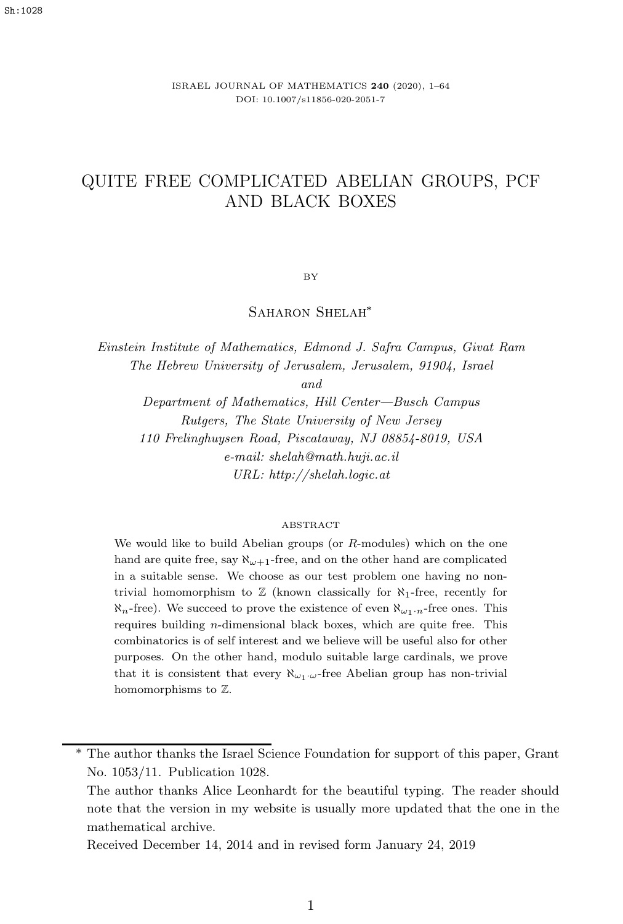ISRAEL JOURNAL OF MATHEMATICS **240** (2020), 1–64 DOI: 10.1007/s11856-020-2051-7

# QUITE FREE COMPLICATED ABELIAN GROUPS, PCF AND BLACK BOXES

BY

SAHARON SHELAH<sup>\*</sup>

*Einstein Institute of Mathematics, Edmond J. Safra Campus, Givat Ram The Hebrew University of Jerusalem, Jerusalem, 91904, Israel*

*and*

*Department of Mathematics, Hill Center—Busch Campus Rutgers, The State University of New Jersey 110 Frelinghuysen Road, Piscataway, NJ 08854-8019, USA e-mail: shelah@math.huji.ac.il URL: http://shelah.logic.at*

#### ABSTRACT

We would like to build Abelian groups (or  $R$ -modules) which on the one hand are quite free, say  $\aleph_{\omega+1}$ -free, and on the other hand are complicated in a suitable sense. We choose as our test problem one having no nontrivial homomorphism to  $\mathbb Z$  (known classically for  $\aleph_1$ -free, recently for  $\aleph_n$ -free). We succeed to prove the existence of even  $\aleph_{\omega_1\cdot n}$ -free ones. This requires building n-dimensional black boxes, which are quite free. This combinatorics is of self interest and we believe will be useful also for other purposes. On the other hand, modulo suitable large cardinals, we prove that it is consistent that every  $\aleph_{\omega_1\cdot\omega}$ -free Abelian group has non-trivial homomorphisms to Z.

Received December 14, 2014 and in revised form January 24, 2019

<sup>∗</sup> The author thanks the Israel Science Foundation for support of this paper, Grant No. 1053/11. Publication 1028.

The author thanks Alice Leonhardt for the beautiful typing. The reader should note that the version in my website is usually more updated that the one in the mathematical archive.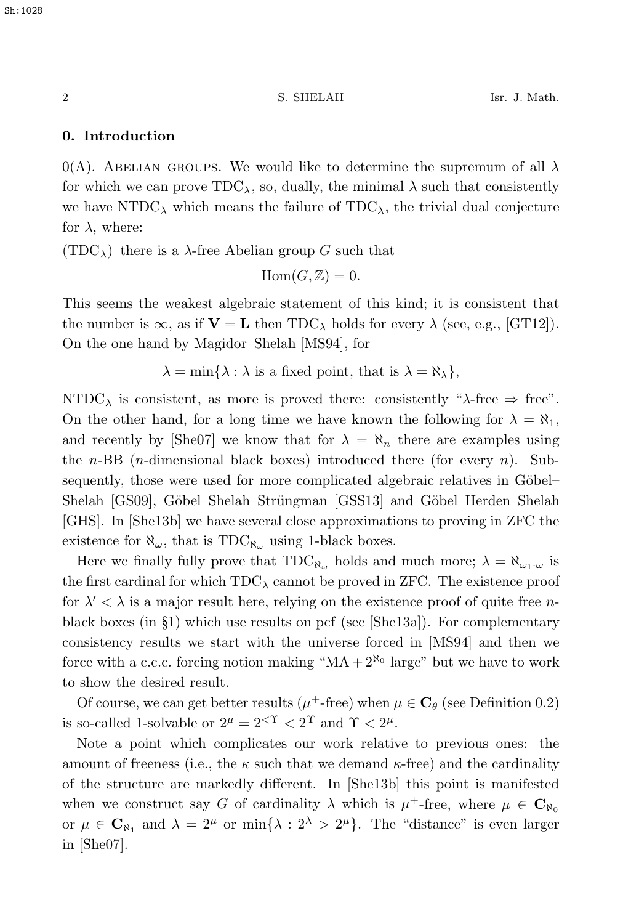# **0. Introduction**

0(A). ABELIAN GROUPS. We would like to determine the supremum of all  $\lambda$ for which we can prove  $TDC_{\lambda}$ , so, dually, the minimal  $\lambda$  such that consistently we have NTDC<sub> $\lambda$ </sub> which means the failure of TDC<sub> $\lambda$ </sub>, the trivial dual conjecture for  $\lambda$ , where:

 $(TDC<sub>\lambda</sub>)$  there is a  $\lambda$ -free Abelian group G such that

$$
Hom(G, \mathbb{Z}) = 0.
$$

This seems the weakest algebraic statement of this kind; it is consistent that the number is  $\infty$ , as if  $\mathbf{V} = \mathbf{L}$  then TDC<sub> $\lambda$ </sub> holds for every  $\lambda$  (see, e.g., [GT12]). On the one hand by Magidor–Shelah [MS94], for

 $\lambda = \min\{\lambda : \lambda \text{ is a fixed point, that is } \lambda = \aleph_{\lambda}\},\$ 

NTDC<sub> $\lambda$ </sub> is consistent, as more is proved there: consistently " $\lambda$ -free  $\Rightarrow$  free". On the other hand, for a long time we have known the following for  $\lambda = \aleph_1$ , and recently by [She07] we know that for  $\lambda = \aleph_n$  there are examples using the *n*-BB (*n*-dimensional black boxes) introduced there (for every *n*). Subsequently, those were used for more complicated algebraic relatives in Göbel– Shelah [GS09], Göbel–Shelah–Strüngman [GSS13] and Göbel–Herden–Shelah [GHS]. In [She13b] we have several close approximations to proving in ZFC the existence for  $\aleph_{\omega}$ , that is TDC<sub> $\aleph_{\omega}$ </sub> using 1-black boxes.

Here we finally fully prove that  $TDC_{\aleph_{\omega}}$  holds and much more;  $\lambda = \aleph_{\omega_1 \cdot \omega}$  is the first cardinal for which  $TDC_{\lambda}$  cannot be proved in ZFC. The existence proof for  $\lambda' < \lambda$  is a major result here, relying on the existence proof of quite free *n*black boxes (in  $\S1$ ) which use results on pcf (see [She13a]). For complementary consistency results we start with the universe forced in [MS94] and then we force with a c.c.c. forcing notion making " $MA + 2^{\aleph_0}$  large" but we have to work to show the desired result.

Of course, we can get better results ( $\mu^+$ -free) when  $\mu \in \mathbb{C}_{\theta}$  (see Definition 0.2) is so-called 1-solvable or  $2^{\mu} = 2^{\lt} \gamma \lt 2^{\gamma}$  and  $\gamma \lt 2^{\mu}$ .

Note a point which complicates our work relative to previous ones: the amount of freeness (i.e., the  $\kappa$  such that we demand  $\kappa$ -free) and the cardinality of the structure are markedly different. In [She13b] this point is manifested when we construct say G of cardinality  $\lambda$  which is  $\mu^+$ -free, where  $\mu \in \mathbb{C}_{\aleph_0}$ or  $\mu \in \mathbb{C}_{\aleph_1}$  and  $\lambda = 2^{\mu}$  or  $\min\{\lambda : 2^{\lambda} > 2^{\mu}\}\.$  The "distance" is even larger in [She07].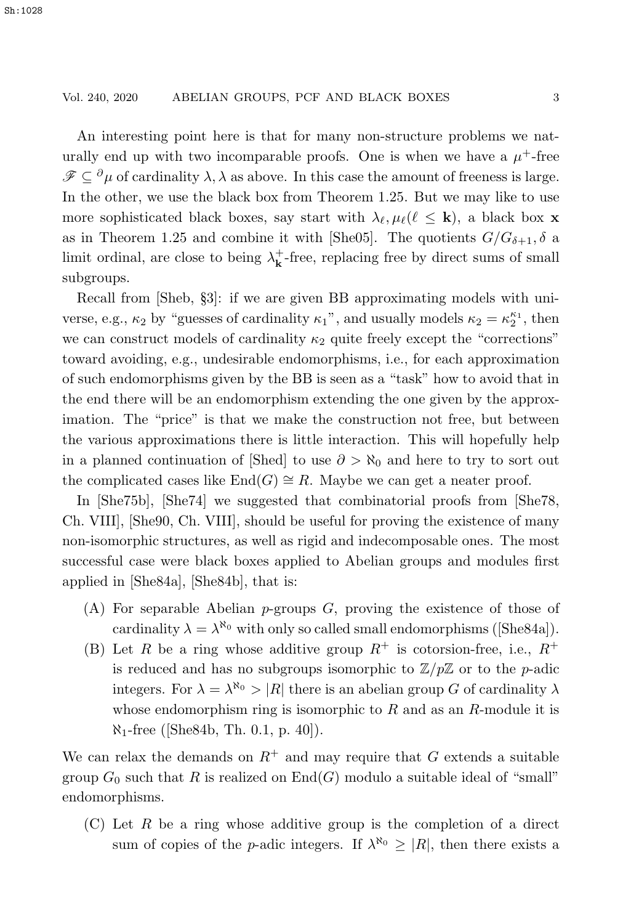#### Vol. 240, 2020 ABELIAN GROUPS, PCF AND BLACK BOXES 3

An interesting point here is that for many non-structure problems we naturally end up with two incomparable proofs. One is when we have a  $\mu^+$ -free  $\mathscr{F} \subseteq {}^{\partial}\mu$  of cardinality  $\lambda$ ,  $\lambda$  as above. In this case the amount of freeness is large. In the other, we use the black box from Theorem 1.25. But we may like to use more sophisticated black boxes, say start with  $\lambda_{\ell}, \mu_{\ell}(\ell \leq \mathbf{k})$ , a black box **x** as in Theorem 1.25 and combine it with [She05]. The quotients  $G/G_{\delta+1}, \delta$  a limit ordinal, are close to being  $\lambda_{\bf k}^+$  -free, replacing free by direct sums of small subgroups.

Recall from [Sheb, §3]: if we are given BB approximating models with universe, e.g.,  $\kappa_2$  by "guesses of cardinality  $\kappa_1$ ", and usually models  $\kappa_2 = \kappa_2^{\kappa_1}$ , then we can construct models of cardinality  $\kappa_2$  quite freely except the "corrections" toward avoiding, e.g., undesirable endomorphisms, i.e., for each approximation of such endomorphisms given by the BB is seen as a "task" how to avoid that in the end there will be an endomorphism extending the one given by the approximation. The "price" is that we make the construction not free, but between the various approximations there is little interaction. This will hopefully help in a planned continuation of [Shed] to use  $\partial > \aleph_0$  and here to try to sort out the complicated cases like  $\text{End}(G) \cong R$ . Maybe we can get a neater proof.

In [She75b], [She74] we suggested that combinatorial proofs from [She78, Ch. VIII], [She90, Ch. VIII], should be useful for proving the existence of many non-isomorphic structures, as well as rigid and indecomposable ones. The most successful case were black boxes applied to Abelian groups and modules first applied in [She84a], [She84b], that is:

- $(A)$  For separable Abelian *p*-groups  $G$ , proving the existence of those of cardinality  $\lambda = \lambda^{\aleph_0}$  with only so called small endomorphisms ([She84a]).
- (B) Let R be a ring whose additive group  $R^+$  is cotorsion-free, i.e.,  $R^+$ is reduced and has no subgroups isomorphic to  $\mathbb{Z}/p\mathbb{Z}$  or to the *p*-adic integers. For  $\lambda = \lambda^{\aleph_0} > |R|$  there is an abelian group G of cardinality  $\lambda$ whose endomorphism ring is isomorphic to  $R$  and as an  $R$ -module it is  $\aleph_1$ -free ([She84b, Th. 0.1, p. 40]).

We can relax the demands on  $R^+$  and may require that G extends a suitable group  $G_0$  such that R is realized on  $End(G)$  modulo a suitable ideal of "small" endomorphisms.

 $(C)$  Let R be a ring whose additive group is the completion of a direct sum of copies of the *p*-adic integers. If  $\lambda^{\aleph_0} \geq |R|$ , then there exists a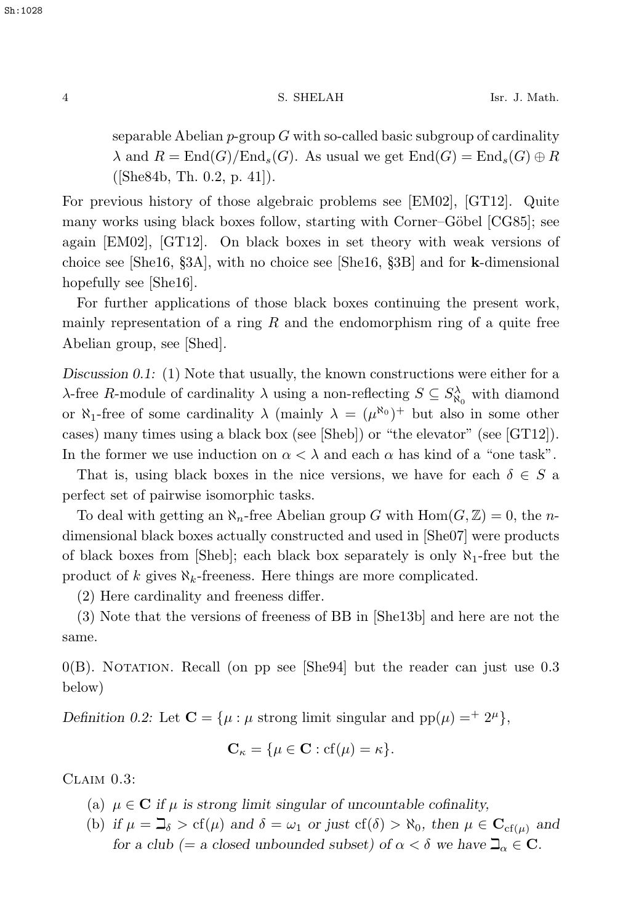separable Abelian  $p$ -group G with so-called basic subgroup of cardinality  $\lambda$  and  $R = \text{End}(G)/\text{End}_s(G)$ . As usual we get  $\text{End}(G) = \text{End}_s(G) \oplus R$ ([She84b, Th. 0.2, p. 41]).

For previous history of those algebraic problems see [EM02], [GT12]. Quite many works using black boxes follow, starting with Corner–Göbel [CG85]; see again [EM02], [GT12]. On black boxes in set theory with weak versions of choice see [She16, §3A], with no choice see [She16, §3B] and for **k**-dimensional hopefully see [She16].

For further applications of those black boxes continuing the present work, mainly representation of a ring  $R$  and the endomorphism ring of a quite free Abelian group, see [Shed].

*Discussion 0.1:* (1) Note that usually, the known constructions were either for a  $\lambda$ -free R-module of cardinality  $\lambda$  using a non-reflecting  $S \subseteq S^{\lambda}_{\aleph_0}$  with diamond or  $\aleph_1$ -free of some cardinality  $\lambda$  (mainly  $\lambda = (\mu^{\aleph_0})^+$  but also in some other cases) many times using a black box (see [Sheb]) or "the elevator" (see [GT12]). In the former we use induction on  $\alpha < \lambda$  and each  $\alpha$  has kind of a "one task".

That is, using black boxes in the nice versions, we have for each  $\delta \in S$  a perfect set of pairwise isomorphic tasks.

To deal with getting an  $\aleph_n$ -free Abelian group G with  $\text{Hom}(G,\mathbb{Z})=0$ , the ndimensional black boxes actually constructed and used in [She07] were products of black boxes from [Sheb]; each black box separately is only  $\aleph_1$ -free but the product of k gives  $\aleph_k$ -freeness. Here things are more complicated.

(2) Here cardinality and freeness differ.

(3) Note that the versions of freeness of BB in [She13b] and here are not the same.

 $0(B)$ . Notation. Recall (on pp see [She94] but the reader can just use 0.3 below)

*Definition 0.2:* Let  $\mathbf{C} = {\mu : \mu \text{ strong limit singular and } pp(\mu) =^+ 2^{\mu}},$ 

$$
\mathbf{C}_{\kappa} = \{\mu \in \mathbf{C} : cf(\mu) = \kappa\}.
$$

 $CLAIM$  0.3:

- (a)  $\mu \in \mathbb{C}$  *if*  $\mu$  *is strong limit singular of uncountable cofinality,*
- (b) if  $\mu = \mathbb{J}_{\delta} > cf(\mu)$  and  $\delta = \omega_1$  or just  $cf(\delta) > \aleph_0$ , then  $\mu \in \mathbf{C}_{cf(\mu)}$  and *for a club (= a closed unbounded subset) of*  $\alpha < \delta$  *we have*  $\mathbb{Z}_{\alpha} \in \mathbb{C}$ *.*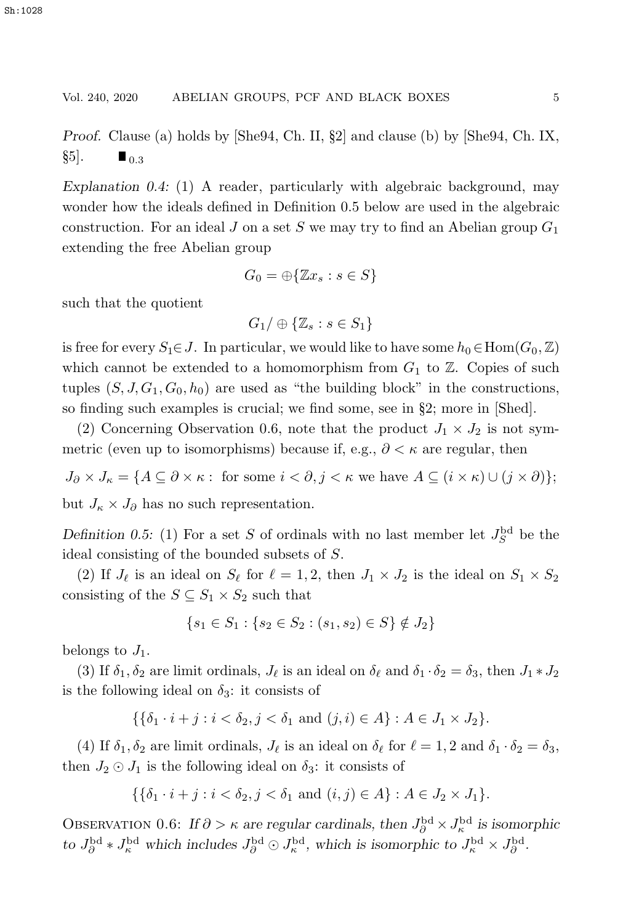#### Vol. 240, 2020 ABELIAN GROUPS, PCF AND BLACK BOXES 5

*Proof.* Clause (a) holds by [She94, Ch. II, §2] and clause (b) by [She94, Ch. IX,  $\S5$ .  $\blacksquare$  0.3

*Explanation 0.4:* (1) A reader, particularly with algebraic background, may wonder how the ideals defined in Definition 0.5 below are used in the algebraic construction. For an ideal J on a set S we may try to find an Abelian group  $G_1$ extending the free Abelian group

$$
G_0 = \bigoplus \{ \mathbb{Z}x_s : s \in S \}
$$

such that the quotient

$$
G_1/\oplus\{\mathbb{Z}_s:s\in S_1\}
$$

is free for every  $S_1 \in J$ . In particular, we would like to have some  $h_0 \in \text{Hom}(G_0, \mathbb{Z})$ which cannot be extended to a homomorphism from  $G_1$  to  $\mathbb{Z}$ . Copies of such tuples  $(S, J, G_1, G_0, h_0)$  are used as "the building block" in the constructions, so finding such examples is crucial; we find some, see in §2; more in [Shed].

(2) Concerning Observation 0.6, note that the product  $J_1 \times J_2$  is not symmetric (even up to isomorphisms) because if, e.g.,  $\partial < \kappa$  are regular, then

 $J_{\partial} \times J_{\kappa} = \{ A \subseteq \partial \times \kappa : \text{ for some } i < \partial, j < \kappa \text{ we have } A \subseteq (i \times \kappa) \cup (j \times \partial) \};$ but  $J_{\kappa} \times J_{\partial}$  has no such representation.

*Definition 0.5:* (1) For a set S of ordinals with no last member let  $J_S^{\text{bd}}$  be the ideal consisting of the bounded subsets of S.

(2) If  $J_{\ell}$  is an ideal on  $S_{\ell}$  for  $\ell = 1, 2$ , then  $J_1 \times J_2$  is the ideal on  $S_1 \times S_2$ consisting of the  $S \subseteq S_1 \times S_2$  such that

$$
\{s_1 \in S_1 : \{s_2 \in S_2 : (s_1, s_2) \in S\} \notin J_2\}
$$

belongs to  $J_1$ .

(3) If  $\delta_1, \delta_2$  are limit ordinals,  $J_\ell$  is an ideal on  $\delta_\ell$  and  $\delta_1 \cdot \delta_2 = \delta_3$ , then  $J_1 * J_2$ is the following ideal on  $\delta_3$ : it consists of

$$
\{\{\delta_1 \cdot i + j : i < \delta_2, j < \delta_1 \text{ and } (j, i) \in A\} : A \in J_1 \times J_2\}.
$$

(4) If  $\delta_1, \delta_2$  are limit ordinals,  $J_\ell$  is an ideal on  $\delta_\ell$  for  $\ell = 1, 2$  and  $\delta_1 \cdot \delta_2 = \delta_3$ , then  $J_2 \odot J_1$  is the following ideal on  $\delta_3$ : it consists of

$$
\{\{\delta_1 \cdot i + j : i < \delta_2, j < \delta_1 \text{ and } (i,j) \in A\} : A \in J_2 \times J_1\}.
$$

OBSERVATION 0.6: *If*  $\partial > \kappa$  *are regular cardinals, then*  $J_{\partial}^{\text{bd}} \times J_{\kappa}^{\text{bd}}$  *is isomorphic to*  $J_{\partial}^{\rm bd} * J_{\kappa}^{\rm bd}$  which includes  $J_{\partial}^{\rm bd} \odot J_{\kappa}^{\rm bd}$ , which is isomorphic to  $J_{\kappa}^{\rm bd} \times J_{\partial}^{\rm bd}$ .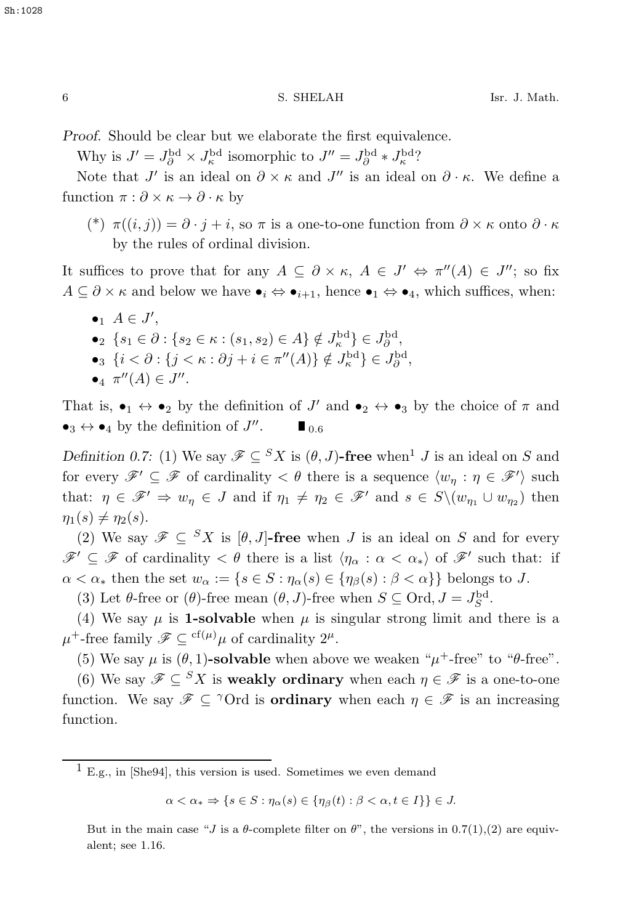*Proof.* Should be clear but we elaborate the first equivalence.

Why is  $J' = J_{\partial}^{\text{bd}} \times J_{\text{R}}^{\text{bd}}$  isomorphic to  $J'' = J_{\partial}^{\text{bd}} * J_{\text{R}}^{\text{bd}}$ ?

Note that  $J'$  is an ideal on  $\partial \times \kappa$  and  $J''$  is an ideal on  $\partial \cdot \kappa$ . We define a function  $\pi : \partial \times \kappa \to \partial \cdot \kappa$  by

(\*)  $\pi((i, j)) = \partial \cdot j + i$ , so  $\pi$  is a one-to-one function from  $\partial \times \kappa$  onto  $\partial \cdot \kappa$ by the rules of ordinal division.

It suffices to prove that for any  $A \subseteq \partial \times \kappa$ ,  $A \in J' \Leftrightarrow \pi''(A) \in J''$ ; so fix  $A \subseteq \partial \times \kappa$  and below we have  $\bullet_i \Leftrightarrow \bullet_{i+1}$ , hence  $\bullet_1 \Leftrightarrow \bullet_4$ , which suffices, when:

 $\bullet_1 \ A \in J',$ •2  $\{s_1 \in \partial : \{s_2 \in \kappa : (s_1, s_2) \in A\} \notin J_{\rho}^{\rm bd}\} \in J_{\rho}^{\rm bd}$ •3  $\{i < \partial : \{j < \kappa : \partial j + i \in \pi''(A)\} \notin J_{\kappa}^{\text{bd}}\} \in J_{\partial}^{\text{bd}}$ ,  $\{J_{\kappa}^{\text{bd}}\}$ • $\pi''(A) \in J''$ .

That is,  $\bullet_1 \leftrightarrow \bullet_2$  by the definition of J' and  $\bullet_2 \leftrightarrow \bullet_3$  by the choice of  $\pi$  and  $\bullet_3 \leftrightarrow \bullet_4$  by the definition of  $J''$ .  $\blacksquare_{0.6}$ 

*Definition 0.7:* (1) We say  $\mathscr{F} \subseteq {}^{S}X$  is  $(\theta, J)$ -free when<sup>1</sup> *J* is an ideal on *S* and for every  $\mathscr{F}' \subseteq \mathscr{F}$  of cardinality  $\lt \theta$  there is a sequence  $\langle w_\eta : \eta \in \mathscr{F}' \rangle$  such that:  $\eta \in \mathscr{F}' \Rightarrow w_{\eta} \in J$  and if  $\eta_1 \neq \eta_2 \in \mathscr{F}'$  and  $s \in S \setminus (w_{\eta_1} \cup w_{\eta_2})$  then  $\eta_1(s) \neq \eta_2(s)$ .

(2) We say  $\mathscr{F} \subseteq {}^{S}X$  is  $[\theta, J]$ -free when *J* is an ideal on *S* and for every  $\mathscr{F}' \subseteq \mathscr{F}$  of cardinality  $\lt \theta$  there is a list  $\langle \eta_\alpha : \alpha \lt \alpha_* \rangle$  of  $\mathscr{F}'$  such that: if  $\alpha < \alpha_*$  then the set  $w_\alpha := \{ s \in S : \eta_\alpha(s) \in \{ \eta_\beta(s) : \beta < \alpha \} \}$  belongs to J.

(3) Let  $\theta$ -free or  $(\theta)$ -free mean  $(\theta, J)$ -free when  $S \subseteq \text{Ord}, J = J_S^{\text{bd}}$ .

(4) We say  $\mu$  is **1-solvable** when  $\mu$  is singular strong limit and there is a  $\mu^+$ -free family  $\mathscr{F} \subseteq {}^{\mathrm{cf}(\mu)}\mu$  of cardinality  $2^{\mu}$ .

(5) We say  $\mu$  is  $(\theta, 1)$ -solvable when above we weaken " $\mu^+$ -free" to " $\theta$ -free".

(6) We say  $\mathscr{F} \subseteq {}^S X$  is **weakly ordinary** when each  $\eta \in \mathscr{F}$  is a one-to-one function. We say  $\mathscr{F} \subseteq \text{for}$  is **ordinary** when each  $\eta \in \mathscr{F}$  is an increasing function.

 $\alpha < \alpha_* \Rightarrow \{s \in S : \eta_\alpha(s) \in \{\eta_\beta(t) : \beta < \alpha, t \in I\}\} \in J.$ 

 $\overline{1}$  E.g., in [She94], this version is used. Sometimes we even demand

But in the main case "J is a  $\theta$ -complete filter on  $\theta$ ", the versions in 0.7(1),(2) are equivalent; see 1.16.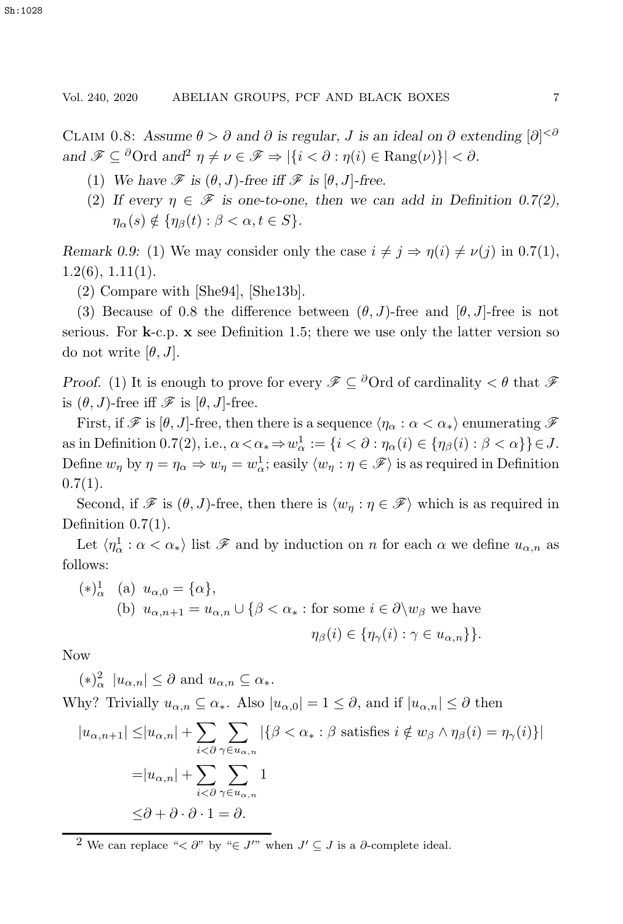CLAIM 0.8: Assume  $\theta > \partial$  and  $\partial$  *is regular, J is an ideal on*  $\partial$  *extending*  $[\partial]^{<\delta}$ *and*  $\mathscr{F} \subseteq {}^{\partial} \text{Ord}$  *and*<sup>2</sup>  $\eta \neq \nu \in \mathscr{F} \Rightarrow |\{i < \partial : \eta(i) \in \text{Rang}(\nu)\}| < \partial$ *.* 

- (1) We have  $\mathscr F$  is  $(\theta, J)$ -free iff  $\mathscr F$  is  $[\theta, J]$ -free.
- (2) If every  $\eta \in \mathscr{F}$  is one-to-one, then we can add in Definition 0.7(2),  $\eta_{\alpha}(s) \notin {\eta_{\beta}(t) : \beta < \alpha, t \in S}$ .

*Remark 0.9:* (1) We may consider only the case  $i \neq j \Rightarrow \eta(i) \neq \nu(j)$  in 0.7(1),  $1.2(6)$ ,  $1.11(1)$ .

(2) Compare with [She94], [She13b].

(3) Because of 0.8 the difference between  $(\theta, J)$ -free and  $[\theta, J]$ -free is not serious. For **k**-c.p. **x** see Definition 1.5; there we use only the latter version so do not write  $[\theta, J]$ .

*Proof.* (1) It is enough to prove for every  $\mathscr{F} \subseteq {}^{\partial}$  Ord of cardinality  $\lt \theta$  that  $\mathscr{F}$ is  $(\theta, J)$ -free iff  $\mathscr F$  is  $[\theta, J]$ -free.

First, if  $\mathscr F$  is  $[\theta, J]$ -free, then there is a sequence  $\langle \eta_\alpha : \alpha < \alpha_* \rangle$  enumerating  $\mathscr F$ as in Definition 0.7(2), i.e.,  $\alpha < \alpha_* \Rightarrow w_\alpha^1 := \{i < \partial : \eta_\alpha(i) \in \{\eta_\beta(i) : \beta < \alpha\}\}\in J$ . Define  $w_{\eta}$  by  $\eta = \eta_{\alpha} \Rightarrow w_{\eta} = w_{\alpha}^{1}$ ; easily  $\langle w_{\eta} : \eta \in \mathscr{F} \rangle$  is as required in Definition  $0.7(1)$ .

Second, if  $\mathscr F$  is  $(\theta, J)$ -free, then there is  $\langle w_\eta : \eta \in \mathscr F \rangle$  which is as required in Definition  $0.7(1)$ .

Let  $\langle \eta_\alpha^1 : \alpha < \alpha_* \rangle$  list  $\mathscr F$  and by induction on *n* for each  $\alpha$  we define  $u_{\alpha,n}$  as follows:

\n- (\*)
$$
^1_{\alpha}
$$
 (a)  $u_{\alpha,0} = \{\alpha\},$
\n- (b)  $u_{\alpha,n+1} = u_{\alpha,n} \cup \{\beta < \alpha_* : \text{for some } i \in \partial \setminus w_\beta \text{ we have}$
\n- $\eta_\beta(i) \in \{\eta_\gamma(i) : \gamma \in u_{\alpha,n}\}\}.$
\n

Now

 $(*)^2_{\alpha}$   $|u_{\alpha,n}| \leq \partial$  and  $u_{\alpha,n} \subseteq \alpha_*$ .

Why? Trivially  $u_{\alpha,n} \subseteq \alpha_*$ . Also  $|u_{\alpha,0}| = 1 \leq \partial$ , and if  $|u_{\alpha,n}| \leq \partial$  then

$$
|u_{\alpha,n+1}| \le |u_{\alpha,n}| + \sum_{i < \partial} \sum_{\gamma \in u_{\alpha,n}} |\{\beta < \alpha_* : \beta \text{ satisfies } i \notin w_\beta \land \eta_\beta(i) = \eta_\gamma(i)\}|
$$
  
=  $|u_{\alpha,n}| + \sum_{i < \partial} \sum_{\gamma \in u_{\alpha,n}} 1$   

$$
\leq \partial + \partial \cdot \partial \cdot 1 = \partial.
$$

<sup>2</sup> We can replace " $\lt \partial$ " by " $\in J'$ " when  $J' \subseteq J$  is a  $\partial$ -complete ideal.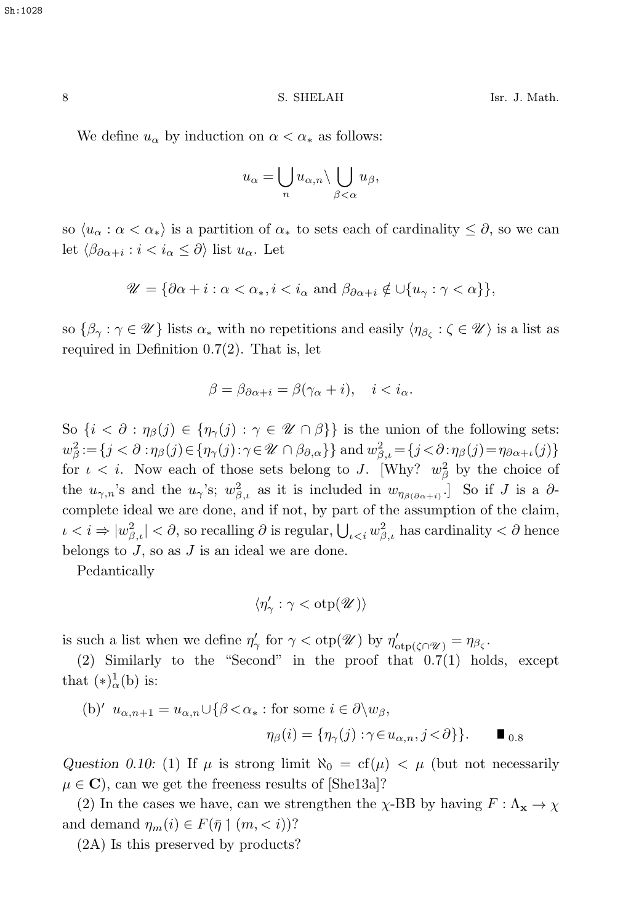We define  $u_{\alpha}$  by induction on  $\alpha < \alpha_*$  as follows:

$$
u_{\alpha} = \bigcup_{n} u_{\alpha,n} \setminus \bigcup_{\beta < \alpha} u_{\beta},
$$

so  $\langle u_\alpha : \alpha < \alpha_* \rangle$  is a partition of  $\alpha_*$  to sets each of cardinality  $\leq \partial$ , so we can let  $\langle \beta_{\partial \alpha + i} : i < i_{\alpha} \leq \partial \rangle$  list  $u_{\alpha}$ . Let

$$
\mathscr{U} = \{ \partial \alpha + i : \alpha < \alpha_*, i < i_\alpha \text{ and } \beta_{\partial \alpha + i} \notin \cup \{ u_\gamma : \gamma < \alpha \} \},
$$

so  $\{\beta_{\gamma} : \gamma \in \mathscr{U}\}\$ lists  $\alpha_*$  with no repetitions and easily  $\langle \eta_{\beta_{\zeta}} : \zeta \in \mathscr{U}\rangle$  is a list as required in Definition 0.7(2). That is, let

$$
\beta = \beta_{\partial \alpha + i} = \beta(\gamma_{\alpha} + i), \quad i < i_{\alpha}.
$$

So  $\{i < \partial : \eta_{\beta}(j) \in \{\eta_{\gamma}(j) : \gamma \in \mathcal{U} \cap \beta\}\}\$ is the union of the following sets:  $w_{\beta}^2 := \{j < \partial : \eta_{\beta}(j) \in \{\eta_{\gamma}(j): \gamma \in \mathcal{U} \cap \beta_{\partial,\alpha}\}\}\$  and  $w_{\beta,\iota}^2 = \{j < \partial : \eta_{\beta}(j) = \eta_{\partial \alpha + \iota}(j)\}\$ for  $\iota < i$ . Now each of those sets belong to J. [Why?  $w_{\beta}^2$  by the choice of the  $u_{\gamma,n}$ 's and the  $u_{\gamma}$ 's;  $w_{\beta,\iota}^2$  as it is included in  $w_{\eta_{\beta(\partial\alpha+i)}}$ . So if J is a  $\partial$ -<br>complete ideal are an alone and if not because of the compution of the claim. complete ideal we are done, and if not, by part of the assumption of the claim,  $\iota < i \Rightarrow |w_{\beta,\iota}^2| < \partial$ , so recalling  $\partial$  is regular,  $\bigcup_{\iota < i} w_{\beta,\iota}^2$  has cardinality  $< \partial$  hence belongs to  $J$ , so as  $J$  is an ideal we are done.

Pedantically

$$
\langle \eta'_{\gamma} : \gamma < \mathrm{otp}(\mathscr{U}) \rangle
$$

is such a list when we define  $\eta'_{\gamma}$  for  $\gamma < \text{otp}(\mathcal{U})$  by  $\eta'_{\text{otp}(\zeta \cap \mathcal{U})} = \eta_{\beta_{\zeta}}$ .<br>(a) Similarly to the "Second" in the group function  $\mathcal{U}^{(1)}$  had

(2) Similarly to the "Second" in the proof that 0.7(1) holds, except that  $(*)^1_\alpha(b)$  is:

(b)' 
$$
u_{\alpha,n+1} = u_{\alpha,n} \cup \{\beta < \alpha_* : \text{for some } i \in \partial \setminus w_{\beta},
$$
  

$$
\eta_{\beta}(i) = \{\eta_{\gamma}(j) : \gamma \in u_{\alpha,n}, j < \partial \}\}.
$$

*Question 0.10:* (1) If  $\mu$  is strong limit  $\aleph_0 = cf(\mu) < \mu$  (but not necessarily  $\mu \in \mathbf{C}$ , can we get the freeness results of [She13a]?

(2) In the cases we have, can we strengthen the  $\chi$ -BB by having  $F : \Lambda_{\mathbf{x}} \to \chi$ and demand  $\eta_m(i) \in F(\bar{\eta} \mid (m, < i))$ ?

(2A) Is this preserved by products?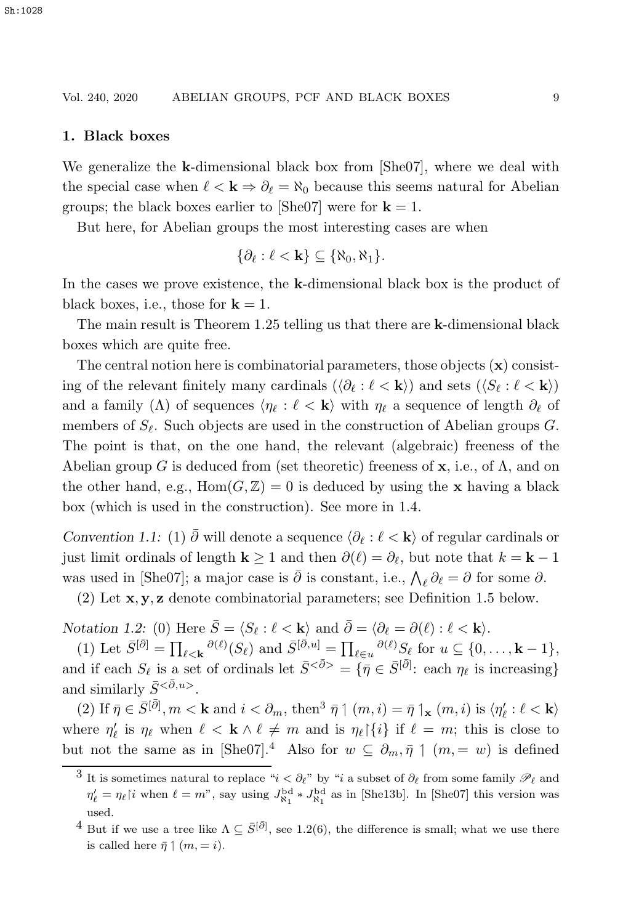## Vol. 240, 2020 ABELIAN GROUPS, PCF AND BLACK BOXES 9

#### **1. Black boxes**

We generalize the **k**-dimensional black box from [She07], where we deal with the special case when  $\ell < \mathbf{k} \Rightarrow \partial_{\ell} = \aleph_0$  because this seems natural for Abelian groups; the black boxes earlier to [She07] were for  $\mathbf{k} = 1$ .

But here, for Abelian groups the most interesting cases are when

$$
\{\partial_{\ell}:\ell<\mathbf{k}\}\subseteq\{\aleph_0,\aleph_1\}.
$$

In the cases we prove existence, the **k**-dimensional black box is the product of black boxes, i.e., those for  $k = 1$ .

The main result is Theorem 1.25 telling us that there are **k**-dimensional black boxes which are quite free.

The central notion here is combinatorial parameters, those objects (**x**) consisting of the relevant finitely many cardinals  $(\langle \partial_{\ell} : \ell \langle \mathbf{k} \rangle)$  and sets  $(\langle S_{\ell} : \ell \langle \mathbf{k} \rangle)$ and a family ( $\Lambda$ ) of sequences  $\langle \eta_\ell : \ell \langle \mathbf{k} \rangle$  with  $\eta_\ell$  a sequence of length  $\partial_\ell$  of members of  $S_{\ell}$ . Such objects are used in the construction of Abelian groups G. The point is that, on the one hand, the relevant (algebraic) freeness of the Abelian group G is deduced from (set theoretic) freeness of **x**, i.e., of Λ, and on the other hand, e.g.,  $Hom(G, \mathbb{Z}) = 0$  is deduced by using the **x** having a black box (which is used in the construction). See more in 1.4.

*Convention 1.1:* (1)  $\overline{\partial}$  will denote a sequence  $\langle \partial_{\ell} : \ell \times \mathbf{k} \rangle$  of regular cardinals or just limit ordinals of length **k** ≥ 1 and then  $\partial(\ell) = \partial_{\ell}$ , but note that  $k = \mathbf{k} - 1$ was used in [She07]; a major case is  $\bar{\partial}$  is constant, i.e.,  $\bigwedge_{\ell} \partial_{\ell} = \partial$  for some  $\partial$ .<br>(2) Let us used used a surplicate via learned was as Definition 1.5 holomo

(2) Let **x**, **y**, **z** denote combinatorial parameters; see Definition 1.5 below.

*Notation 1.2:* (0) Here  $\bar{S} = \langle S_\ell : \ell < \mathbf{k} \rangle$  and  $\bar{\partial} = \langle \partial_\ell = \partial(\ell) : \ell < \mathbf{k} \rangle$ .<br>  $\langle \cdot \rangle$ ,  $\bar{S}^{(\bar{\partial})}$ ,  $\sum_{\alpha} \partial(\ell) \langle \cdot \rangle$ ,  $\bar{S}^{(\bar{\partial}, \alpha)}$ ,  $\sum_{\alpha} \partial(\ell) \langle \cdot \rangle$ ,  $\bar{S}^{(\alpha)}$ ,  $\bar{S}^{(\alpha)}$ ,  $\bar{S}^{(\alpha)}$ ,  $\bar{S}^{(\$ 

(1) Let  $\bar{S}^{[\bar{\partial}]} = \prod_{\ell \leq \mathbf{k}} \frac{\partial(\ell)}{\partial(\ell)}(S_{\ell})$  and  $\bar{S}^{[\bar{\partial},u]} = \prod_{\ell \in u} \frac{\partial(\ell)}{\partial(\ell)} S_{\ell}$  for  $u \subseteq \{0,\ldots,\mathbf{k}-1\}$ , and if each  $S_{\ell}$  is a set of ordinals let  $\bar{S}^{<\bar{\partial}>} = {\bar{\eta} \in \bar{S}^{[\bar{\partial}]}}$ : each  $\eta_{\ell}$  is increasing} and similarly  $\bar{S}^{<\bar{\partial},u>}$ .

(2) If  $\bar{\eta} \in \bar{S}^{[\bar{\partial}]}, m < \mathbf{k}$  and  $i < \partial_m$ , then<sup>3</sup>  $\bar{\eta} \uparrow (m, i) = \bar{\eta} \uparrow_{\mathbf{x}} (m, i)$  is  $\langle \eta'_\ell : \ell < \mathbf{k} \rangle$ where  $\eta'_{\ell}$  is  $\eta_{\ell}$  when  $\ell < \mathbf{k} \wedge \ell \neq m$  and is  $\eta_{\ell}[\{i\}]$  if  $\ell = m$ ; this is close to but not the same as in [She07].<sup>4</sup> Also for  $w \subseteq \partial_m, \bar{\eta} \mid (m, = w)$  is defined

<sup>&</sup>lt;sup>3</sup> It is sometimes natural to replace " $i < ∂<sub>l</sub>$ " by "i a subset of  $∂<sub>l</sub>$  from some family  $\mathscr{P}<sub>l</sub>$  and  $\eta'_{\ell} = \eta_{\ell}$  |i when  $\ell = m^{\nu}$ , say using  $J_{\aleph_1}^{\rm bd} * J_{\aleph_1}^{\rm bd}$  as in [She13b]. In [She07] this version was used.

<sup>&</sup>lt;sup>4</sup> But if we use a tree like  $\Lambda \subseteq \bar{S}^{[\bar{\partial}]}$ , see 1.2(6), the difference is small; what we use there is called here  $\bar{\eta} \mid (m, = i)$ .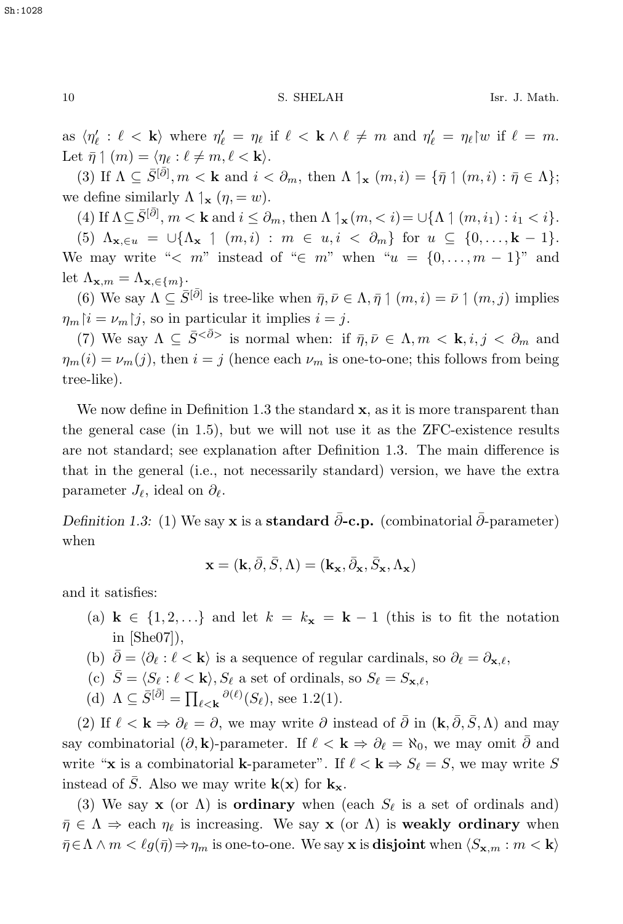as  $\langle \eta'_{\ell} : \ell < \mathbf{k} \rangle$  where  $\eta'_{\ell} = \eta_{\ell}$  if  $\ell < \mathbf{k} \wedge \ell \neq m$  and  $\eta'_{\ell} = \eta_{\ell}$  or if  $\ell = m$ . Let  $\bar{\eta} \uparrow (m) = \langle \eta_{\ell} : \ell \neq m, \ell < \mathbf{k} \rangle$ .

(3) If  $\Lambda \subseteq \overline{S^{[\partial]}}, m < k$  and  $i < \partial_m$ , then  $\Lambda \upharpoonright_{\mathbf{x}} (m, i) = \{\bar{\eta} \upharpoonright (m, i) : \bar{\eta} \in \Lambda\};$ we define similarly  $\Lambda \, |_{\mathbf{x}} (\eta, = w)$ .

(4) If  $\Lambda \subseteq \bar{S}^{[\bar{\partial}]}, m < k$  and  $i \leq \partial_m$ , then  $\Lambda \upharpoonright_{\mathbf{x}} (m, < i) = \cup \{\Lambda \upharpoonright (m, i_1) : i_1 < i\}.$ 

(5)  $\Lambda_{\mathbf{x},\in u} = \bigcup \{\Lambda_{\mathbf{x}} \mid (m,i) : m \in u, i \in \partial_m\}$  for  $u \subseteq \{0,\ldots,\mathbf{k}-1\}.$ We may write "< m" instead of " $\in m$ " when " $u = \{0, \ldots, m-1\}$ " and let  $\Lambda_{\mathbf{x},m} = \Lambda_{\mathbf{x},\in\{m\}}$ .

(6) We say  $\Lambda \subseteq \overline{S}^{[\overline{\partial}]}$  is tree-like when  $\overline{\eta}, \overline{\nu} \in \Lambda, \overline{\eta} \upharpoonright (m, i) = \overline{\nu} \upharpoonright (m, j)$  implies  $\eta_m | i = \nu_m | j$ , so in particular it implies  $i = j$ .

(7) We say  $\Lambda \subseteq \bar{S}^{<\bar{\partial}\rangle}$  is normal when: if  $\bar{\eta}, \bar{\nu} \in \Lambda, m < \mathbf{k}, i, j < \partial_m$  and  $\eta_m(i) = \nu_m(j)$ , then  $i = j$  (hence each  $\nu_m$  is one-to-one; this follows from being tree-like).

We now define in Definition 1.3 the standard **x**, as it is more transparent than the general case (in 1.5), but we will not use it as the ZFC-existence results are not standard; see explanation after Definition 1.3. The main difference is that in the general (i.e., not necessarily standard) version, we have the extra parameter  $J_{\ell}$ , ideal on  $\partial_{\ell}$ .

*Definition 1.3:* (1) We say **x** is a **standard**  $\bar{\partial}$ -**c.p.** (combinatorial  $\bar{\partial}$ -parameter) when

$$
\mathbf{x} = (\mathbf{k}, \bar{\partial}, \bar{S}, \Lambda) = (\mathbf{k}_{\mathbf{x}}, \bar{\partial}_{\mathbf{x}}, \bar{S}_{\mathbf{x}}, \Lambda_{\mathbf{x}})
$$

and it satisfies:

- (a)  $\mathbf{k} \in \{1, 2, \ldots\}$  and let  $k = k_{\mathbf{x}} = \mathbf{k} 1$  (this is to fit the notation in [She07]),
- (b)  $\bar{\partial} = \langle \partial_{\ell} : \ell \langle \mathbf{k} \rangle$  is a sequence of regular cardinals, so  $\partial_{\ell} = \partial_{\mathbf{x},\ell}$ ,
- (c)  $\bar{S} = \langle S_\ell : \ell < \mathbf{k} \rangle, S_\ell$  a set of ordinals, so  $S_\ell = S_{\mathbf{x},\ell}$ ,
- (d)  $\Lambda \subseteq \overline{S}^{[\overline{\partial}]} = \prod_{\ell < \mathbf{k}} \frac{\partial(\ell)}{\partial(\ell)}(S_{\ell}),$  see 1.2(1).

(2) If  $\ell < \mathbf{k} \Rightarrow \partial_{\ell} = \partial$ , we may write  $\partial$  instead of  $\bar{\partial}$  in  $(\mathbf{k}, \bar{\partial}, \bar{S}, \Lambda)$  and may say combinatorial  $(\partial, \mathbf{k})$ -parameter. If  $\ell < \mathbf{k} \Rightarrow \partial_{\ell} = \aleph_0$ , we may omit  $\overline{\partial}$  and write "**x** is a combinatorial **k**-parameter". If  $\ell < \mathbf{k} \Rightarrow S_{\ell} = S$ , we may write S instead of  $\overline{S}$ . Also we may write  $\mathbf{k}(\mathbf{x})$  for  $\mathbf{k}_{\mathbf{x}}$ .

(3) We say **x** (or  $\Lambda$ ) is **ordinary** when (each  $S_{\ell}$  is a set of ordinals and)  $\bar{\eta} \in \Lambda \Rightarrow$  each  $\eta_{\ell}$  is increasing. We say **x** (or  $\Lambda$ ) is **weakly ordinary** when  $\bar{\eta} \in \Lambda \wedge m < \ell g(\bar{\eta}) \Rightarrow \eta_m$  is one-to-one. We say **x** is **disjoint** when  $\langle S_{\mathbf{x},m} : m \times \mathbf{k} \rangle$ 

Sh:1028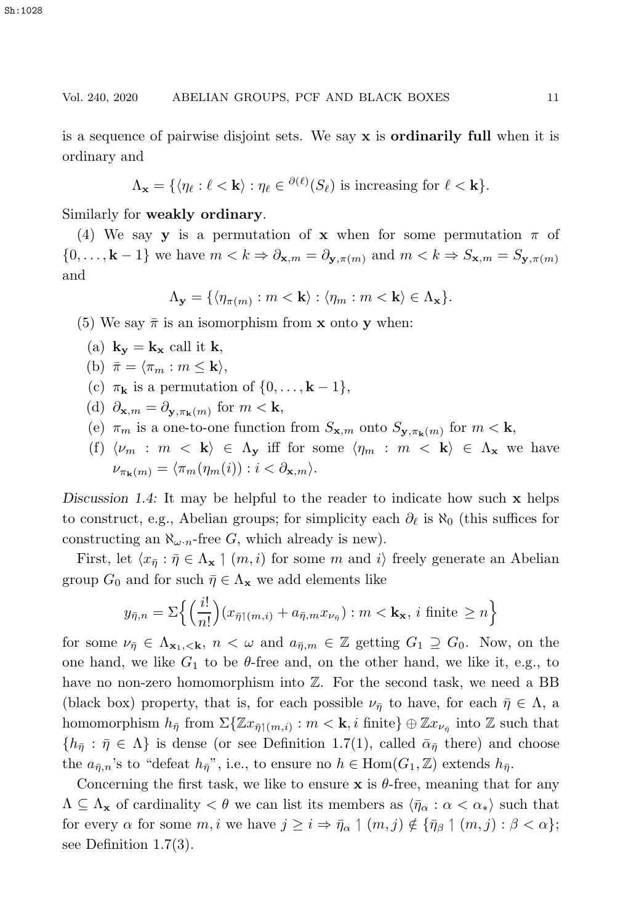#### Vol. 240, 2020 ABELIAN GROUPS, PCF AND BLACK BOXES 11

is a sequence of pairwise disjoint sets. We say **x** is **ordinarily full** when it is ordinary and

$$
\Lambda_{\mathbf{x}} = \{ \langle \eta_{\ell} : \ell < \mathbf{k} \rangle : \eta_{\ell} \in {}^{\partial(\ell)}(S_{\ell}) \text{ is increasing for } \ell < \mathbf{k} \}.
$$

Similarly for **weakly ordinary**.

(4) We say **y** is a permutation of **x** when for some permutation  $\pi$  of  $\{0,\ldots,\mathbf{k}-1\}$  we have  $m < k \Rightarrow \partial_{\mathbf{x},m} = \partial_{\mathbf{y},\pi(m)}$  and  $m < k \Rightarrow S_{\mathbf{x},m} = S_{\mathbf{y},\pi(m)}$ and

$$
\Lambda_{\mathbf{y}} = \{ \langle \eta_{\pi(m)} : m < \mathbf{k} \rangle : \langle \eta_m : m < \mathbf{k} \rangle \in \Lambda_{\mathbf{x}} \}.
$$

(5) We say  $\bar{\pi}$  is an isomorphism from **x** onto **y** when:

(a)  $\mathbf{k_v} = \mathbf{k_x}$  call it **k**,

(b)  $\bar{\pi} = \langle \pi_m : m \leq \mathbf{k} \rangle$ ,

(c)  $\pi_{\mathbf{k}}$  is a permutation of  $\{0,\ldots,\mathbf{k}-1\}$ ,

(d)  $\partial_{\mathbf{x},m} = \partial_{\mathbf{y},\pi_{\mathbf{k}}(m)}$  for  $m < \mathbf{k}$ ,

(e)  $\pi_m$  is a one-to-one function from  $S_{\mathbf{x},m}$  onto  $S_{\mathbf{y},\pi_{\mathbf{k}}(m)}$  for  $m < \mathbf{k}$ ,

(f)  $\langle \nu_m : m \langle \mathbf{k} \rangle \in \Lambda_\mathbf{y}$  iff for some  $\langle \eta_m : m \langle \mathbf{k} \rangle \in \Lambda_\mathbf{x}$  we have  $\nu_{\pi_k(m)} = \langle \pi_m(\eta_m(i)) : i < \partial_{\mathbf{x},m} \rangle.$ 

*Discussion 1.4:* It may be helpful to the reader to indicate how such **x** helps to construct, e.g., Abelian groups; for simplicity each  $\partial_{\ell}$  is  $\aleph_0$  (this suffices for constructing an  $\aleph_{\omega \cdot n}$ -free G, which already is new).

First, let  $\langle x_{\overline{\eta}} : \overline{\eta} \in \Lambda_{\mathbf{x}} \setminus (m, i)$  for some m and  $i \rangle$  freely generate an Abelian group  $G_0$  and for such  $\bar{\eta} \in \Lambda_{\mathbf{x}}$  we add elements like

$$
y_{\bar{\eta},n} = \Sigma \left\{ \left( \frac{i!}{n!} \right) (x_{\bar{\eta} | (m,i)} + a_{\bar{\eta},m} x_{\nu_{\bar{\eta}}} ): m < \mathbf{k_x}, i \text{ finite } \geq n \right\}
$$

for some  $\nu_{\bar{\eta}} \in \Lambda_{\mathbf{x}_1,\leq \mathbf{k}}$ ,  $n < \omega$  and  $a_{\bar{\eta},m} \in \mathbb{Z}$  getting  $G_1 \supseteq G_0$ . Now, on the one hand, we like  $G_1$  to be  $\theta$ -free and, on the other hand, we like it, e.g., to have no non-zero homomorphism into  $\mathbb Z$ . For the second task, we need a BB (black box) property, that is, for each possible  $\nu_{\bar{\eta}}$  to have, for each  $\bar{\eta} \in \Lambda$ , a homomorphism  $h_{\bar{\eta}}$  from  $\Sigma \{ \mathbb{Z} x_{\bar{\eta}}_{|(m,i)} : m < \mathbf{k}, i \text{ finite} \} \oplus \mathbb{Z} x_{\nu_{\bar{\eta}}}$  into  $\mathbb{Z}$  such that  $\{h_{\bar{n}} : \bar{\eta} \in \Lambda\}$  is dense (or see Definition 1.7(1), called  $\bar{\alpha}_{\bar{n}}$  there) and choose the  $a_{\bar{\eta},n}$ 's to "defeat  $h_{\bar{\eta}}$ ", i.e., to ensure no  $h \in \text{Hom}(G_1,\mathbb{Z})$  extends  $h_{\bar{\eta}}$ .

Concerning the first task, we like to ensure **x** is  $\theta$ -free, meaning that for any  $\Lambda \subseteq \Lambda_{\mathbf{x}}$  of cardinality  $\langle \theta \rangle$  we can list its members as  $\langle \bar{\eta}_{\alpha} : \alpha \langle \alpha_{*} \rangle$  such that for every  $\alpha$  for some  $m, i$  we have  $j \geq i \Rightarrow \bar{\eta}_{\alpha} \mid (m, j) \notin \{\bar{\eta}_{\beta} \mid (m, j) : \beta < \alpha\};$ see Definition 1.7(3).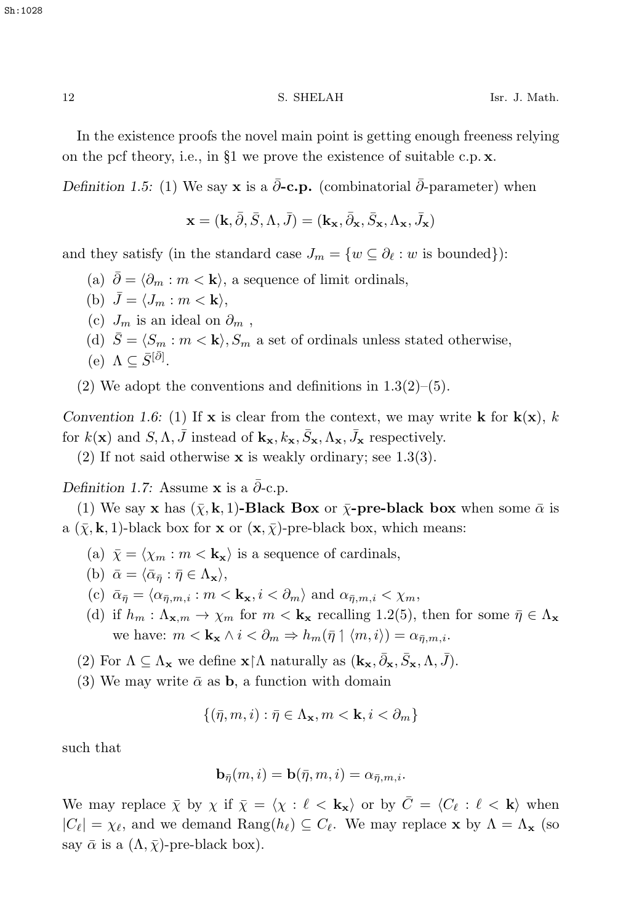In the existence proofs the novel main point is getting enough freeness relying on the pcf theory, i.e., in §1 we prove the existence of suitable c.p. **x**.

*Definition 1.5:* (1) We say **x** is a  $\bar{\partial}$ -**c.p.** (combinatorial  $\bar{\partial}$ -parameter) when

$$
\mathbf{x}=(\mathbf{k},\bar{\partial},\bar{S},\Lambda,\bar{J})=(\mathbf{k}_{\mathbf{x}},\bar{\partial}_{\mathbf{x}},\bar{S}_{\mathbf{x}},\Lambda_{\mathbf{x}},\bar{J}_{\mathbf{x}})
$$

and they satisfy (in the standard case  $J_m = \{w \subseteq \partial_\ell : w \text{ is bounded}\}\$ :

- (a)  $\bar{\partial} = \langle \partial_m : m < \mathbf{k} \rangle$ , a sequence of limit ordinals,
- (b)  $\bar{J} = \langle J_m : m < \mathbf{k} \rangle$ ,
- (c)  $J_m$  is an ideal on  $\partial_m$ ,

.

(d)  $\bar{S} = \langle S_m : m \langle \mathbf{k} \rangle, S_m$  a set of ordinals unless stated otherwise,

$$
(e) \ \Lambda \subseteq \overline{S}^{[\overline{\partial}]}
$$

 $(2)$  We adopt the conventions and definitions in  $1.3(2)$ – $(5)$ .

*Convention 1.6:* (1) If **x** is clear from the context, we may write **k** for  $\mathbf{k}(\mathbf{x})$ , k for  $k(\mathbf{x})$  and  $S, \Lambda, \bar{J}$  instead of  $\mathbf{k}_{\mathbf{x}}, k_{\mathbf{x}}, \bar{S}_{\mathbf{x}}, \Lambda_{\mathbf{x}}, \bar{J}_{\mathbf{x}}$  respectively.

(2) If not said otherwise **x** is weakly ordinary; see 1.3(3).

*Definition 1.7:* Assume **x** is a  $\bar{\partial}$ -c.p.

(1) We say **x** has  $(\bar{\chi}, k, 1)$ -**Black Box** or  $\bar{\chi}$ -pre-black box when some  $\bar{\alpha}$  is a  $(\bar{x}, k, 1)$ -black box for **x** or  $(\mathbf{x}, \bar{x})$ -pre-black box, which means:

- (a)  $\bar{\chi} = \langle \chi_m : m < \mathbf{k_x} \rangle$  is a sequence of cardinals,
- (b)  $\bar{\alpha} = \langle \bar{\alpha}_{\bar{\eta}} : \bar{\eta} \in \Lambda_{\mathbf{x}} \rangle$ ,
- (c)  $\bar{\alpha}_{\bar{n}} = \langle \alpha_{\bar{n},m,i} : m < \mathbf{k_x}, i < \partial_m \rangle$  and  $\alpha_{\bar{n},m,i} < \chi_m$ ,
- (d) if  $h_m: \Lambda_{\mathbf{x},m} \to \chi_m$  for  $m < \mathbf{k}_{\mathbf{x}}$  recalling 1.2(5), then for some  $\bar{\eta} \in \Lambda_{\mathbf{x}}$ we have:  $m < \mathbf{k}_{\mathbf{x}} \wedge i < \partial_m \Rightarrow h_m(\bar{\eta} \mid \langle m, i \rangle) = \alpha_{\bar{\eta},m,i}$ .
- (2) For  $\Lambda \subseteq \Lambda_{\mathbf{x}}$  we define  $\mathbf{x} \upharpoonright \Lambda$  naturally as  $(\mathbf{k}_{\mathbf{x}}, \bar{\partial}_{\mathbf{x}}, \bar{S}_{\mathbf{x}}, \Lambda, \bar{J})$ .
- (3) We may write  $\bar{\alpha}$  as **b**, a function with domain

$$
\{(\bar{\eta}, m, i) : \bar{\eta} \in \Lambda_{\mathbf{x}}, m < \mathbf{k}, i < \partial_m\}
$$

such that

$$
\mathbf{b}_{\bar{\eta}}(m,i) = \mathbf{b}(\bar{\eta},m,i) = \alpha_{\bar{\eta},m,i}.
$$

We may replace  $\bar{\chi}$  by  $\chi$  if  $\bar{\chi} = \langle \chi : \ell \langle \mathbf{k}_x \rangle$  or by  $\bar{C} = \langle C_\ell : \ell \langle \mathbf{k} \rangle$  when  $|C_{\ell}| = \chi_{\ell}$ , and we demand Rang $(h_{\ell}) \subseteq C_{\ell}$ . We may replace **x** by  $\Lambda = \Lambda_{\mathbf{x}}$  (so say  $\bar{\alpha}$  is a  $(\Lambda, \bar{\chi})$ -pre-black box).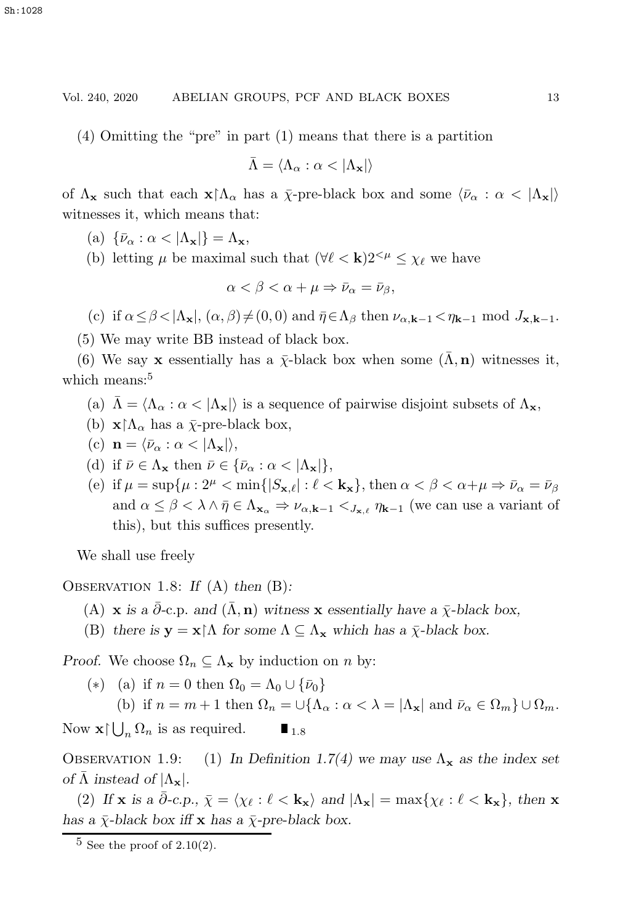(4) Omitting the "pre" in part (1) means that there is a partition

$$
\bar{\Lambda} = \langle \Lambda_{\alpha} : \alpha < |\Lambda_{\mathbf{x}}| \rangle
$$

of  $\Lambda_{\mathbf{x}}$  such that each  $\mathbf{x} \restriction \Lambda_{\alpha}$  has a  $\bar{\chi}$ -pre-black box and some  $\langle \bar{\nu}_{\alpha} : \alpha \langle \Lambda_{\mathbf{x}} \rangle$ witnesses it, which means that:

(a)  $\{\bar{\nu}_{\alpha} : \alpha < |\Lambda_{\mathbf{x}}|\} = \Lambda_{\mathbf{x}},$ 

(b) letting  $\mu$  be maximal such that  $(\forall \ell < \mathbf{k}) 2^{<\mu} \leq \chi_{\ell}$  we have

 $\alpha < \beta < \alpha + \mu \Rightarrow \bar{\nu}_\alpha = \bar{\nu}_\beta,$ 

(c) if  $\alpha \leq \beta < |\Lambda_{\mathbf{x}}|, (\alpha, \beta) \neq (0, 0)$  and  $\bar{\eta} \in \Lambda_{\beta}$  then  $\nu_{\alpha, \mathbf{k}-1} < \eta_{\mathbf{k}-1}$  mod  $J_{\mathbf{x}, \mathbf{k}-1}$ .

(5) We may write BB instead of black box.

(6) We say **x** essentially has a  $\bar{\chi}$ -black box when some  $(\bar{\Lambda}, n)$  witnesses it, which means:<sup>5</sup>

- (a)  $\bar{\Lambda} = \langle \Lambda_{\alpha} : \alpha \langle \Lambda_{\mathbf{x}} \rangle$  is a sequence of pairwise disjoint subsets of  $\Lambda_{\mathbf{x}}$ ,
- (b)  $\mathbf{x} \restriction \Lambda_\alpha$  has a  $\bar{\chi}$ -pre-black box,
- (c)  $\mathbf{n} = \langle \bar{\nu}_{\alpha} : \alpha < |\Lambda_{\mathbf{x}}| \rangle$ ,
- (d) if  $\bar{\nu} \in \Lambda_{\mathbf{x}}$  then  $\bar{\nu} \in {\bar{\nu}_{\alpha} : \alpha < |\Lambda_{\mathbf{x}}|}$ ,
- (e) if  $\mu = \sup \{ \mu : 2^{\mu} < \min \{ |S_{\mathbf{x},\ell}| : \ell < \mathbf{k}_{\mathbf{x}} \}, \text{ then } \alpha < \beta < \alpha + \mu \Rightarrow \bar{\nu}_{\alpha} = \bar{\nu}_{\beta} \}$ and  $\alpha \leq \beta < \lambda \wedge \bar{\eta} \in \Lambda_{\mathbf{x}_{\alpha}} \Rightarrow \nu_{\alpha,\mathbf{k}-1} <_{J_{\mathbf{x},\ell}} \eta_{\mathbf{k}-1}$  (we can use a variant of this), but this suffices presently.

We shall use freely

Observation 1.8: *If* (A) *then* (B)*:*

- (A) **x** *is a*  $\partial$ -c.p. *and*  $(\Lambda, \mathbf{n})$  *witness* **x** *essentially have a*  $\bar{\chi}$ -black box,
- (B) *there is*  $\mathbf{y} = \mathbf{x} \restriction \Lambda$  *for some*  $\Lambda \subseteq \Lambda_{\mathbf{x}}$  *which has a*  $\bar{\chi}$ -black box.

*Proof.* We choose  $\Omega_n \subseteq \Lambda_{\mathbf{x}}$  by induction on n by:

(\*) (a) if  $n = 0$  then  $\Omega_0 = \Lambda_0 \cup {\bar{\nu}_0}$ (b) if  $n = m + 1$  then  $\Omega_n = \bigcup \{ \Lambda_\alpha : \alpha < \lambda = |\Lambda_\mathbf{x}| \text{ and } \overline{\nu}_\alpha \in \Omega_m \} \cup \Omega_m$ .

Now  $\mathbf{x} \mid \bigcup_n \Omega_n$  is as required.  $\blacksquare_{1.8}$ 

OBSERVATION 1.9: (1) In Definition 1.7(4) we may use  $\Lambda_{\mathbf{x}}$  as the index set *of*  $\bar{\Lambda}$  *instead of*  $|\Lambda_{\mathbf{x}}|$ *.* 

(2) If **x** is a  $\bar{\partial}$ -c.p.,  $\bar{\chi} = \langle \chi_{\ell} : \ell \langle \mathbf{k_x} \rangle \rangle$  and  $|\Lambda_{\mathbf{x}}| = \max{\chi_{\ell} : \ell \langle \mathbf{k_x} \rangle}$ , then **x** *has a*  $\bar{\chi}$ -*black box iff* **x** *has a*  $\bar{\chi}$ -*pre-black box.* 

 $5$  See the proof of  $2.10(2)$ .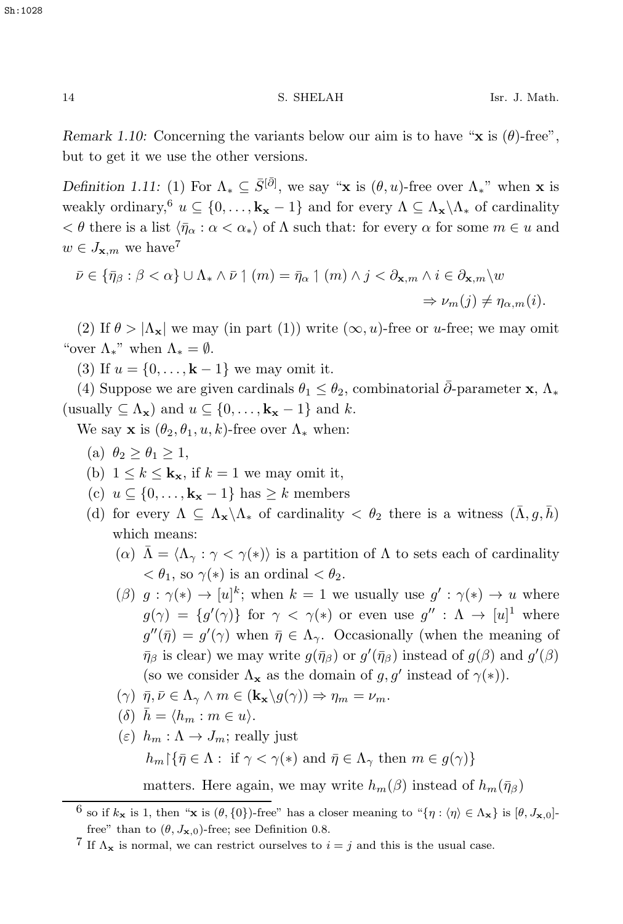Sh:1028

14 S. SHELAH Isr. J. Math.

*Remark 1.10:* Concerning the variants below our aim is to have "**x** is  $(\theta)$ -free", but to get it we use the other versions.

*Definition 1.11:* (1) For  $\Lambda_* \subseteq \overline{S}^{[\overline{\partial}]}$ , we say "**x** is  $(\theta, u)$ -free over  $\Lambda_*$ " when **x** is weakly ordinary,<sup>6</sup>  $u \subseteq \{0, \ldots, k_{x} - 1\}$  and for every  $\Lambda \subseteq \Lambda_{x} \backslash \Lambda_{*}$  of cardinality  $< \theta$  there is a list  $\langle \bar{\eta}_{\alpha} : \alpha < \alpha_{*} \rangle$  of  $\Lambda$  such that: for every  $\alpha$  for some  $m \in u$  and  $w \in J_{\mathbf{x},m}$  we have<sup>7</sup>

$$
\bar{\nu} \in \{\bar{\eta}_{\beta} : \beta < \alpha\} \cup \Lambda_* \wedge \bar{\nu} \upharpoonright (m) = \bar{\eta}_{\alpha} \upharpoonright (m) \wedge j < \partial_{\mathbf{x},m} \wedge i \in \partial_{\mathbf{x},m} \setminus w
$$

$$
\Rightarrow \nu_m(j) \neq \eta_{\alpha,m}(i).
$$

(2) If  $\theta > |\Lambda_{\mathbf{x}}|$  we may (in part (1)) write  $(\infty, u)$ -free or u-free; we may omit "over  $\Lambda_*$ " when  $\Lambda_* = \emptyset$ .

(3) If  $u = \{0, ..., k-1\}$  we may omit it.

(4) Suppose we are given cardinals  $\theta_1 \leq \theta_2$ , combinatorial  $\bar{\partial}$ -parameter **x**,  $\Lambda_*$ (usually  $\subseteq \Lambda_{\mathbf{x}}$ ) and  $u \subseteq \{0, \ldots, \mathbf{k}_{\mathbf{x}} - 1\}$  and k.

We say **x** is  $(\theta_2, \theta_1, u, k)$ -free over  $\Lambda_*$  when:

- (a)  $\theta_2 > \theta_1 > 1$ ,
- (b)  $1 \leq k \leq \mathbf{k_x}$ , if  $k = 1$  we may omit it,
- (c)  $u \subseteq \{0, ..., \mathbf{k_x} 1\}$  has ≥ k members
- (d) for every  $\Lambda \subseteq \Lambda_{\mathbf{x}} \backslash \Lambda_{*}$  of cardinality  $\langle \theta_2 \rangle$  there is a witness  $(\bar{\Lambda}, g, \bar{h})$ which means:
	- (α)  $\bar{\Lambda} = \langle \Lambda_{\gamma} : \gamma < \gamma(*) \rangle$  is a partition of  $\Lambda$  to sets each of cardinality  $< \theta_1$ , so  $\gamma(*)$  is an ordinal  $< \theta_2$ .
	- $(\beta)$   $g: \gamma(*) \to [u]^k$ ; when  $k = 1$  we usually use  $g': \gamma(*) \to u$  where  $g(\gamma) = \{g'(\gamma)\}\$ for  $\gamma < \gamma(*)$  or even use  $g'' : \Lambda \to [u]^1$  where  $g''(\bar{\eta}) = g'(\gamma)$  when  $\bar{\eta} \in \Lambda_{\gamma}$ . Occasionally (when the meaning of  $\bar{\eta}_{\beta}$  is clear) we may write  $g(\bar{\eta}_{\beta})$  or  $g'(\bar{\eta}_{\beta})$  instead of  $g(\beta)$  and  $g'(\beta)$ (so we consider  $\Lambda_{\mathbf{x}}$  as the domain of g, g' instead of  $\gamma(*)$ ).
	- $(\gamma)$   $\bar{\eta}, \bar{\nu} \in \Lambda_{\gamma} \wedge m \in (\mathbf{k}_{\mathbf{x}}\backslash g(\gamma)) \Rightarrow \eta_m = \nu_m.$
	- $(\delta)$   $\bar{h} = \langle h_m : m \in u \rangle$ .
	- $(\varepsilon)$   $h_m : \Lambda \to J_m$ ; really just  $h_m\{\bar{\eta}\in\Lambda: \text{ if } \gamma<\gamma(*) \text{ and } \bar{\eta}\in\Lambda_\gamma \text{ then } m\in g(\gamma)\}\$ matters. Here again, we may write  $h_m(\beta)$  instead of  $h_m(\bar{\eta}_\beta)$

<sup>&</sup>lt;sup>6</sup> so if  $k_x$  is 1, then "**x** is  $(\theta, \{0\})$ -free" has a closer meaning to " $\{\eta : \langle \eta \rangle \in \Lambda_x\}$  is  $[\theta, J_{\mathbf{x},0}]$ free" than to  $(\theta, J_{\mathbf{x},0})$ -free; see Definition 0.8.

<sup>&</sup>lt;sup>7</sup> If  $\Lambda_{\mathbf{x}}$  is normal, we can restrict ourselves to  $i = j$  and this is the usual case.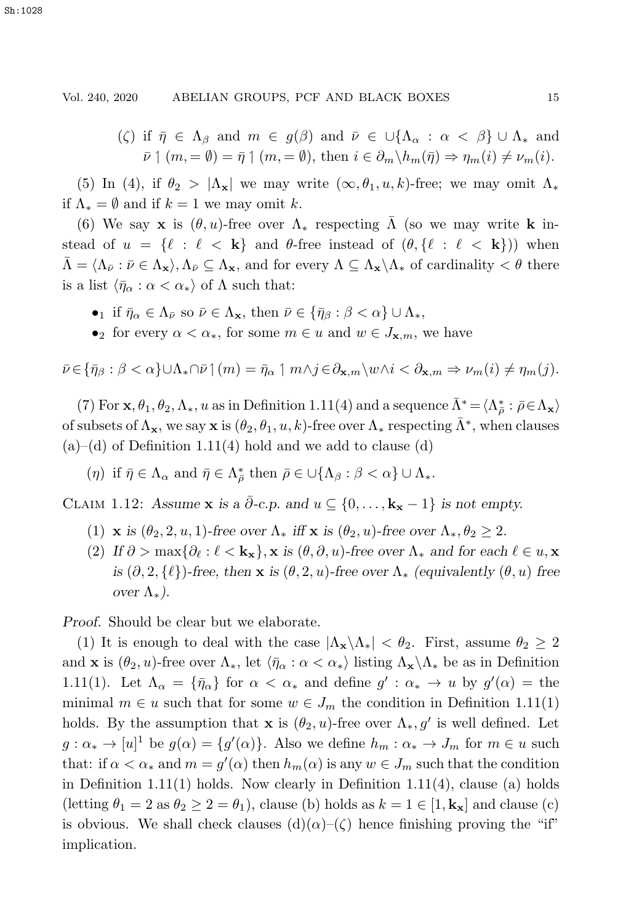(ζ) if  $\bar{\eta} \in \Lambda_{\beta}$  and  $m \in g(\beta)$  and  $\bar{\nu} \in \cup \{\Lambda_{\alpha} : \alpha < \beta\} \cup \Lambda_{*}$  and  $\bar{\nu} \uparrow (m, = \emptyset) = \bar{\eta} \uparrow (m, = \emptyset), \text{ then } i \in \partial_m \backslash h_m(\bar{\eta}) \Rightarrow \eta_m(i) \neq \nu_m(i).$ 

(5) In (4), if  $\theta_2 > |\Lambda_{\mathbf{x}}|$  we may write  $(\infty, \theta_1, u, k)$ -free; we may omit  $\Lambda_*$ if  $\Lambda_* = \emptyset$  and if  $k = 1$  we may omit k.

(6) We say **x** is  $(\theta, u)$ -free over  $\Lambda_*$  respecting  $\overline{\Lambda}$  (so we may write **k** instead of  $u = \{ \ell : \ell < \mathbf{k} \}$  and  $\theta$ -free instead of  $(\theta, \{ \ell : \ell < \mathbf{k} \})$  when  $\bar{\Lambda} = \langle \Lambda_{\bar{\nu}} : \bar{\nu} \in \Lambda_{\mathbf{x}} \rangle, \Lambda_{\bar{\nu}} \subseteq \Lambda_{\mathbf{x}},$  and for every  $\Lambda \subseteq \Lambda_{\mathbf{x}} \backslash \Lambda_{*}$  of cardinality  $\langle \theta \rangle$  there is a list  $\langle \bar{\eta}_{\alpha} : \alpha < \alpha_* \rangle$  of  $\Lambda$  such that:

- •<sub>1</sub> if  $\bar{\eta}_{\alpha} \in \Lambda_{\bar{\nu}}$  so  $\bar{\nu} \in \Lambda_{\mathbf{x}}$ , then  $\bar{\nu} \in {\bar{\eta}_{\beta} : \beta < \alpha} \cup \Lambda_{\ast}$ ,
- •<sub>2</sub> for every  $\alpha < \alpha_*$ , for some  $m \in u$  and  $w \in J_{\mathbf{x},m}$ , we have

 $\bar{\nu} \in {\{\bar{\eta}_{\beta} : \beta < \alpha\}} \cup \Lambda_* \cap \bar{\nu} \mid (m) = \bar{\eta}_{\alpha} \mid m \wedge j \in \partial_{\mathbf{x},m} \setminus w \wedge i < \partial_{\mathbf{x},m} \Rightarrow \nu_m(i) \neq \eta_m(j).$ 

(7) For  $\mathbf{x}, \theta_1, \theta_2, \Lambda_*, u$  as in Definition 1.11(4) and a sequence  $\bar{\Lambda}^* = \langle \Lambda^*_\rho : \bar{\rho} \in \Lambda_{\mathbf{x}} \rangle$ of subsets of  $\Lambda_{\mathbf{x}}$ , we say **x** is  $(\theta_2, \theta_1, u, k)$ -free over  $\Lambda_*$  respecting  $\bar{\Lambda}^*$ , when clauses  $(a)$ –(d) of Definition 1.11(4) hold and we add to clause (d)

(η) if  $\bar{\eta} \in \Lambda_{\alpha}$  and  $\bar{\eta} \in \Lambda_{\bar{\rho}}^*$  then  $\bar{\rho} \in \cup \{\Lambda_{\beta} : \beta < \alpha\} \cup \Lambda_*$ .

CLAIM 1.12: *Assume* **x** *is a*  $\bar{\partial}$ -*c.p.* and  $u \subseteq \{0, ..., \mathbf{k_x} - 1\}$  *is not empty.* 

- (1) **x** *is*  $(\theta_2, 2, u, 1)$ *-free over*  $\Lambda_*$  *iff* **x** *is*  $(\theta_2, u)$ *-free over*  $\Lambda_*, \theta_2 \geq 2$ *.*
- (2) If  $\partial > \max{\partial_{\ell} : \ell < \mathbf{k_x}}$ , **x** is  $(\theta, \partial, u)$ -free over  $\Lambda_*$  and for each  $\ell \in u$ , **x** *is*  $(\partial, 2, {\ell})$ *-free, then* **x** *is*  $(\theta, 2, u)$ *-free over*  $\Lambda_*$  *(equivalently*  $(\theta, u)$  *free over*  $\Lambda_*$ ).

*Proof.* Should be clear but we elaborate.

(1) It is enough to deal with the case  $|\Lambda_{\mathbf{x}} \backslash \Lambda_{*}| < \theta_2$ . First, assume  $\theta_2 \geq 2$ and **x** is  $(\theta_2, u)$ -free over  $\Lambda_*$ , let  $\langle \bar{\eta}_\alpha : \alpha < \alpha_* \rangle$  listing  $\Lambda_{\mathbf{x}} \setminus \Lambda_*$  be as in Definition 1.11(1). Let  $\Lambda_{\alpha} = {\bar{\eta}_{\alpha}}$  for  $\alpha < \alpha_*$  and define  $g' : \alpha_* \to u$  by  $g'(\alpha) =$  the minimal  $m \in u$  such that for some  $w \in J_m$  the condition in Definition 1.11(1) holds. By the assumption that **x** is  $(\theta_2, u)$ -free over  $\Lambda_*, g'$  is well defined. Let  $g: \alpha_* \to [u]^1$  be  $g(\alpha) = \{g'(\alpha)\}\.$  Also we define  $h_m: \alpha_* \to J_m$  for  $m \in u$  such that: if  $\alpha < \alpha_*$  and  $m = g'(\alpha)$  then  $h_m(\alpha)$  is any  $w \in J_m$  such that the condition in Definition  $1.11(1)$  holds. Now clearly in Definition  $1.11(4)$ , clause (a) holds (letting  $\theta_1 = 2$  as  $\theta_2 \geq 2 = \theta_1$ ), clause (b) holds as  $k = 1 \in [1, \mathbf{k_x}]$  and clause (c) is obvious. We shall check clauses  $(d)(\alpha)$ – $(\zeta)$  hence finishing proving the "if" implication.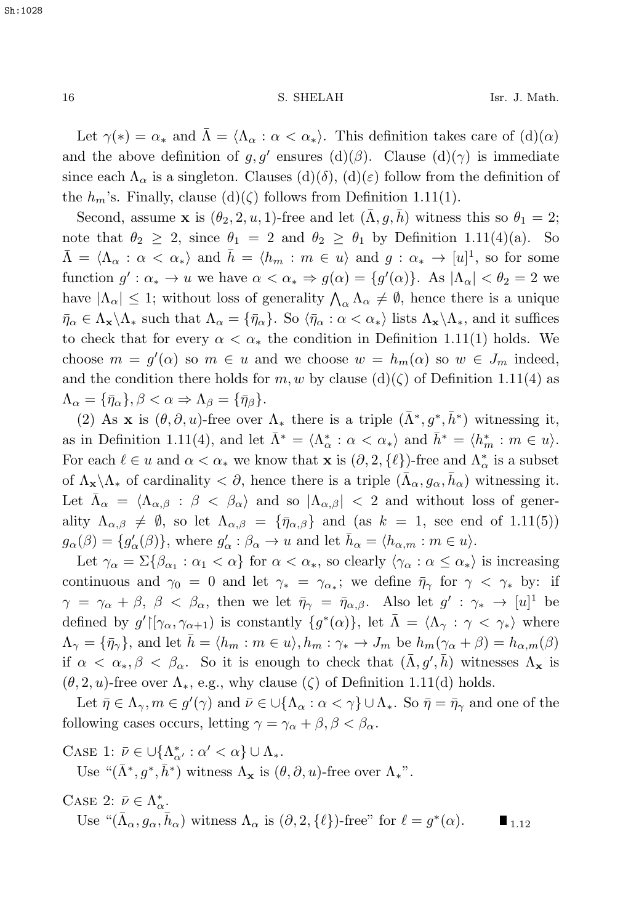Let  $\gamma(*) = \alpha_*$  and  $\overline{\Lambda} = \langle \Lambda_\alpha : \alpha < \alpha_* \rangle$ . This definition takes care of  $(d)(\alpha)$ and the above definition of g, g' ensures (d)( $\beta$ ). Clause (d)( $\gamma$ ) is immediate since each  $\Lambda_{\alpha}$  is a singleton. Clauses (d)( $\delta$ ), (d)( $\varepsilon$ ) follow from the definition of the  $h_m$ 's. Finally, clause (d)( $\zeta$ ) follows from Definition 1.11(1).

Second, assume **x** is  $(\theta_2, 2, u, 1)$ -free and let  $(\bar{\Lambda}, g, \bar{h})$  witness this so  $\theta_1 = 2$ ; note that  $\theta_2 \geq 2$ , since  $\theta_1 = 2$  and  $\theta_2 \geq \theta_1$  by Definition 1.11(4)(a). So  $\bar{\Lambda} = \langle \Lambda_{\alpha} : \alpha < \alpha_* \rangle$  and  $\bar{h} = \langle h_m : m \in u \rangle$  and  $g : \alpha_* \to [u]^1$ , so for some function  $g' : \alpha_* \to u$  we have  $\alpha < \alpha_* \Rightarrow g(\alpha) = \{g'(\alpha)\}\.$  As  $|\Lambda_{\alpha}| < \theta_2 = 2$  we have  $|\Lambda_{\alpha}| \leq 1$ ; without loss of generality  $\Lambda_{\alpha} \Lambda_{\alpha} \neq \emptyset$ , hence there is a unique  $\bar{\eta}_{\alpha} \in \Lambda_{\mathbf{x}} \backslash \Lambda_{*}$  such that  $\Lambda_{\alpha} = {\bar{\eta}_{\alpha}}$ . So  $\langle \bar{\eta}_{\alpha} : \alpha < \alpha_{*} \rangle$  lists  $\Lambda_{\mathbf{x}} \backslash \Lambda_{*}$ , and it suffices to check that for every  $\alpha < \alpha_*$  the condition in Definition 1.11(1) holds. We choose  $m = g'(\alpha)$  so  $m \in u$  and we choose  $w = h_m(\alpha)$  so  $w \in J_m$  indeed, and the condition there holds for m, w by clause  $(d)(\zeta)$  of Definition 1.11(4) as  $\Lambda_{\alpha} = {\bar{\eta}_{\alpha}}, \beta < \alpha \Rightarrow \Lambda_{\beta} = {\bar{\eta}_{\beta}}.$ 

(2) As **x** is  $(\theta, \partial, u)$ -free over  $\Lambda_*$  there is a triple  $(\bar{\Lambda}^*, g^*, \bar{h}^*)$  witnessing it, as in Definition 1.11(4), and let  $\bar{\Lambda}^* = \langle \Lambda^*_{\alpha} : \alpha < \alpha_* \rangle$  and  $\bar{h}^* = \langle h^*_{m} : m \in u \rangle$ . For each  $\ell \in u$  and  $\alpha < \alpha_*$  we know that **x** is  $(\partial, 2, {\ell})$ -free and  $\Lambda^*_{\alpha}$  is a subset of  $\Lambda_{\mathbf{x}}\setminus\Lambda_{*}$  of cardinality  $\langle \partial$ , hence there is a triple  $(\bar{\Lambda}_{\alpha}, g_{\alpha}, \bar{h}_{\alpha})$  witnessing it. Let  $\bar{\Lambda}_{\alpha} = \langle \Lambda_{\alpha,\beta} : \beta \langle \beta_{\alpha} \rangle$  and so  $|\Lambda_{\alpha,\beta}| \langle 2 \rangle$  and without loss of generality  $\Lambda_{\alpha,\beta} \neq \emptyset$ , so let  $\Lambda_{\alpha,\beta} = {\overline{\eta}_{\alpha,\beta}}$  and (as  $k = 1$ , see end of 1.11(5))  $g_{\alpha}(\beta) = \{g'_{\alpha}(\beta)\}\,$ , where  $g'_{\alpha} : \beta_{\alpha} \to u$  and let  $\bar{h}_{\alpha} = \langle h_{\alpha,m} : m \in u \rangle$ .

Let  $\gamma_{\alpha} = \Sigma {\beta_{\alpha_1} : \alpha_1 < \alpha}$  for  $\alpha < \alpha_*$ , so clearly  $\langle \gamma_{\alpha} : \alpha \leq \alpha_* \rangle$  is increasing continuous and  $\gamma_0 = 0$  and let  $\gamma_* = \gamma_{\alpha_*}$ ; we define  $\bar{\eta}_{\gamma}$  for  $\gamma < \gamma_*$  by: if  $\gamma = \gamma_{\alpha} + \beta$ ,  $\beta < \beta_{\alpha}$ , then we let  $\bar{\eta}_{\gamma} = \bar{\eta}_{\alpha,\beta}$ . Also let  $g' : \gamma_* \to [u]^1$  be defined by  $g'[\gamma_\alpha, \gamma_{\alpha+1})$  is constantly  $\{g^*(\alpha)\}\$ , let  $\bar{\Lambda} = \langle \Lambda_\gamma : \gamma < \gamma_* \rangle$  where  $\Lambda_{\gamma} = {\bar{\eta}_{\gamma}}$ , and let  $\bar{h} = \langle h_m : m \in u \rangle, h_m : \gamma_* \to J_m$  be  $h_m(\gamma_{\alpha} + \beta) = h_{\alpha,m}(\beta)$ if  $\alpha < \alpha_*, \beta < \beta_\alpha$ . So it is enough to check that  $(\bar{\Lambda}, g', \bar{h})$  witnesses  $\Lambda_{\mathbf{x}}$  is  $(\theta, 2, u)$ -free over  $\Lambda_*$ , e.g., why clause  $(\zeta)$  of Definition 1.11(d) holds.

Let  $\bar{\eta} \in \Lambda_{\gamma}, m \in g'(\gamma)$  and  $\bar{\nu} \in \bigcup_{\{\Lambda_{\alpha} : \alpha < \gamma\}} \cup \Lambda_{*}$ . So  $\bar{\eta} = \bar{\eta}_{\gamma}$  and one of the following cases occurs, letting  $\gamma = \gamma_{\alpha} + \beta, \beta < \beta_{\alpha}$ .

CASE 1:  $\bar{\nu} \in \bigcup \{\Lambda_{\alpha'}^* : \alpha' < \alpha\} \cup \Lambda_*$ .

Use " $(\bar{\Lambda}^*, g^*, \bar{h}^*)$  witness  $\Lambda_{\mathbf{x}}$  is  $(\theta, \partial, u)$ -free over  $\Lambda_*$ ".

CASE 2: 
$$
\bar{\nu} \in \Lambda_{\alpha}^*
$$
.  
Use " $(\bar{\Lambda}_{\alpha}, g_{\alpha}, \bar{h}_{\alpha})$  witness  $\Lambda_{\alpha}$  is  $(\partial, 2, \{\ell\})$ -free" for  $\ell = g^*(\alpha)$ .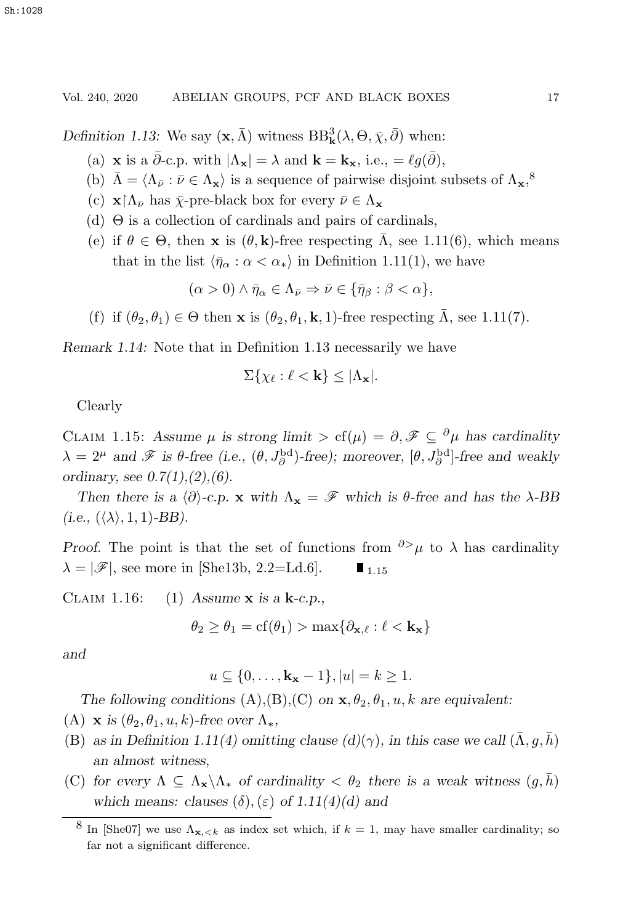*Definition 1.13:* We say  $(\mathbf{x}, \bar{\Lambda})$  witness  $BB^3_{\mathbf{k}}(\lambda, \Theta, \bar{\chi}, \bar{\partial})$  when:

- (a) **x** is a  $\bar{\partial}$ -c.p. with  $|\Lambda_{\mathbf{x}}| = \lambda$  and  $\mathbf{k} = \mathbf{k}_{\mathbf{x}}$ , i.e.,  $= \ell q(\bar{\partial})$ ,
- (b)  $\bar{\Lambda} = \langle \Lambda_{\bar{\nu}} : \bar{\nu} \in \Lambda_{\mathbf{x}} \rangle$  is a sequence of pairwise disjoint subsets of  $\Lambda_{\mathbf{x}},^8$
- (c)  $\mathbf{x} \restriction \Lambda_{\bar{\nu}}$  has  $\bar{\chi}$ -pre-black box for every  $\bar{\nu} \in \Lambda_{\mathbf{x}}$
- (d) Θ is a collection of cardinals and pairs of cardinals,
- (e) if  $\theta \in \Theta$ , then **x** is  $(\theta, \mathbf{k})$ -free respecting  $\overline{\Lambda}$ , see 1.11(6), which means that in the list  $\langle \bar{\eta}_{\alpha} : \alpha < \alpha_* \rangle$  in Definition 1.11(1), we have

 $(\alpha > 0) \wedge \bar{\eta}_{\alpha} \in \Lambda_{\bar{\nu}} \Rightarrow \bar{\nu} \in {\bar{\eta}}_B : \beta < \alpha$ ,

(f) if  $(\theta_2, \theta_1) \in \Theta$  then **x** is  $(\theta_2, \theta_1, \mathbf{k}, 1)$ -free respecting  $\overline{\Lambda}$ , see 1.11(7).

*Remark 1.14:* Note that in Definition 1.13 necessarily we have

$$
\Sigma\{\chi_{\ell}:\ell<\mathbf{k}\}\leq |\Lambda_{\mathbf{x}}|.
$$

Clearly

CLAIM 1.15: Assume  $\mu$  is strong limit  $\gt$  cf( $\mu$ ) =  $\partial$ ,  $\mathscr{F} \subseteq {}^{\partial} \mu$  has cardinality  $\lambda = 2^{\mu}$  and  $\mathscr{F}$  is  $\theta$ -free (i.e.,  $(\theta, J_{\partial}^{\text{bd}})$ -free); moreover,  $[\theta, J_{\partial}^{\text{bd}}]$ -free and weakly *ordinary, see 0.7(1),(2),(6).*

*Then there is a*  $\langle \partial \rangle$ -*c.p.* **x** *with*  $\Lambda_{\mathbf{x}} = \mathcal{F}$  *which is*  $\theta$ -free and has the  $\lambda$ -BB  $(i.e., (\langle \lambda \rangle, 1, 1)$ -BB).

*Proof.* The point is that the set of functions from  $\partial^> \mu$  to  $\lambda$  has cardinality  $\lambda = |\mathscr{F}|$ , see more in [She13b, 2.2=Ld.6].  $\blacksquare$ <sub>1.15</sub>

Claim 1.16: (1) *Assume* **x** *is a* **k***-c.p.,*

$$
\theta_2 \ge \theta_1 = \text{cf}(\theta_1) > \max\{\partial_{\mathbf{x},\ell} : \ell < \mathbf{k}_{\mathbf{x}}\}
$$

*and*

$$
u \subseteq \{0, \ldots, \mathbf{k_x} - 1\}, |u| = k \ge 1.
$$

*The following conditions*  $(A), (B), (C)$  *on*  $\mathbf{x}, \theta_2, \theta_1, u, k$  *are equivalent:* 

(A) **x** *is*  $(\theta_2, \theta_1, u, k)$ *-free over*  $\Lambda_*$ *,* 

- (B) as in Definition 1.11(4) omitting clause  $(d)(\gamma)$ , in this case we call  $(\bar{\Lambda}, g, \bar{h})$ *an almost witness,*
- (C) for every  $\Lambda \subseteq \Lambda_{\mathbf{x}} \backslash \Lambda_{\ast}$  of cardinality  $\langle \theta_2 \rangle$  there is a weak witness  $(g, h)$ *which means: clauses*  $(\delta)$ ,  $(\varepsilon)$  *of 1.11(4)(d) and*

<sup>&</sup>lt;sup>8</sup> In [She07] we use  $\Lambda_{\mathbf{x},< k}$  as index set which, if  $k = 1$ , may have smaller cardinality; so far not a significant difference.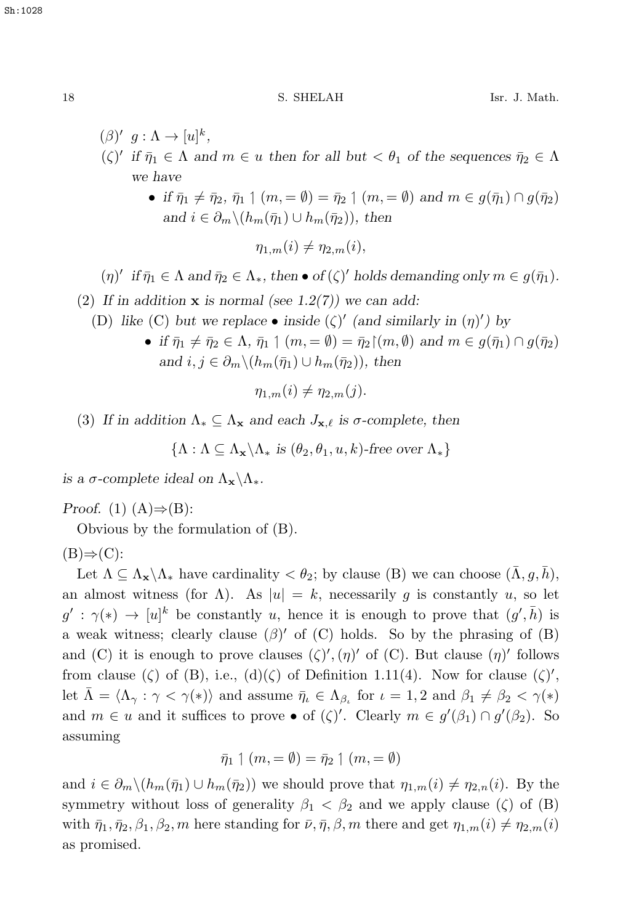- $(\beta)'$   $g : \Lambda \to [u]^k$ ,  $(\zeta)'$  *if*  $\bar{\eta}_1 \in \Lambda$  *and*  $m \in u$  *then for all but*  $\langle \theta_1 \rangle$  *of the sequences*  $\bar{\eta}_2 \in \Lambda$ *we have*
	- *if*  $\bar{\eta}_1 \neq \bar{\eta}_2$ ,  $\bar{\eta}_1 \uparrow (m, = \emptyset) = \bar{\eta}_2 \uparrow (m, = \emptyset)$  and  $m \in g(\bar{\eta}_1) \cap g(\bar{\eta}_2)$ and  $i \in \partial_m \setminus (h_m(\bar{\eta}_1) \cup h_m(\bar{\eta}_2))$ , then

 $\eta_{1,m}(i) \neq \eta_{2,m}(i),$ 

$$
(\eta)' \text{ if } \bar{\eta}_1 \in \Lambda \text{ and } \bar{\eta}_2 \in \Lambda_*, \text{ then } \bullet \text{ of } (\zeta)' \text{ holds demanding only } m \in g(\bar{\eta}_1).
$$

- (2) *If in addition* **x** *is normal (see 1.2(7)) we can add:*
	- (D) like (C) but we replace  $\bullet$  inside ( $\zeta$ )' (and similarly in  $(\eta)'$ ) by
		- *if*  $\bar{\eta}_1 \neq \bar{\eta}_2 \in \Lambda$ ,  $\bar{\eta}_1 \uparrow (m, = \emptyset) = \bar{\eta}_2 \upharpoonright (m, \emptyset)$  and  $m \in g(\bar{\eta}_1) \cap g(\bar{\eta}_2)$ and  $i, j \in \partial_m \setminus (h_m(\bar{\eta}_1) \cup h_m(\bar{\eta}_2))$ , then

 $\eta_{1,m}(i) \neq \eta_{2,m}(i).$ 

(3) If in addition  $\Lambda_* \subseteq \Lambda_{\mathbf{x}}$  and each  $J_{\mathbf{x},\ell}$  is  $\sigma$ -complete, then

 ${\Lambda : \Lambda \subseteq \Lambda_{\mathbf{x}} \backslash \Lambda_* \text{ is } (\theta_2, \theta_1, u, k) \text{-free over } \Lambda_* }$ 

*is a*  $\sigma$ *-complete ideal on*  $\Lambda_{\mathbf{x}} \setminus \Lambda_{*}$ *.* 

*Proof.* (1)  $(A) \Rightarrow (B)$ :

Obvious by the formulation of (B).

 $(B) \Rightarrow (C)$ :

Let  $\Lambda \subseteq \Lambda_{\mathbf{x}} \backslash \Lambda_{*}$  have cardinality  $\langle \theta_2; \text{ by clause (B) we can choose } (\bar{\Lambda}, g, \bar{h}),$ an almost witness (for  $\Lambda$ ). As  $|u| = k$ , necessarily g is constantly u, so let  $g' : \gamma(*) \to [u]^k$  be constantly u, hence it is enough to prove that  $(g', \bar{h})$  is a weak witness; clearly clause  $(\beta)'$  of  $(C)$  holds. So by the phrasing of  $(B)$ and (C) it is enough to prove clauses  $(\zeta)'$ ,  $(\eta)'$  of (C). But clause  $(\eta)'$  follows from clause ( $\zeta$ ) of (B), i.e., (d)( $\zeta$ ) of Definition 1.11(4). Now for clause ( $\zeta$ )', let  $\bar{\Lambda} = \langle \Lambda_{\gamma} : \gamma < \gamma(*) \rangle$  and assume  $\bar{\eta}_{\iota} \in \Lambda_{\beta_{\iota}}$  for  $\iota = 1, 2$  and  $\beta_1 \neq \beta_2 < \gamma(*)$ and  $m \in u$  and it suffices to prove  $\bullet$  of  $(\zeta)'$ . Clearly  $m \in g'(\beta_1) \cap g'(\beta_2)$ . So assuming

$$
\bar{\eta}_1 \upharpoonleft (m, = \emptyset) = \bar{\eta}_2 \upharpoonleft (m, = \emptyset)
$$

and  $i \in \partial_m \setminus (h_m(\bar{\eta}_1) \cup h_m(\bar{\eta}_2))$  we should prove that  $\eta_{1,m}(i) \neq \eta_{2,n}(i)$ . By the symmetry without loss of generality  $\beta_1 < \beta_2$  and we apply clause ( $\zeta$ ) of (B) with  $\bar{\eta}_1, \bar{\eta}_2, \beta_1, \beta_2, m$  here standing for  $\bar{\nu}, \bar{\eta}, \beta, m$  there and get  $\eta_{1,m}(i) \neq \eta_{2,m}(i)$ as promised.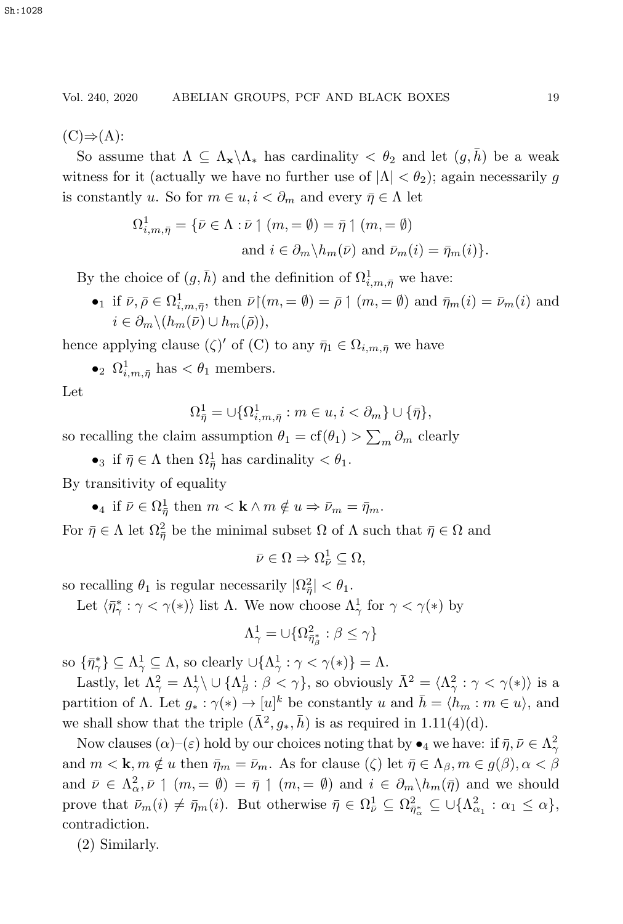$(C) \Rightarrow (A)$ :

So assume that  $\Lambda \subseteq \Lambda_{\mathbf{x}} \backslash \Lambda_{*}$  has cardinality  $\langle \theta_2 \rangle$  and let  $(q, \bar{h})$  be a weak witness for it (actually we have no further use of  $|\Lambda| < \theta_2$ ); again necessarily g is constantly u. So for  $m \in u, i < \partial_m$  and every  $\bar{\eta} \in \Lambda$  let

$$
\Omega^1_{i,m,\bar{\eta}} = \{ \bar{\nu} \in \Lambda : \bar{\nu} \upharpoonright (m, = \emptyset) = \bar{\eta} \upharpoonright (m, = \emptyset)
$$
  
and  $i \in \partial_m \backslash h_m(\bar{\nu})$  and  $\bar{\nu}_m(i) = \bar{\eta}_m(i) \}.$ 

By the choice of  $(g, \bar{h})$  and the definition of  $\Omega^1_{i,m,\bar{\eta}}$  we have:

•1 if  $\bar{\nu}, \bar{\rho} \in \Omega^1_{i,m,\bar{\eta}},$  then  $\bar{\nu} \upharpoonright (m, = \emptyset) = \bar{\rho} \upharpoonright (m, = \emptyset)$  and  $\bar{\eta}_m(i) = \bar{\nu}_m(i)$  and  $i \in \partial_m \backslash (h_m(\bar{\nu}) \cup h_m(\bar{\rho})),$ 

hence applying clause  $(\zeta)'$  of  $(C)$  to any  $\bar{\eta}_1 \in \Omega_{i,m,\bar{\eta}}$  we have

•<sup>2</sup>  $\Omega^1_{i,m,\bar{\eta}}$  has  $\lt \theta_1$  members.

Let

$$
\Omega^1_{\bar{\eta}} = \cup \{ \Omega^1_{i,m,\bar{\eta}} : m \in u, i < \partial_m \} \cup \{ \bar{\eta} \},
$$

so recalling the claim assumption  $\theta_1 = \text{cf}(\theta_1) > \sum_m \partial_m$  clearly

•<sub>3</sub> if  $\bar{\eta} \in \Lambda$  then  $\Omega_{\bar{\eta}}^1$  has cardinality  $\langle \theta_1 \rangle$ .

By transitivity of equality

 $\bullet_4$  if  $\bar{\nu} \in \Omega_{\bar{\eta}}^1$  then  $m < \mathbf{k} \wedge m \notin u \Rightarrow \bar{\nu}_m = \bar{\eta}_m$ .

For  $\bar{\eta} \in \Lambda$  let  $\Omega_{\bar{\eta}}^2$  be the minimal subset  $\Omega$  of  $\Lambda$  such that  $\bar{\eta} \in \Omega$  and

$$
\bar{\nu}\in\Omega\Rightarrow\Omega_{\bar{\nu}}^{1}\subseteq\Omega,
$$

so recalling  $\theta_1$  is regular necessarily  $|\Omega_{\overline{\eta}}^2| < \theta_1$ .

Let  $\langle \bar{\eta}^*_\gamma : \gamma < \gamma(*) \rangle$  list  $\Lambda$ . We now choose  $\Lambda^1_\gamma$  for  $\gamma < \gamma(*)$  by

$$
\Lambda^1_\gamma = \cup \{\Omega^2_{\bar{\eta}^*_\beta}:\beta\leq \gamma\}
$$

so  $\{\bar{\eta}_\gamma^*\}\subseteq \Lambda_\gamma^1 \subseteq \Lambda$ , so clearly  $\cup \{\Lambda_\gamma^1 : \gamma < \gamma(*)\} = \Lambda$ .

Lastly, let  $\Lambda^2_{\gamma} = \Lambda^1_{\gamma} \cup \{\Lambda^1_{\beta} : \beta < \gamma\}$ , so obviously  $\bar{\Lambda}^2 = \langle \Lambda^2_{\gamma} : \gamma < \gamma(*) \rangle$  is a partition of  $\Lambda$ . Let  $g_* : \gamma(*) \to [u]^k$  be constantly u and  $\overline{h} = \langle h_m : m \in u \rangle$ , and we shall show that the triple  $(\bar{\Lambda}^2, g_*, \bar{h})$  is as required in 1.11(4)(d).

Now clauses  $(\alpha)$ – $(\varepsilon)$  hold by our choices noting that by  $\bullet_4$  we have: if  $\bar{\eta}, \bar{\nu} \in \Lambda^2_{\gamma}$ and  $m < \mathbf{k}, m \notin u$  then  $\bar{\eta}_m = \bar{\nu}_m$ . As for clause ( $\zeta$ ) let  $\bar{\eta} \in \Lambda_\beta, m \in g(\beta), \alpha < \beta$ and  $\overline{\nu} \in \Lambda^2_{\alpha}$ ,  $\overline{\nu} \upharpoonright (m, = \emptyset) = \overline{\eta} \upharpoonright (m, = \emptyset)$  and  $i \in \partial_m \setminus h_m(\overline{\eta})$  and we should prove that  $\bar{\nu}_m(i) \neq \bar{\eta}_m(i)$ . But otherwise  $\bar{\eta} \in \Omega_{\bar{\nu}}^1 \subseteq \Omega_{\bar{\eta}_{\alpha}}^2 \subseteq \cup \{\Lambda_{\alpha_1}^2 : \alpha_1 \leq \alpha\},\$ contradiction.

(2) Similarly.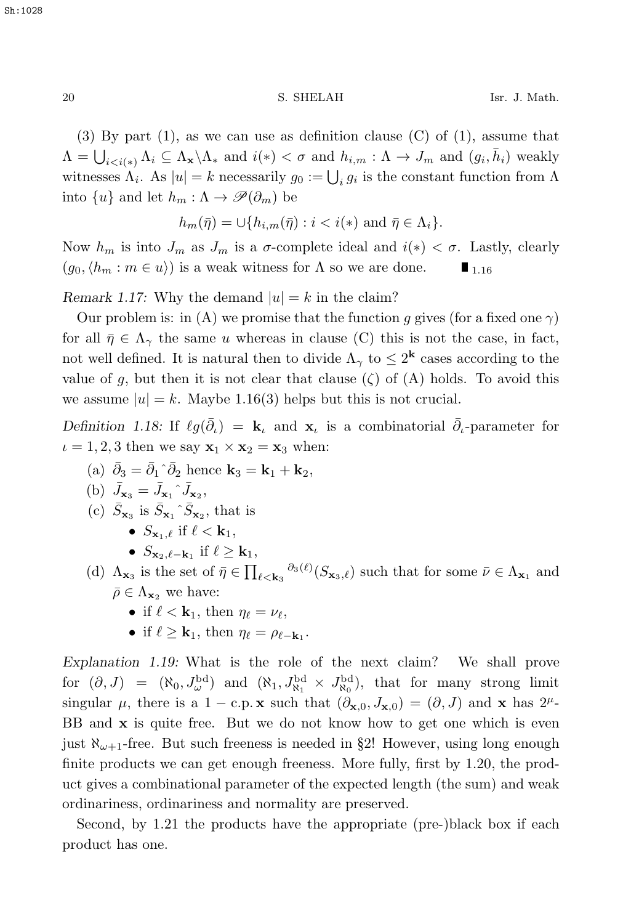(3) By part (1), as we can use as definition clause  $(C)$  of (1), assume that  $\Lambda = \bigcup_{i < i(*)} \Lambda_i \subseteq \Lambda_{\mathbf{x}} \setminus \Lambda_*$  and  $i(*) < \sigma$  and  $h_{i,m} : \Lambda \to J_m$  and  $(g_i, \bar{h}_i)$  weakly witnesses  $\Lambda_i$ . As  $|u| = k$  necessarily  $g_0 := \bigcup_i g_i$  is the constant function from  $\Lambda$ into  $\{u\}$  and let  $h_m : \Lambda \to \mathscr{P}(\partial_m)$  be

$$
h_m(\bar{\eta}) = \cup \{ h_{i,m}(\bar{\eta}) : i < i(*) \text{ and } \bar{\eta} \in \Lambda_i \}.
$$

Now  $h_m$  is into  $J_m$  as  $J_m$  is a  $\sigma$ -complete ideal and  $i(*) < \sigma$ . Lastly, clearly  $(g_0, \langle h_m : m \in u \rangle)$  is a weak witness for  $\Lambda$  so we are done.  $(q_0, \langle h_m : m \in u \rangle)$  is a weak witness for  $\Lambda$  so we are done.

*Remark 1.17:* Why the demand  $|u| = k$  in the claim?

Our problem is: in (A) we promise that the function q gives (for a fixed one  $\gamma$ ) for all  $\bar{\eta} \in \Lambda_{\gamma}$  the same u whereas in clause (C) this is not the case, in fact, not well defined. It is natural then to divide  $\Lambda_{\gamma}$  to  $\leq 2^{k}$  cases according to the value of q, but then it is not clear that clause  $(\zeta)$  of  $(A)$  holds. To avoid this we assume  $|u| = k$ . Maybe 1.16(3) helps but this is not crucial.

*Definition 1.18:* If  $\ell g(\bar{\partial}_t) = \mathbf{k}_t$  and  $\mathbf{x}_t$  is a combinatorial  $\bar{\partial}_t$ -parameter for  $\iota = 1, 2, 3$  then we say  $\mathbf{x}_1 \times \mathbf{x}_2 = \mathbf{x}_3$  when:

- (a)  $\bar{\partial}_3 = \bar{\partial}_1 \hat{\partial}_2$  hence  $\mathbf{k}_3 = \mathbf{k}_1 + \mathbf{k}_2$ ,
- (b)  $\bar{J}_{\mathbf{x}_3} = \bar{J}_{\mathbf{x}_1} \hat{J}_{\mathbf{x}_2}$ ,
- (c)  $\bar{S}_{\mathbf{x}_3}$  is  $\bar{S}_{\mathbf{x}_1} \hat{S}_{\mathbf{x}_2}$ , that is
	- $S_{\mathbf{x}_1,\ell}$  if  $\ell < \mathbf{k}_1$ ,
	- $\bullet$   $S_{\mathbf{x}_2, \ell-\mathbf{k}_1}$  if  $\ell \geq \mathbf{k}_1$ ,
- (d)  $\Lambda_{\mathbf{x}_3}$  is the set of  $\bar{\eta} \in \prod_{\ell < \mathbf{k}_3} \partial_3(\ell) (S_{\mathbf{x}_3,\ell})$  such that for some  $\bar{\nu} \in \Lambda_{\mathbf{x}_1}$  and  $\bar{\rho} \in \Lambda_{\mathbf{x}_2}$  we have:
	- if  $\ell < \mathbf{k}_1$ , then  $\eta_{\ell} = \nu_{\ell}$ ,
	- if  $\ell > \mathbf{k}_1$ , then  $\eta_{\ell} = \rho_{\ell \mathbf{k}_1}$ .

*Explanation 1.19:* What is the role of the next claim? We shall prove for  $(\partial, J) = (\aleph_0, J_{\omega}^{\text{bd}})$  and  $(\aleph_1, J_{\aleph_1}^{\text{bd}} \times J_{\aleph_0}^{\text{bd}})$ , that for many strong limit singular  $\mu$ , there is a 1 – c.p. **x** such that  $(\partial_{\mathbf{x},0}, J_{\mathbf{x},0}) = (\partial, J)$  and **x** has  $2^{\mu}$ -BB and **x** is quite free. But we do not know how to get one which is even just  $\aleph_{\omega+1}$ -free. But such freeness is needed in §2! However, using long enough finite products we can get enough freeness. More fully, first by 1.20, the product gives a combinational parameter of the expected length (the sum) and weak ordinariness, ordinariness and normality are preserved.

Second, by 1.21 the products have the appropriate (pre-)black box if each product has one.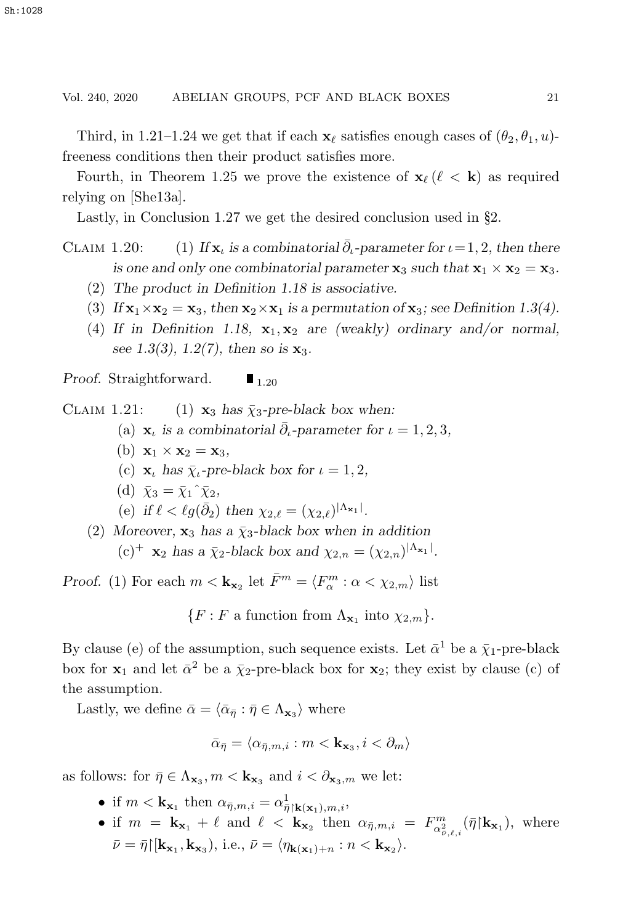Third, in 1.21–1.24 we get that if each  $\mathbf{x}_{\ell}$  satisfies enough cases of  $(\theta_2, \theta_1, u)$ freeness conditions then their product satisfies more.

Fourth, in Theorem 1.25 we prove the existence of  $\mathbf{x}_{\ell}$  ( $\ell < \mathbf{k}$ ) as required relying on [She13a].

Lastly, in Conclusion 1.27 we get the desired conclusion used in §2.

CLAIM 1.20: (1) *If*  $\mathbf{x}_\iota$  *is a combinatorial*  $\bar{\partial}_\iota$ -parameter for  $\iota = 1, 2$ *, then there is one and only one combinatorial parameter*  $\mathbf{x}_3$  *such that*  $\mathbf{x}_1 \times \mathbf{x}_2 = \mathbf{x}_3$ *.* 

- (2) *The product in Definition 1.18 is associative.*
- (3) If  $\mathbf{x}_1 \times \mathbf{x}_2 = \mathbf{x}_3$ , then  $\mathbf{x}_2 \times \mathbf{x}_1$  is a permutation of  $\mathbf{x}_3$ ; see Definition 1.3(4).
- (4) If in Definition 1.18,  $\mathbf{x}_1, \mathbf{x}_2$  are (weakly) ordinary and/or normal, *see 1.3(3), 1.2(7), then so is* **x**<sub>3</sub>*.*

*Proof.* Straightforward.  $\blacksquare$ <sub>1.20</sub>

CLAIM 1.21: (1)  $\mathbf{x}_3$  has  $\bar{\chi}_3$ -pre-black box when:

- (a)  $\mathbf{x}_\iota$  *is a combinatorial*  $\bar{\partial}_\iota$ -parameter for  $\iota = 1, 2, 3$ ,
- (b)  $\mathbf{x}_1 \times \mathbf{x}_2 = \mathbf{x}_3$
- (c)  $\mathbf{x}_\iota$  has  $\bar{\chi}_\iota$ -pre-black box for  $\iota = 1, 2,$
- (d)  $\bar{\chi}_3 = \bar{\chi}_1 \hat{\chi}_2$ ,

(e) if  $\ell < \ell g(\bar{\partial}_2)$  then  $\chi_{2,\ell} = (\chi_{2,\ell})^{|\Lambda_{\mathbf{x}_1}|}$ .

(2) Moreover,  $\mathbf{x}_3$  has a  $\bar{\chi}_3$ -black box when in addition  $(c)^+$  **x**<sub>2</sub> *has a*  $\bar{\chi}_2$ *-black box and*  $\chi_{2,n} = (\chi_{2,n})^{|A_{\mathbf{x}_1}|}$ .

*Proof.* (1) For each  $m < \mathbf{k}_{\mathbf{x}_2}$  let  $\bar{F}^m = \langle F^m_\alpha : \alpha < \chi_{2,m} \rangle$  list

 ${F : F \text{ a function from } \Lambda_{\mathbf{x}_1} \text{ into } \chi_{2,m}}.$ 

By clause (e) of the assumption, such sequence exists. Let  $\bar{\alpha}^1$  be a  $\bar{\chi}_1$ -pre-black box for **x**<sub>1</sub> and let  $\bar{\alpha}^2$  be a  $\bar{\chi}_2$ -pre-black box for **x**<sub>2</sub>; they exist by clause (c) of the assumption.

Lastly, we define  $\bar{\alpha} = \langle \bar{\alpha}_{\bar{\eta}} : \bar{\eta} \in \Lambda_{\mathbf{x}_3} \rangle$  where

$$
\bar{\alpha}_{\bar{\eta}} = \langle \alpha_{\bar{\eta},m,i} : m < \mathbf{k}_{\mathbf{x}_3}, i < \partial_m \rangle
$$

as follows: for  $\bar{\eta} \in \Lambda_{\mathbf{x}_3}, m < \mathbf{k}_{\mathbf{x}_3}$  and  $i < \partial_{\mathbf{x}_3,m}$  we let:

- if  $m < \mathbf{k}_{\mathbf{x}_1}$  then  $\alpha_{\bar{\eta},m,i} = \alpha_{\bar{\eta}|\mathbf{k}(\mathbf{x}_1),m,i}^1$
- if  $m = \mathbf{k}_{\mathbf{x}_1} + \ell$  and  $\ell < \mathbf{k}_{\mathbf{x}_2}$  then  $\alpha_{\bar{\eta},m,i} = F_{\alpha_{\bar{\nu},\ell,i}}^m(\bar{\eta}|\mathbf{k}_{\mathbf{x}_1})$ , where  $\bar{\nu} = \bar{\eta} \left[ [\mathbf{k}_{\mathbf{x}_1}, \mathbf{k}_{\mathbf{x}_3}), \text{ i.e., } \bar{\nu} = \langle \eta_{\mathbf{k}(\mathbf{x}_1) + n} : n < \mathbf{k}_{\mathbf{x}_2} \rangle.$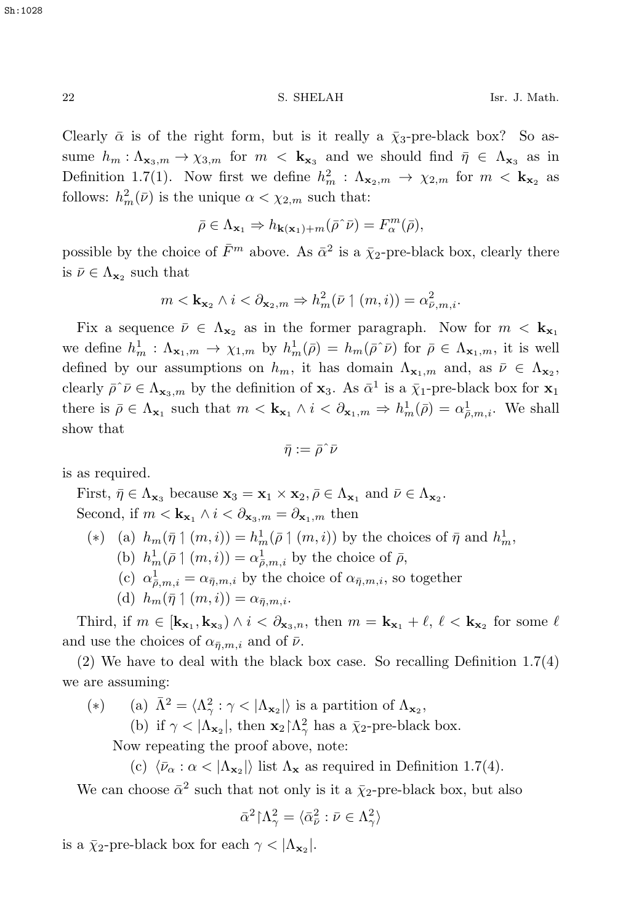Clearly  $\bar{\alpha}$  is of the right form, but is it really a  $\bar{\chi}_3$ -pre-black box? So assume  $h_m: \Lambda_{\mathbf{x}_3,m} \to \chi_{3,m}$  for  $m < \mathbf{k}_{\mathbf{x}_3}$  and we should find  $\bar{\eta} \in \Lambda_{\mathbf{x}_3}$  as in Definition 1.7(1). Now first we define  $h_m^2 : \Lambda_{\mathbf{x}_2,m} \to \chi_{2,m}$  for  $m < \mathbf{k}_{\mathbf{x}_2}$  as follows:  $h_m^2(\bar{\nu})$  is the unique  $\alpha < \chi_{2,m}$  such that:

$$
\bar{\rho} \in \Lambda_{\mathbf{x}_1} \Rightarrow h_{\mathbf{k}(\mathbf{x}_1) + m}(\bar{\rho} \hat{\rho}) = F_{\alpha}^m(\bar{\rho}),
$$

possible by the choice of  $\bar{F}^m$  above. As  $\bar{\alpha}^2$  is a  $\bar{\chi}_2$ -pre-black box, clearly there is  $\bar{\nu} \in \Lambda_{\mathbf{x}_2}$  such that

$$
m < \mathbf{k}_{\mathbf{x}_2} \land i < \partial_{\mathbf{x}_2,m} \Rightarrow h_m^2(\bar{\nu} \mid (m,i)) = \alpha_{\bar{\nu},m,i}^2.
$$

Fix a sequence  $\bar{\nu} \in \Lambda_{\mathbf{x}_2}$  as in the former paragraph. Now for  $m < \mathbf{k}_{\mathbf{x}_1}$ we define  $h_m^1 : \Lambda_{\mathbf{x}_1,m} \to \chi_{1,m}$  by  $h_m^1(\bar{\rho}) = h_m(\bar{\rho} \cap \bar{\rho})$  for  $\bar{\rho} \in \Lambda_{\mathbf{x}_1,m}$ , it is well defined by our assumptions on  $h_m$ , it has domain  $\Lambda_{\mathbf{x}_1,m}$  and, as  $\bar{\nu} \in \Lambda_{\mathbf{x}_2}$ , clearly  $\bar{\rho} \tilde{\nu} \in \Lambda_{\mathbf{x}_3,m}$  by the definition of  $\mathbf{x}_3$ . As  $\bar{\alpha}^1$  is a  $\bar{\chi}_1$ -pre-black box for  $\mathbf{x}_1$ there is  $\bar{\rho} \in \Lambda_{\mathbf{x}_1}$  such that  $m < \mathbf{k}_{\mathbf{x}_1} \wedge i < \partial_{\mathbf{x}_1,m} \Rightarrow h_m^1(\bar{\rho}) = \alpha_{\bar{\rho},m,i}^1$ . We shall show that

$$
\bar{\eta}:=\bar{\rho} \hat{\phantom{\eta}} \bar{\nu}
$$

is as required.

First,  $\bar{\eta} \in \Lambda_{\mathbf{x}_3}$  because  $\mathbf{x}_3 = \mathbf{x}_1 \times \mathbf{x}_2, \bar{\rho} \in \Lambda_{\mathbf{x}_1}$  and  $\bar{\nu} \in \Lambda_{\mathbf{x}_2}$ . Second, if  $m < \mathbf{k}_{\mathbf{x}_1} \wedge i < \partial_{\mathbf{x}_3,m} = \partial_{\mathbf{x}_1,m}$  then

- (\*) (a)  $h_m(\bar{\eta} \mid (m, i)) = h_m^1(\bar{\rho} \mid (m, i))$  by the choices of  $\bar{\eta}$  and  $h_m^1$ ,
	- (b)  $h_m^1(\bar{\rho} \upharpoonright (m,i)) = \alpha_{\bar{\rho},m,i}^1$  by the choice of  $\bar{\rho},$
	- (c)  $\alpha^1_{\bar{\rho},m,i} = \alpha_{\bar{\eta},m,i}$  by the choice of  $\alpha_{\bar{\eta},m,i}$ , so together
	- (d)  $h_m(\bar{\eta} \mid (m, i)) = \alpha_{\bar{\eta}, m, i}$ .

Third, if  $m \in [\mathbf{k_{x_1}, k_{x_3}}] \wedge i \langle \partial_{\mathbf{x}_3,n}, \text{ then } m = \mathbf{k_{x_1}} + \ell, \ell \langle \mathbf{k_{x_2}} \text{ for some } \ell \rangle$ and use the choices of  $\alpha_{\bar{n},m,i}$  and of  $\bar{\nu}$ .

(2) We have to deal with the black box case. So recalling Definition 1.7(4) we are assuming:

(\*) (a)  $\bar{\Lambda}^2 = \langle \Lambda^2_{\gamma} : \gamma < |\Lambda_{\mathbf{x}_2}| \rangle$  is a partition of  $\Lambda_{\mathbf{x}_2}$ ,

(b) if  $\gamma < |\Lambda_{\mathbf{x}_2}|$ , then  $\mathbf{x}_2 \upharpoonright \Lambda_\gamma^2$  has a  $\bar{\chi}_2$ -pre-black box.

Now repeating the proof above, note:

(c)  $\langle \bar{\nu}_{\alpha} : \alpha \langle \Lambda_{\mathbf{x}_2} \rangle$  list  $\Lambda_{\mathbf{x}}$  as required in Definition 1.7(4).

We can choose  $\bar{\alpha}^2$  such that not only is it a  $\bar{\chi}_2$ -pre-black box, but also

$$
\bar{\alpha}^2{\upharpoonright}\Lambda^2_{\gamma}=\langle\bar{\alpha}_{\bar{\nu}}^2:\bar{\nu}\in\Lambda^2_{\gamma}\rangle
$$

is a  $\bar{\chi}_2$ -pre-black box for each  $\gamma < |\Lambda_{\mathbf{x}_2}|$ .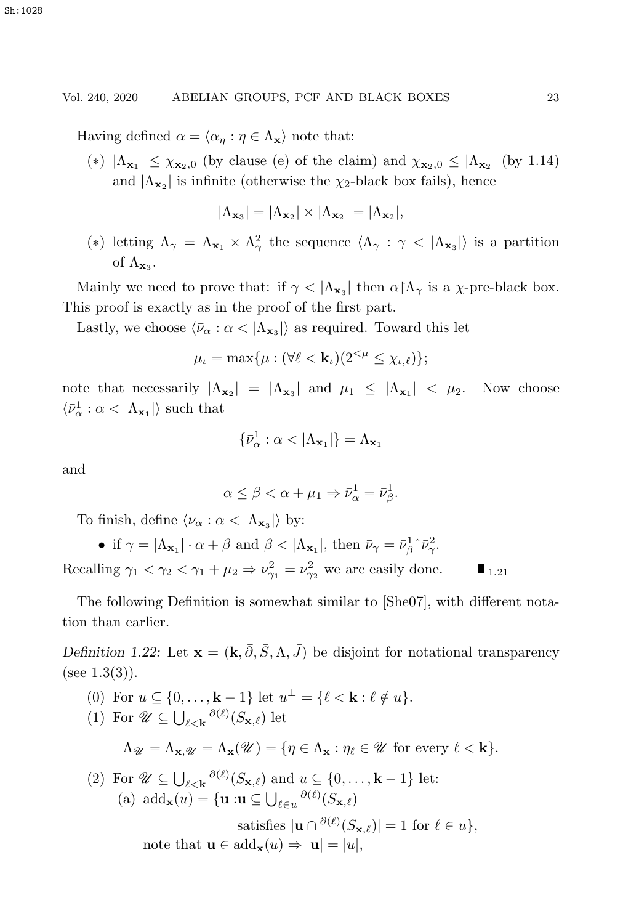Having defined  $\bar{\alpha} = \langle \bar{\alpha}_{\bar{n}} : \bar{\eta} \in \Lambda_{\mathbf{x}} \rangle$  note that:

(\*)  $|\Lambda_{\mathbf{x}_1}| \leq \chi_{\mathbf{x}_2,0}$  (by clause (e) of the claim) and  $\chi_{\mathbf{x}_2,0} \leq |\Lambda_{\mathbf{x}_2}|$  (by 1.14) and  $|\Lambda_{\mathbf{x}_2}|$  is infinite (otherwise the  $\bar{\chi}_2$ -black box fails), hence

$$
|\Lambda_{\mathbf{x}_3}|=|\Lambda_{\mathbf{x}_2}|\times |\Lambda_{\mathbf{x}_2}|=|\Lambda_{\mathbf{x}_2}|,
$$

(\*) letting  $\Lambda_{\gamma} = \Lambda_{\mathbf{x}_1} \times \Lambda_{\gamma}^2$  the sequence  $\langle \Lambda_{\gamma} : \gamma \langle \Lambda_{\mathbf{x}_3} \rangle$  is a partition of  $\Lambda_{\mathbf{x}_3}$ .

Mainly we need to prove that: if  $\gamma < |\Lambda_{\mathbf{x}_3}|$  then  $\bar{\alpha} \upharpoonright \Lambda_{\gamma}$  is a  $\bar{\chi}$ -pre-black box. This proof is exactly as in the proof of the first part.

Lastly, we choose  $\langle \bar{\nu}_{\alpha} : \alpha \langle \Lambda_{\mathbf{x}_3} \rangle$  as required. Toward this let

$$
\mu_{\iota} = \max{\mu : (\forall \ell < \mathbf{k}_{\iota})(2^{<\mu} \leq \chi_{\iota,\ell})};
$$

note that necessarily  $|\Lambda_{\mathbf{x}_2}| = |\Lambda_{\mathbf{x}_3}|$  and  $\mu_1 \leq |\Lambda_{\mathbf{x}_1}| < \mu_2$ . Now choose  $\langle \bar{\nu}_{\alpha}^1 : \alpha < |\Lambda_{\mathbf{x}_1}| \rangle$  such that

$$
\{\bar{\nu}^1_\alpha:\alpha<|\Lambda_{\mathbf{x}_1}|\}=\Lambda_{\mathbf{x}_1}
$$

and

$$
\alpha \leq \beta < \alpha + \mu_1 \Rightarrow \bar{\nu}_{\alpha}^1 = \bar{\nu}_{\beta}^1.
$$

To finish, define  $\langle \bar{\nu}_{\alpha} : \alpha < |\Lambda_{\mathbf{x}_2}| \rangle$  by:

• if  $\gamma = |\Lambda_{\mathbf{x}_1}| \cdot \alpha + \beta$  and  $\beta < |\Lambda_{\mathbf{x}_1}|$ , then  $\bar{\nu}_{\gamma} = \bar{\nu}_{\beta}^1 \hat{\nu}_{\gamma}^2$ .

Recalling  $\gamma_1 < \gamma_2 < \gamma_1 + \mu_2 \Rightarrow \bar{\nu}_{\gamma_1}^2 = \bar{\nu}_{\gamma_2}^2$  we are easily done.  $\blacksquare_{1.21}$ 

The following Definition is somewhat similar to [She07], with different notation than earlier.

*Definition 1.22:* Let  $\mathbf{x} = (\mathbf{k}, \bar{\partial}, \bar{S}, \Lambda, \bar{J})$  be disjoint for notational transparency (see  $1.3(3)$ ).

(0) For  $u \subseteq \{0,\ldots,\mathbf{k}-1\}$  let  $u^{\perp} = \{\ell < \mathbf{k} : \ell \notin u\}.$ (1) For  $\mathscr{U} \subseteq \bigcup_{\ell < \mathbf{k}} \partial(\ell)(S_{\mathbf{x},\ell})$  let  $\Lambda_{\mathscr{U}} = \Lambda_{\mathbf{x}} \mathscr{U} = \Lambda_{\mathbf{x}}(\mathscr{U}) = {\{\overline{\eta} \in \Lambda_{\mathbf{x}} : \eta_{\ell} \in \mathscr{U} \text{ for every } \ell < \mathbf{k}\}}.$ (2) For  $\mathscr{U} \subseteq \bigcup_{\ell \leq \mathbf{k}} \frac{\partial(\ell)}{\partial S_{\mathbf{x},\ell}}$  and  $u \subseteq \{0,\ldots,\mathbf{k}-1\}$  let: (a)  $\text{add}_{\mathbf{x}}(u) = {\mathbf{u} : \mathbf{u} \subseteq \bigcup_{\ell \in u} \partial(\ell)}(S_{\mathbf{x},\ell})$ satisfies  $|\mathbf{u} \cap \partial^{(\ell)}(S_{\mathbf{x},\ell})| = 1$  for  $\ell \in u$ ,

note that  $\mathbf{u} \in \text{add}_{\mathbf{x}}(u) \Rightarrow |\mathbf{u}| = |u|$ ,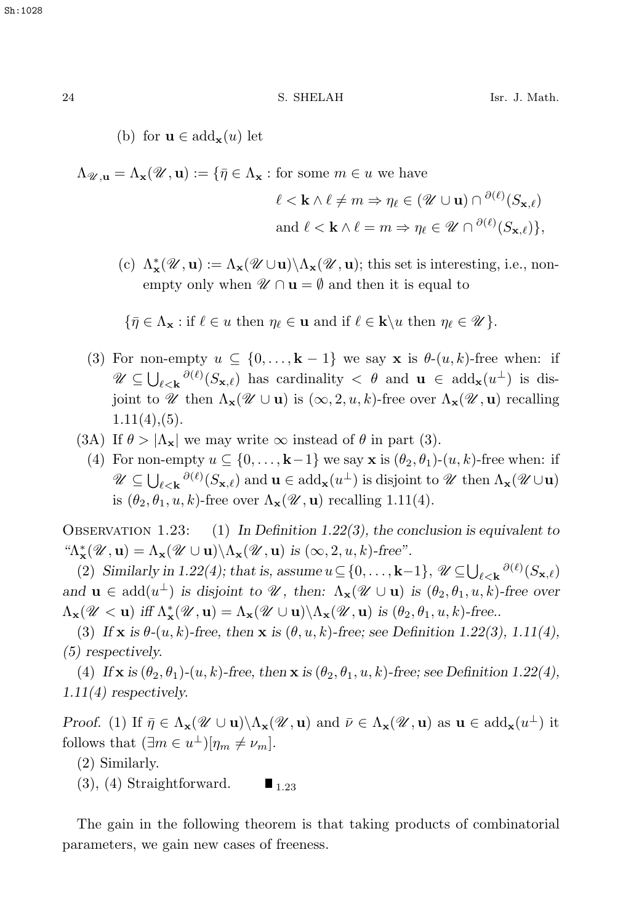(b) for  $\mathbf{u} \in \text{add}_{\mathbf{x}}(u)$  let

 $\Lambda_{\mathscr{U},\mathbf{u}} = \Lambda_{\mathbf{x}}(\mathscr{U},\mathbf{u}) := \{ \bar{\eta} \in \Lambda_{\mathbf{x}} : \text{for some } m \in \mathcal{u} \text{ we have } \}$ 

$$
\ell < \mathbf{k} \land \ell \neq m \Rightarrow \eta_{\ell} \in (\mathcal{U} \cup \mathbf{u}) \cap \partial^{(\ell)}(S_{\mathbf{x},\ell})
$$
\n
$$
\text{and } \ell < \mathbf{k} \land \ell = m \Rightarrow \eta_{\ell} \in \mathcal{U} \cap \partial^{(\ell)}(S_{\mathbf{x},\ell}) \},
$$

(c)  $\Lambda_{\mathbf{x}}^*(\mathcal{U}, \mathbf{u}) := \Lambda_{\mathbf{x}}(\mathcal{U} \cup \mathbf{u}) \setminus \Lambda_{\mathbf{x}}(\mathcal{U}, \mathbf{u})$ ; this set is interesting, i.e., nonempty only when  $\mathscr{U} \cap \mathbf{u} = \emptyset$  and then it is equal to

$$
\{\bar{\eta}\in\Lambda_{\mathbf{x}}:\text{if }\ell\in u\text{ then }\eta_{\ell}\in\mathbf{u}\text{ and if }\ell\in\mathbf{k}\backslash u\text{ then }\eta_{\ell}\in\mathscr{U}\}.
$$

- (3) For non-empty  $u \subseteq \{0, \ldots, k-1\}$  we say **x** is  $\theta$ - $(u, k)$ -free when: if  $\mathscr{U} \subseteq \bigcup_{\ell \leq \mathbf{k}} \partial(\ell)(S_{\mathbf{x},\ell})$  has cardinality  $\lt \theta$  and  $\mathbf{u} \in \text{add}_{\mathbf{x}}(u^{\perp})$  is dis- $\mathbf{u} \leq \mathbf{U}_{\ell \leq \mathbf{k}}$  ( $\mathbf{v}_{\mathbf{x},\ell}$ ) has cardinarity  $\leq \mathbf{v}$  and  $\mathbf{u} \in \text{ad}(\mathbf{x}(\mathbf{u}^T))$  is disjoint to  $\mathcal{U}$  then  $\Lambda_{\mathbf{x}}(\mathcal{U} \cup \mathbf{u})$  is  $(\infty, 2, u, k)$ -free over  $\Lambda_{\mathbf{x}}(\mathcal{U}, \mathbf{u})$  recallin  $1.11(4)$ ,  $(5)$ .
- (3A) If  $\theta > |\Lambda_{\mathbf{x}}|$  we may write  $\infty$  instead of  $\theta$  in part (3).
	- (4) For non-empty  $u \subseteq \{0, \ldots, k-1\}$  we say **x** is  $(\theta_2, \theta_1)$ - $(u, k)$ -free when: if  $\mathscr{U} \subseteq \bigcup_{\ell \leq \mathbf{k}} \partial(\ell)(S_{\mathbf{x},\ell})$  and  $\mathbf{u} \in \text{add}_{\mathbf{x}}(u^{\perp})$  is disjoint to  $\mathscr{U}$  then  $\Lambda_{\mathbf{x}}(\mathscr{U} \cup \mathbf{u})$  $\mathbf{u} \in \mathbb{U}_{\ell < \mathbf{k}}$  ( $\cup_{\mathbf{x},\ell}$ ) and  $\mathbf{u} \in \text{ad}(\mathbf{x},\mathbf{u})$  is disjoint to is  $(\theta_2, \theta_1, u, k)$ -free over  $\Lambda_{\mathbf{x}}(\mathcal{U}, \mathbf{u})$  recalling 1.11(4).

Observation 1.23: (1) *In Definition 1.22(3), the conclusion is equivalent to*  ${}^{\omega}\! \Lambda_{\mathbf{x}}^*(\mathcal{U}, \mathbf{u}) = \Lambda_{\mathbf{x}}(\mathcal{U} \cup \mathbf{u}) \backslash \Lambda_{\mathbf{x}}(\mathcal{U}, \mathbf{u})$  *is*  $(\infty, 2, u, k)$ *-free".* 

(2) *Similarly in 1.22(4); that is, assume*  $u \subseteq \{0, \ldots, \mathbf{k}-1\}$ ,  $\mathscr{U} \subseteq \bigcup_{\ell \leq \mathbf{k}} \partial(\ell) (S_{\mathbf{x},\ell})$ and  $\mathbf{u} \in \text{add}(u^{\perp})$  *is disjoint to U*, then:  $\Lambda_{\mathbf{x}}(\mathcal{U} \cup \mathbf{u})$  *is* ( $\theta_2, \theta_1, u, k$ )*-free over*  $\Lambda_{\mathbf{x}}(\mathscr{U} < \mathbf{u})$  *iff*  $\Lambda_{\mathbf{x}}^*(\mathscr{U}, \mathbf{u}) = \Lambda_{\mathbf{x}}(\mathscr{U} \cup \mathbf{u}) \setminus \Lambda_{\mathbf{x}}(\mathscr{U}, \mathbf{u})$  *is*  $(\theta_2, \theta_1, u, k)$ -free...

(3) If **x** is  $\theta$ -(u, k)-free, then **x** is  $(\theta, u, k)$ -free; see Definition 1.22(3), 1.11(4), *(5) respectively.*

(4) If **x** is  $(\theta_2, \theta_1)$ - $(u, k)$ -free, then **x** is  $(\theta_2, \theta_1, u, k)$ -free; see Definition 1.22(4), *1.11(4) respectively.*

*Proof.* (1) If  $\bar{\eta} \in \Lambda_{\mathbf{x}}(\mathcal{U} \cup \mathbf{u}) \setminus \Lambda_{\mathbf{x}}(\mathcal{U}, \mathbf{u})$  and  $\bar{\nu} \in \Lambda_{\mathbf{x}}(\mathcal{U}, \mathbf{u})$  as  $\mathbf{u} \in \text{add}_{\mathbf{x}}(u^{\perp})$  it follows that  $(\exists m \in u^{\perp})[\eta_m \neq \nu_m].$ 

- (2) Similarly.
- (3), (4) Straightforward.  $\blacksquare$ <sub>1.23</sub>

The gain in the following theorem is that taking products of combinatorial parameters, we gain new cases of freeness.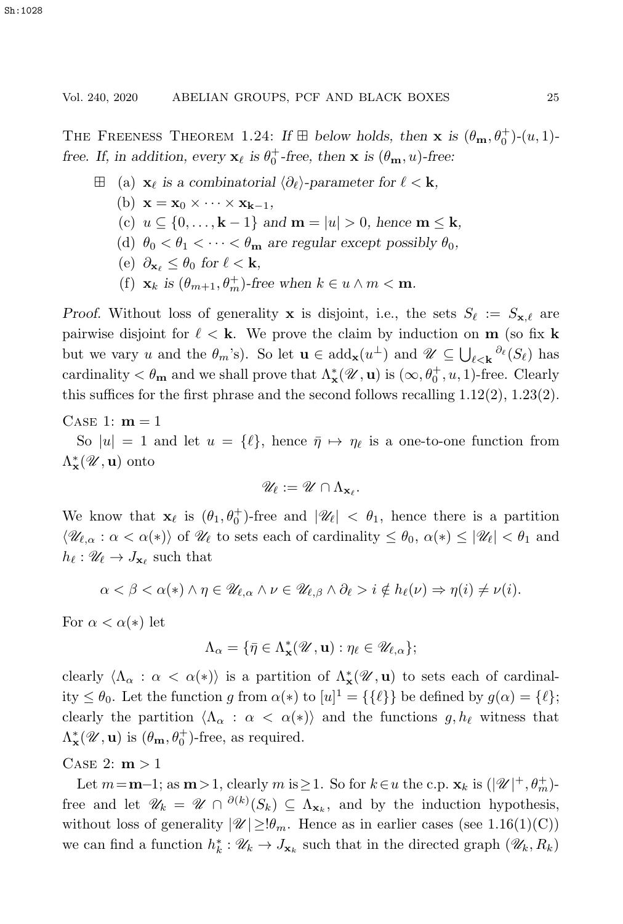THE FREENESS THEOREM 1.24: *If*  $\boxplus$  *below holds, then* **x** *is*  $(\theta_{\mathbf{m}}, \theta_0^+)$ - $(u, 1)$ *free.* If, in addition, every  $\mathbf{x}_{\ell}$  is  $\theta_0^+$ -free, then **x** is  $(\theta_{\mathbf{m}}, u)$ -free:

- $\Box$  (a) **x**<sub>ℓ</sub> is a combinatorial  $\langle \partial_{\ell} \rangle$ -parameter for  $\ell$  < **k**,
	- (b)  $\mathbf{x} = \mathbf{x}_0 \times \cdots \times \mathbf{x}_{k-1}$
	- (c)  $u \subseteq \{0, \ldots, \mathbf{k} 1\}$  and  $\mathbf{m} = |u| > 0$ , hence  $\mathbf{m} \leq \mathbf{k}$ ,
	- (d)  $\theta_0 < \theta_1 < \cdots < \theta_m$  are regular except possibly  $\theta_0$ ,
	- (e)  $\partial_{\mathbf{x}_{\ell}} \leq \theta_0$  for  $\ell < \mathbf{k}$ ,
	- (f)  $\mathbf{x}_k$  *is*  $(\theta_{m+1}, \theta_m^+)$ -free when  $k \in u \wedge m < \mathbf{m}$ .

*Proof.* Without loss of generality **x** is disjoint, i.e., the sets  $S_{\ell} := S_{\mathbf{x},\ell}$  are pairwise disjoint for  $\ell < \mathbf{k}$ . We prove the claim by induction on **m** (so fix **k**) but we vary u and the  $\theta_m$ 's). So let  $\mathbf{u} \in \text{add}_{\mathbf{x}}(u^{\perp})$  and  $\mathcal{U} \subseteq \bigcup_{\ell \leq \mathbf{k}} \partial_{\ell}(S_{\ell})$  has but we vary *u* and the  $\theta_m$  s). So let  $\mathbf{u} \in \text{ad}(\mathbf{x}(u))$  and  $u \subseteq \bigcup_{\ell \leq \mathbf{k}} (\mathcal{C}_{\ell})$  has cardinality  $\lt \theta_m$  and we shall prove that  $\Lambda^*_{\mathbf{x}}(\mathcal{U}, \mathbf{u})$  is  $(\infty, \theta_0^+, u, 1)$ -free. Clearly this suffices for the first phrase and the second follows recalling 1.12(2), 1.23(2).

CASE 1:  $m = 1$ 

So  $|u| = 1$  and let  $u = {\ell}$ , hence  $\bar{\eta} \mapsto \eta_{\ell}$  is a one-to-one function from  $\Lambda_{\mathbf{x}}^{\ast}(\mathcal{U}, \mathbf{u})$  onto

$$
\mathscr{U}_\ell := \mathscr{U} \cap \Lambda_{\mathbf{x}_\ell}.
$$

We know that  $\mathbf{x}_{\ell}$  is  $(\theta_1, \theta_0^+)$ -free and  $|\mathscr{U}_{\ell}| < \theta_1$ , hence there is a partition  $\langle \mathscr{U}_{\ell,\alpha} : \alpha < \alpha(*) \rangle$  of  $\mathscr{U}_{\ell}$  to sets each of cardinality  $\leq \theta_0, \alpha(*) \leq |\mathscr{U}_{\ell}| < \theta_1$  and  $h_{\ell}: \mathscr{U}_{\ell} \to J_{\mathbf{x}_{\ell}}$  such that

$$
\alpha < \beta < \alpha(*) \land \eta \in \mathscr{U}_{\ell,\alpha} \land \nu \in \mathscr{U}_{\ell,\beta} \land \partial_{\ell} > i \notin h_{\ell}(\nu) \Rightarrow \eta(i) \neq \nu(i).
$$

For  $\alpha < \alpha(*)$  let

$$
\Lambda_{\alpha} = \{ \bar{\eta} \in \Lambda_{\mathbf{x}}^*(\mathscr{U}, \mathbf{u}) : \eta_{\ell} \in \mathscr{U}_{\ell, \alpha} \};
$$

clearly  $\langle \Lambda_{\alpha} : \alpha < \alpha(*) \rangle$  is a partition of  $\Lambda^*_{\mathbf{x}}(\mathcal{U}, \mathbf{u})$  to sets each of cardinality  $\leq \theta_0$ . Let the function g from  $\alpha(*)$  to  $[u]^1 = \{\{\ell\}\}\$  be defined by  $g(\alpha) = \{\ell\};$ clearly the partition  $\langle \Lambda_{\alpha} : \alpha < \alpha(*) \rangle$  and the functions  $g, h_{\ell}$  witness that  $\Lambda_{\mathbf{x}}^*(\mathcal{U}, \mathbf{u})$  is  $(\theta_{\mathbf{m}}, \theta_0^+)$ -free, as required.

# CASE 2:  $m > 1$

Let  $m=\mathbf{m}-1$ ; as  $\mathbf{m}>1$ , clearly  $m$  is  $\geq 1$ . So for  $k \in u$  the c.p.  $\mathbf{x}_k$  is  $(|\mathscr{U}|^+, \theta_m^+)$ . free and let  $\mathscr{U}_k = \mathscr{U} \cap \partial^{(k)}(S_k) \subseteq \Lambda_{\mathbf{x}_k}$ , and by the induction hypothesis, without loss of generality  $|\mathcal{U}| \geq \theta_m$ . Hence as in earlier cases (see 1.16(1)(C)) we can find a function  $h_k^* : \mathcal{U}_k \to J_{\mathbf{x}_k}$  such that in the directed graph  $(\mathcal{U}_k, R_k)$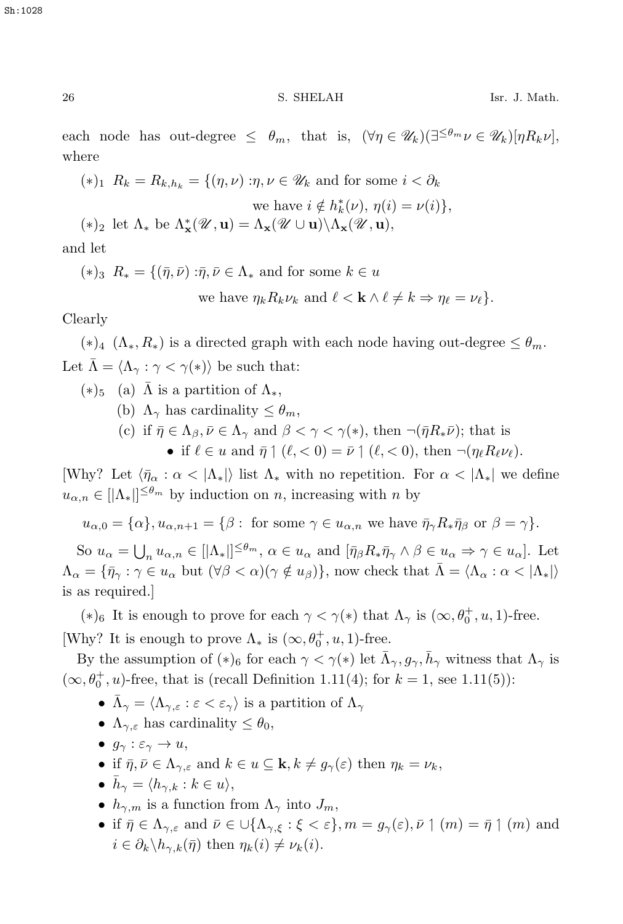each node has out-degree  $\leq \theta_m$ , that is,  $(\forall \eta \in \mathscr{U}_k)(\exists^{\leq \theta_m} \nu \in \mathscr{U}_k)[\eta R_k \nu]$ , where

$$
(*)_1 R_k = R_{k,h_k} = \{ (\eta, \nu) : \eta, \nu \in \mathcal{U}_k \text{ and for some } i < \partial_k
$$
  
we have  $i \notin h_k^*(\nu), \eta(i) = \nu(i) \},$   

$$
(*)_2 \text{ let } \Lambda_* \text{ be } \Lambda^*_\mathbf{x}(\mathcal{U}, \mathbf{u}) = \Lambda_\mathbf{x}(\mathcal{U} \cup \mathbf{u}) \setminus \Lambda_\mathbf{x}(\mathcal{U}, \mathbf{u}),
$$

and let

 $(*)_3 R_* = \{(\bar{\eta}, \bar{\nu}) : \bar{\eta}, \bar{\nu} \in \Lambda_* \text{ and for some } k \in \mathcal{U}\}$ 

we have 
$$
\eta_k R_k \nu_k
$$
 and  $\ell < \mathbf{k} \wedge \ell \neq k \Rightarrow \eta_\ell = \nu_\ell$ .

Clearly

 $(*)_4$   $(\Lambda_*, R_*)$  is a directed graph with each node having out-degree  $\leq \theta_m$ . Let  $\bar{\Lambda} = \langle \Lambda_{\gamma} : \gamma < \gamma(*) \rangle$  be such that:

 $(*)_5$  (a)  $\bar{\Lambda}$  is a partition of  $\Lambda_*$ ,

- (b)  $\Lambda_{\gamma}$  has cardinality  $\leq \theta_m$ ,
- (c) if  $\bar{\eta} \in \Lambda_{\beta}, \bar{\nu} \in \Lambda_{\gamma}$  and  $\beta < \gamma < \gamma(*)$ , then  $\neg(\bar{\eta}R_*\bar{\nu})$ ; that is
	- if  $\ell \in u$  and  $\bar{\eta} \mid (\ell, < 0) = \bar{\nu} \mid (\ell, < 0)$ , then  $\neg(\eta_{\ell} R_{\ell} \nu_{\ell}).$

[Why? Let  $\langle \bar{\eta}_{\alpha} : \alpha < |\Lambda_{*}| \rangle$  list  $\Lambda_{*}$  with no repetition. For  $\alpha < |\Lambda_{*}|$  we define  $u_{\alpha,n} \in [\vert \Lambda_* \vert]^{\leq \theta_m}$  by induction on n, increasing with n by

 $u_{\alpha,0} = {\alpha}$ ,  $u_{\alpha,n+1} = {\beta}$ : for some  $\gamma \in u_{\alpha,n}$  we have  $\bar{\eta}_{\gamma} R_{\ast} \bar{\eta}_{\beta}$  or  $\beta = \gamma$ .

So  $u_{\alpha} = \bigcup_n u_{\alpha,n} \in [\vert \Lambda_* \vert]^{ \leq \theta_m}, \ \alpha \in u_{\alpha} \text{ and } [\bar{\eta}_{\beta} R_* \bar{\eta}_{\gamma} \wedge \beta \in u_{\alpha} \Rightarrow \gamma \in u_{\alpha}].$  Let  $\Lambda_{\alpha} = {\bar{\eta}}_{\gamma} : \gamma \in u_{\alpha}$  but  $(\forall \beta < \alpha)(\gamma \notin u_{\beta})\},$  now check that  $\bar{\Lambda} = \langle \Lambda_{\alpha} : \alpha < |\Lambda_{*}|\rangle$ is as required.]

(\*)<sub>6</sub> It is enough to prove for each  $\gamma < \gamma(*)$  that  $\Lambda_{\gamma}$  is  $(\infty, \theta_0^+, u, 1)$ -free. [Why? It is enough to prove  $\Lambda_*$  is  $(\infty, \theta_0^+, u, 1)$ -free.

By the assumption of  $(*)_6$  for each  $\gamma < \gamma(*)$  let  $\bar{\Lambda}_{\gamma}, g_{\gamma}, \bar{h}_{\gamma}$  witness that  $\Lambda_{\gamma}$  is  $(\infty, \theta_0^+, u)$ -free, that is (recall Definition 1.11(4); for  $k = 1$ , see 1.11(5)):

- $\bar{\Lambda}_{\gamma} = \langle \Lambda_{\gamma,\varepsilon} : \varepsilon < \varepsilon_{\gamma} \rangle$  is a partition of  $\Lambda_{\gamma}$
- $\Lambda_{\gamma,\varepsilon}$  has cardinality  $\leq \theta_0$ ,
- $g_{\gamma}: \varepsilon_{\gamma} \to u$ ,
- if  $\bar{\eta}, \bar{\nu} \in \Lambda_{\gamma,\varepsilon}$  and  $k \in u \subseteq \mathbf{k}, k \neq g_{\gamma}(\varepsilon)$  then  $\eta_k = \nu_k$ ,
- $\bar{h}_{\gamma} = \langle h_{\gamma,k} : k \in u \rangle,$
- $h_{\gamma,m}$  is a function from  $\Lambda_{\gamma}$  into  $J_m$ ,
- if  $\bar{\eta} \in \Lambda_{\gamma,\varepsilon}$  and  $\bar{\nu} \in \cup\{\Lambda_{\gamma,\xi} : \xi < \varepsilon\}, m = g_{\gamma}(\varepsilon), \bar{\nu} \restriction (m) = \bar{\eta} \restriction (m)$  and  $i \in \partial_k \backslash h_{\gamma,k}(\bar{\eta})$  then  $\eta_k(i) \neq \nu_k(i)$ .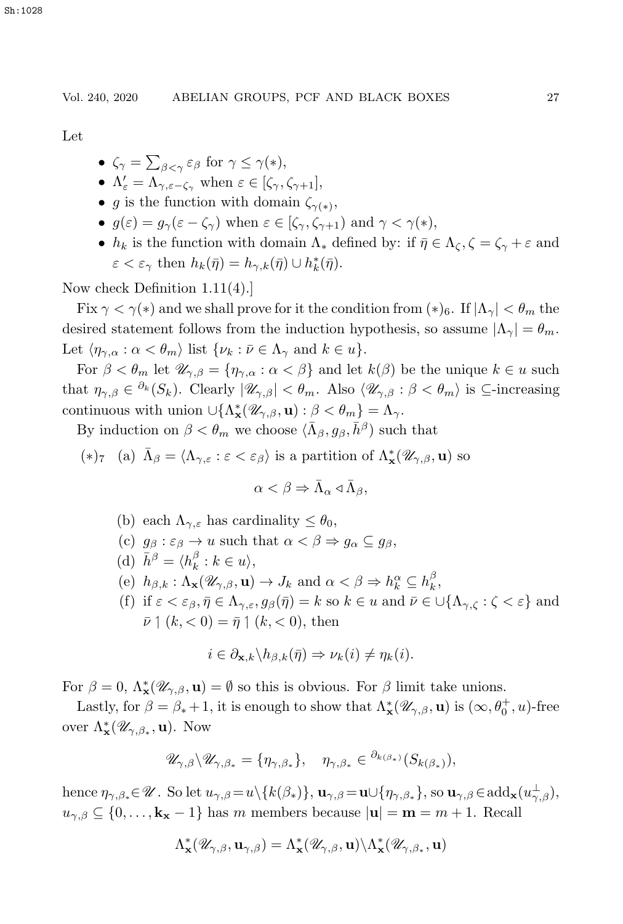Let

- $\zeta_{\gamma} = \sum_{\beta < \gamma} \varepsilon_{\beta}$  for  $\gamma \leq \gamma(*)$ ,
- $\Lambda_{\varepsilon}' = \Lambda_{\gamma, \varepsilon \zeta_{\gamma}}$  when  $\varepsilon \in [\zeta_{\gamma}, \zeta_{\gamma+1}],$
- g is the function with domain  $\zeta_{\gamma(*)}$ ,
- $g(\varepsilon) = g_{\gamma}(\varepsilon \zeta_{\gamma})$  when  $\varepsilon \in [\zeta_{\gamma}, \zeta_{\gamma+1})$  and  $\gamma < \gamma(*)$ ,
- $h_k$  is the function with domain  $\Lambda_*$  defined by: if  $\bar{\eta} \in \Lambda_{\zeta}, \zeta = \zeta_{\gamma} + \varepsilon$  and  $\varepsilon < \varepsilon_{\gamma}$  then  $h_k(\bar{\eta}) = h_{\gamma,k}(\bar{\eta}) \cup h_k^*(\bar{\eta}).$

Now check Definition 1.11(4).]

Fix  $\gamma < \gamma(*)$  and we shall prove for it the condition from  $(*)_6$ . If  $|\Lambda_{\gamma}| < \theta_m$  the desired statement follows from the induction hypothesis, so assume  $|\Lambda_{\gamma}| = \theta_m$ . Let  $\langle \eta_{\gamma,\alpha} : \alpha < \theta_m \rangle$  list  $\{\nu_k : \bar{\nu} \in \Lambda_{\gamma} \text{ and } k \in u\}.$ 

For  $\beta < \theta_m$  let  $\mathscr{U}_{\gamma,\beta} = \{\eta_{\gamma,\alpha} : \alpha < \beta\}$  and let  $k(\beta)$  be the unique  $k \in u$  such that  $\eta_{\gamma,\beta} \in {}^{\partial_k}(S_k)$ . Clearly  $|\mathscr{U}_{\gamma,\beta}| < \theta_m$ . Also  $\langle \mathscr{U}_{\gamma,\beta} : \beta < \theta_m \rangle$  is  $\subseteq$ -increasing continuous with union  $\cup \{\Lambda^*_\mathbf{x}(\mathscr{U}_{\gamma,\beta}, \mathbf{u}) : \beta < \theta_m\} = \Lambda_\gamma.$ 

By induction on  $\beta < \theta_m$  we choose  $\langle \bar{\Lambda}_{\beta}, g_{\beta}, \bar{h}^{\beta} \rangle$  such that

(\*)<sub>7</sub> (a)  $\bar{\Lambda}_{\beta} = \langle \Lambda_{\gamma,\varepsilon} : \varepsilon < \varepsilon_{\beta} \rangle$  is a partition of  $\Lambda_{\mathbf{x}}^*(\mathscr{U}_{\gamma,\beta}, \mathbf{u})$  so

$$
\alpha < \beta \Rightarrow \bar{\Lambda}_{\alpha} \triangleleft \bar{\Lambda}_{\beta},
$$

- (b) each  $\Lambda_{\gamma,\varepsilon}$  has cardinality  $\leq \theta_0$ ,
- (c)  $g_{\beta}: \varepsilon_{\beta} \to u$  such that  $\alpha < \beta \Rightarrow g_{\alpha} \subseteq g_{\beta}$ ,
- (d)  $\bar{h}^{\beta} = \langle h_k^{\beta} : k \in u \rangle,$
- (e)  $h_{\beta,k} : \Lambda_{\mathbf{x}}(\mathscr{U}_{\gamma,\beta}, \mathbf{u}) \to J_k$  and  $\alpha < \beta \Rightarrow h_k^{\alpha} \subseteq h_k^{\beta}$ ,
- (f) if  $\varepsilon < \varepsilon_\beta, \bar{\eta} \in \Lambda_{\gamma,\varepsilon}, g_\beta(\bar{\eta}) = k$  so  $k \in u$  and  $\bar{\nu} \in \bigcup \{\Lambda_{\gamma,\zeta} : \zeta < \varepsilon\}$  and  $\bar{\nu} \upharpoonleft (k, < 0) = \bar{\eta} \upharpoonright (k, < 0)$ , then

$$
i \in \partial_{\mathbf{x},k} \backslash h_{\beta,k}(\bar{\eta}) \Rightarrow \nu_k(i) \neq \eta_k(i).
$$

For  $\beta = 0$ ,  $\Lambda^*_{\mathbf{x}}(\mathscr{U}_{\gamma,\beta}, \mathbf{u}) = \emptyset$  so this is obvious. For  $\beta$  limit take unions.

Lastly, for  $\beta = \beta_* + 1$ , it is enough to show that  $\Lambda^*_{\mathbf{x}}(\mathscr{U}_{\gamma,\beta}, \mathbf{u})$  is  $(\infty, \theta_0^+, u)$ -free over  $\Lambda^*_{\mathbf{x}}(\mathscr{U}_{\gamma,\beta_*}, \mathbf{u})$ . Now

$$
\mathscr{U}_{\gamma,\beta}\backslash \mathscr{U}_{\gamma,\beta_*} = \{\eta_{\gamma,\beta_*}\}, \quad \eta_{\gamma,\beta_*} \in {}^{\partial_{k(\beta_*)}}(S_{k(\beta_*)}),
$$

hence  $\eta_{\gamma,\beta_*} \in \mathscr{U}$ . So let  $u_{\gamma,\beta} = u \setminus \{k(\beta_*)\}, \mathbf{u}_{\gamma,\beta} = \mathbf{u} \cup \{\eta_{\gamma,\beta_*}\},$  so  $\mathbf{u}_{\gamma,\beta} \in \text{add}_{\mathbf{x}}(u_{\gamma,\beta}^{\perp}),$  $u_{\gamma,\beta} \subseteq \{0,\ldots,\mathbf{k_x}-1\}$  has m members because  $|\mathbf{u}| = \mathbf{m} = m + 1$ . Recall

$$
\Lambda^*_{\mathbf{x}}(\mathscr{U}_{\gamma,\beta},\mathbf{u}_{\gamma,\beta})=\Lambda^*_{\mathbf{x}}(\mathscr{U}_{\gamma,\beta},\mathbf{u})\backslash\Lambda^*_{\mathbf{x}}(\mathscr{U}_{\gamma,\beta_*},\mathbf{u})
$$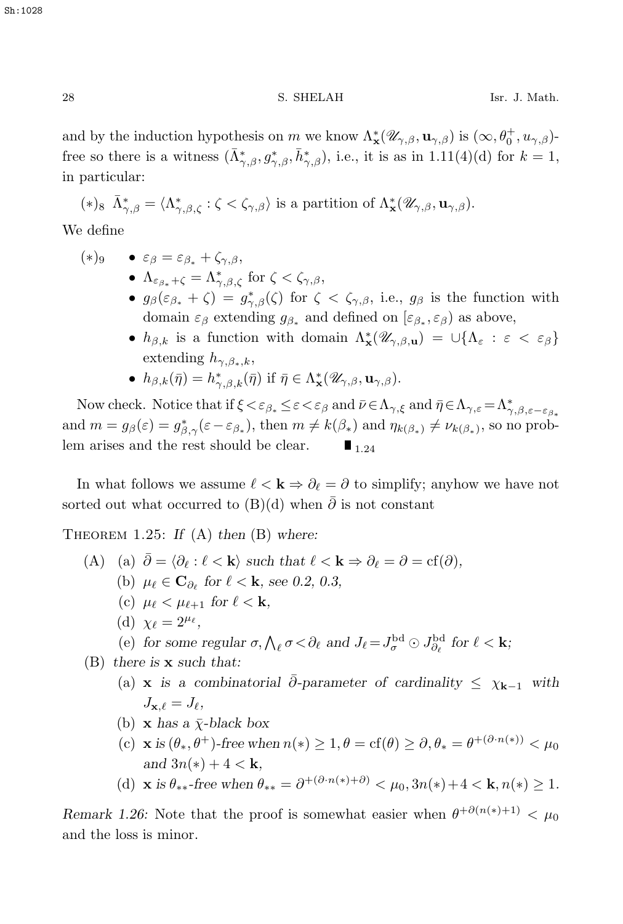and by the induction hypothesis on m we know  $\Lambda^*_{\mathbf{x}}(\mathscr{U}_{\gamma,\beta}, \mathbf{u}_{\gamma,\beta})$  is  $(\infty, \theta_0^+, u_{\gamma,\beta})$ . free so there is a witness  $(\bar{\Lambda}^*_{\gamma,\beta}, g^*_{\gamma,\beta}, \bar{h}^*_{\gamma,\beta})$ , i.e., it is as in 1.11(4)(d) for  $k = 1$ , in particular:

$$
(*)_{8}\ \bar{\Lambda}_{\gamma,\beta}^*=\langle \Lambda_{\gamma,\beta,\zeta}^*:\zeta<\zeta_{\gamma,\beta}\rangle\ \text{is a partition of}\ \Lambda_{\mathbf{x}}^*(\mathscr{U}_{\gamma,\beta},\mathbf{u}_{\gamma,\beta}).
$$

We define

- $(*)_9$   $\varepsilon_\beta = \varepsilon_{\beta_*} + \zeta_{\gamma,\beta}$ •  $\Lambda_{\varepsilon_{\beta_*}+\zeta} = \Lambda_{\gamma,\beta,\zeta}^*$  for  $\zeta < \zeta_{\gamma,\beta}$ ,
	- $g_{\beta}(\varepsilon_{\beta_{*}} + \zeta) = g_{\gamma,\beta}^{*}(\zeta)$  for  $\zeta < \zeta_{\gamma,\beta}$ , i.e.,  $g_{\beta}$  is the function with domain  $\varepsilon_{\beta}$  extending  $g_{\beta_*}$  and defined on  $[\varepsilon_{\beta_*}, \varepsilon_{\beta}]$  as above,
	- $h_{\beta,k}$  is a function with domain  $\Lambda^*_{\mathbf{x}}(\mathscr{U}_{\gamma,\beta,\mathbf{u}}) = \cup \{\Lambda_{\varepsilon} : \varepsilon < \varepsilon_{\beta}\}\$ extending  $h_{\gamma,\beta_*,k}$ ,
	- $h_{\beta,k}(\bar{\eta}) = h_{\gamma,\beta,k}^*(\bar{\eta})$  if  $\bar{\eta} \in \Lambda^*_{\mathbf{x}}(\mathscr{U}_{\gamma,\beta}, \mathbf{u}_{\gamma,\beta}).$

Now check. Notice that if  $\xi < \varepsilon_{\beta*} \leq \varepsilon < \varepsilon_{\beta}$  and  $\bar{\nu} \in \Lambda_{\gamma,\varepsilon}$  and  $\bar{\eta} \in \Lambda_{\gamma,\varepsilon} = \Lambda_{\gamma,\beta,\varepsilon-\varepsilon_{\beta*}}^*$ and  $m = g_{\beta}(\varepsilon) = g_{\beta,\gamma}^*(\varepsilon - \varepsilon_{\beta_*})$ , then  $m \neq k(\beta_*)$  and  $\eta_{k(\beta_*)} \neq \nu_{k(\beta_*)}$ , so no problem arises and the rest should be clear.  $\blacksquare$  1.24

In what follows we assume  $\ell < \mathbf{k} \Rightarrow \partial_{\ell} = \partial$  to simplify; anyhow we have not sorted out what occurred to  $(B)(d)$  when  $\overline{\partial}$  is not constant

Theorem 1.25: *If* (A) *then* (B) *where:*

- (A) (a)  $\bar{\partial} = \langle \partial_{\ell} : \ell \langle \mathbf{k} \rangle \text{ such that } \ell \langle \mathbf{k} \rangle \Rightarrow \partial_{\ell} = \partial = \text{cf}(\partial),$ 
	- (b)  $\mu_{\ell} \in \mathbf{C}_{\partial_{\ell}}$  for  $\ell < \mathbf{k}$ , see 0.2, 0.3,
		- (c)  $\mu_{\ell} < \mu_{\ell+1}$  for  $\ell < \mathbf{k}$ ,
		- (d)  $\chi_{\ell} = 2^{\mu_{\ell}}$ ,
		- (e) for some regular  $\sigma$ ,  $\bigwedge_{\ell} \sigma < \partial_{\ell}$  and  $J_{\ell} = J_{\sigma}^{\text{bd}} \odot J_{\partial_{\ell}}^{\text{bd}}$  for  $\ell < \mathbf{k}$ ;

(B) *there is* **x** *such that:*

- (a) **x** *is a combinatorial*  $\bar{\partial}$ -parameter of cardinality  $\leq \chi_{k-1}$  with  $J_{\mathbf{x},\ell} = J_{\ell},$
- (b) **x** has a  $\bar{\chi}$ -black box
- (c) **x** is  $(\theta_*, \theta^+)$ -free when  $n(*) \geq 1, \theta = \text{cf}(\theta) \geq \partial, \theta_* = \theta^{+(\partial \cdot n(*))} < \mu_0$ *and*  $3n(*) + 4 < k$ *,*
- (d) **x** is  $\theta_{**}$ -free when  $\theta_{**} = \partial^{+(\partial \cdot n(*)+\partial)} < \mu_0, 3n(*)+4 < \mathbf{k}, n(*) > 1$ .

*Remark 1.26:* Note that the proof is somewhat easier when  $\theta^{+\partial(n(*)+1)} < \mu_0$ and the loss is minor.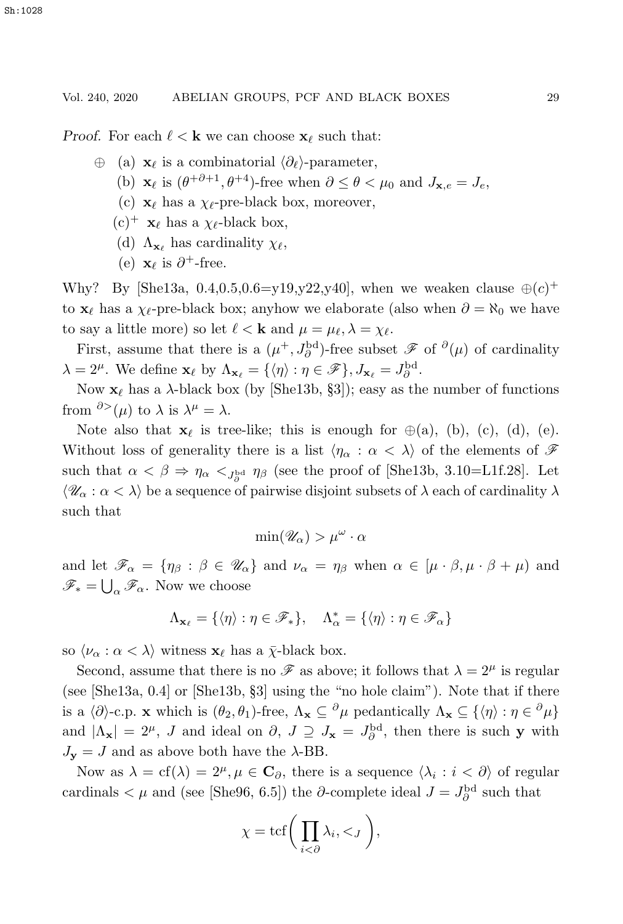*Proof.* For each  $\ell < \mathbf{k}$  we can choose  $\mathbf{x}_{\ell}$  such that:

- <sup>⊕</sup> (a) **<sup>x</sup>** is a combinatorial ∂-parameter,
	- (b) **x**<sub>l</sub> is  $(\theta^{+\partial+1}, \theta^{+4})$ -free when  $\partial \leq \theta < \mu_0$  and  $J_{\mathbf{x},e} = J_e$ ,
	- (c)  $\mathbf{x}_{\ell}$  has a  $\chi_{\ell}$ -pre-black box, moreover,
	- $(c)^+$  **x** has a  $\chi_{\ell}$ -black box,
	- (d)  $\Lambda_{\mathbf{x}_{\ell}}$  has cardinality  $\chi_{\ell}$ ,
	- (e)  $\mathbf{x}_{\ell}$  is  $\partial^{+}$ -free.

Why? By [She13a, 0.4,0.5,0.6=y19,y22,y40], when we weaken clause  $\oplus(c)^{+}$ to **x**<sub>l</sub> has a  $\chi$ <sub>l</sub>-pre-black box; anyhow we elaborate (also when  $\partial = \aleph_0$  we have to say a little more) so let  $\ell < \mathbf{k}$  and  $\mu = \mu_{\ell}, \lambda = \chi_{\ell}$ .

First, assume that there is a  $(\mu^+, J_\partial^{\rm bd})$ -free subset  $\mathscr F$  of  $\partial(\mu)$  of cardinality  $\lambda = 2^{\mu}$ . We define  $\mathbf{x}_{\ell}$  by  $\Lambda_{\mathbf{x}_{\ell}} = {\eta \in \mathcal{F}}, J_{\mathbf{x}_{\ell}} = J_{\partial}^{\text{bd}}$ .

Now  $\mathbf{x}_{\ell}$  has a  $\lambda$ -black box (by [She13b, §3]); easy as the number of functions from  $\partial^{\geq}(\mu)$  to  $\lambda$  is  $\lambda^{\mu} = \lambda$ .

Note also that  $\mathbf{x}_{\ell}$  is tree-like; this is enough for  $\oplus$ (a), (b), (c), (d), (e). Without loss of generality there is a list  $\langle \eta_\alpha : \alpha < \lambda \rangle$  of the elements of  $\mathscr F$ such that  $\alpha < \beta \Rightarrow \eta_{\alpha} <_{J_{\partial}^{\text{bd}}} \eta_{\beta}$  (see the proof of [She13b, 3.10=L1f.28]. Let  $\langle \mathcal{U}_\alpha : \alpha < \lambda \rangle$  be a sequence of pairwise disjoint subsets of  $\lambda$  each of cardinality  $\lambda$ such that

$$
\min(\mathscr{U}_{\alpha}) > \mu^{\omega} \cdot \alpha
$$

and let  $\mathscr{F}_{\alpha} = {\eta_{\beta} : \beta \in \mathscr{U}_{\alpha}}$  and  $\nu_{\alpha} = \eta_{\beta}$  when  $\alpha \in [\mu \cdot \beta, \mu \cdot \beta + \mu]$  and  $\mathscr{F}_* = \bigcup_{\alpha} \mathscr{F}_{\alpha}$ . Now we choose

$$
\Lambda_{\mathbf{x}_{\ell}} = \{ \langle \eta \rangle : \eta \in \mathscr{F}_* \}, \quad \Lambda_{\alpha}^* = \{ \langle \eta \rangle : \eta \in \mathscr{F}_{\alpha} \}
$$

so  $\langle \nu_{\alpha} : \alpha < \lambda \rangle$  witness  $\mathbf{x}_{\ell}$  has a  $\bar{\chi}$ -black box.

Second, assume that there is no  $\mathscr F$  as above; it follows that  $\lambda = 2^{\mu}$  is regular (see [She13a, 0.4] or [She13b, §3] using the "no hole claim"). Note that if there is a  $\langle \partial \rangle$ -c.p. **x** which is  $(\theta_2, \theta_1)$ -free,  $\Lambda_{\mathbf{x}} \subseteq {\partial \mu}$  pedantically  $\Lambda_{\mathbf{x}} \subseteq {\langle \eta \rangle : \eta \in {\partial \mu}}$ and  $|\Lambda_{\mathbf{x}}| = 2^{\mu}$ , *J* and ideal on  $\partial$ ,  $J \supseteq J_{\mathbf{x}} = J_{\partial}^{\text{bd}}$ , then there is such **y** with  $J_{\mathbf{y}} = J$  and as above both have the  $\lambda$ -BB.

Now as  $\lambda = cf(\lambda) = 2^{\mu}, \mu \in \mathbb{C}_{\partial}$ , there is a sequence  $\langle \lambda_i : i < \partial \rangle$  of regular cardinals  $\lt \mu$  and (see [She96, 6.5]) the ∂-complete ideal  $J = J^{\text{bd}}_{\partial}$  such that

$$
\chi = \text{tcf}\bigg(\prod_{i<\partial}\lambda_i,\lt;_J\bigg),\,
$$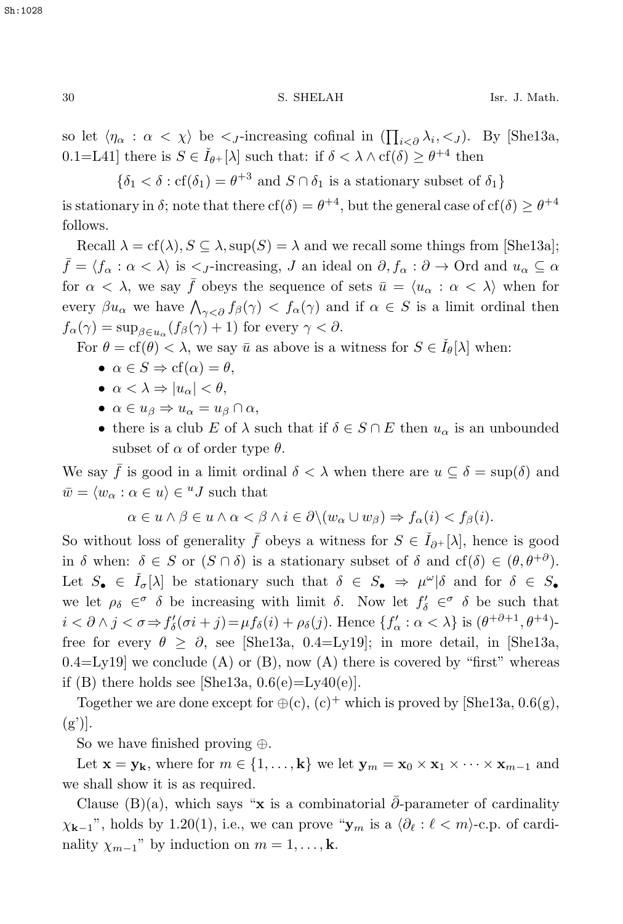so let  $\langle \eta_{\alpha} : \alpha \langle \chi \rangle$  be  $\langle \chi \rangle$ -increasing cofinal in  $\left( \prod_{i \leq \partial} \lambda_i, \langle \chi \rangle \right)$ . By [She13a, 0.1=L41] there is  $S \in \check{I}_{\theta+}[\lambda]$  such that: if  $\delta < \lambda \wedge cf(\delta) \geq \theta^{+4}$  then

 $\{\delta_1 < \delta : \text{cf}(\delta_1) = \theta^{+3} \text{ and } S \cap \delta_1 \text{ is a stationary subset of } \delta_1\}$ 

is stationary in δ; note that there  $cf(\delta) = \theta^{+4}$ , but the general case of  $cf(\delta) \geq \theta^{+4}$ follows.

Recall  $\lambda = \text{cf}(\lambda)$ ,  $S \subseteq \lambda$ , sup $(S) = \lambda$  and we recall some things from [She13a];  $\bar{f} = \langle f_{\alpha} : \alpha < \lambda \rangle$  is  $\langle f_{j} \rangle$ -increasing, J an ideal on  $\partial, f_{\alpha} : \partial \to 0$ rd and  $u_{\alpha} \subseteq \alpha$ for  $\alpha < \lambda$ , we say f obeys the sequence of sets  $\bar{u} = \langle u_{\alpha} : \alpha < \lambda \rangle$  when for every  $\beta u_{\alpha}$  we have  $\bigwedge_{\gamma<\partial} f_{\beta}(\gamma) < f_{\alpha}(\gamma)$  and if  $\alpha \in S$  is a limit ordinal then  $f_{\alpha}(\gamma) = \sup_{\beta \in u_{\alpha}} (f_{\beta}(\gamma) + 1)$  for every  $\gamma < \partial$ .

For  $\theta = \text{cf}(\theta) < \lambda$ , we say  $\bar{u}$  as above is a witness for  $S \in I_{\theta}[\lambda]$  when:

- $\alpha \in S \Rightarrow cf(\alpha) = \theta$ ,
- $\alpha < \lambda \Rightarrow |u_{\alpha}| < \theta$ ,
- $\alpha \in u_{\beta} \Rightarrow u_{\alpha} = u_{\beta} \cap \alpha$ ,
- there is a club E of  $\lambda$  such that if  $\delta \in S \cap E$  then  $u_{\alpha}$  is an unbounded subset of  $\alpha$  of order type  $\theta$ .

We say  $\bar{f}$  is good in a limit ordinal  $\delta < \lambda$  when there are  $u \subseteq \delta = \sup(\delta)$  and  $\bar{w} = \langle w_{\alpha} : \alpha \in u \rangle \in {}^{u}J$  such that

$$
\alpha \in u \wedge \beta \in u \wedge \alpha < \beta \wedge i \in \partial \setminus (w_{\alpha} \cup w_{\beta}) \Rightarrow f_{\alpha}(i) < f_{\beta}(i).
$$

So without loss of generality  $\bar{f}$  obeys a witness for  $S \in \check{I}_{\partial^+}[\lambda]$ , hence is good in δ when:  $\delta \in S$  or  $(S \cap \delta)$  is a stationary subset of  $\delta$  and  $cf(\delta) \in (\theta, \theta^{+\partial})$ . Let  $S_{\bullet} \in \check{I}_{\sigma}[\lambda]$  be stationary such that  $\delta \in S_{\bullet} \Rightarrow \mu^{\omega}|\delta$  and for  $\delta \in S_{\bullet}$ we let  $\rho_{\delta} \in \sigma$   $\delta$  be increasing with limit  $\delta$ . Now let  $f'_{\delta} \in \sigma$   $\delta$  be such that  $i < \partial \wedge j < \sigma \Rightarrow f'_{\delta}(\sigma i + j) = \mu f_{\delta}(i) + \rho_{\delta}(j)$ . Hence  $\{f'_{\alpha} : \alpha < \lambda\}$  is  $(\theta^{+\partial+1}, \theta^{+4})$ -<br>from for a series  $\theta \geq \theta$  and  $[\text{St}_2(12) - \theta_1(1)]$  is mapped that it is  $[\text{St}_2(12) - \theta_1(1)]$ free for every  $\theta \geq \partial$ , see [She13a, 0.4=Ly19]; in more detail, in [She13a,  $0.4 = Ly19$ ] we conclude (A) or (B), now (A) there is covered by "first" whereas if (B) there holds see [She13a,  $0.6(e) = Ly_40(e)$ ].

Together we are done except for  $\oplus$  (c), (c)<sup>+</sup> which is proved by [She13a, 0.6(g),  $(g')$ .

So we have finished proving ⊕.

Let  $\mathbf{x} = \mathbf{y}_k$ , where for  $m \in \{1, ..., k\}$  we let  $\mathbf{y}_m = \mathbf{x}_0 \times \mathbf{x}_1 \times \cdots \times \mathbf{x}_{m-1}$  and we shall show it is as required.

Clause (B)(a), which says "**x** is a combinatorial  $\bar{\partial}$ -parameter of cardinality  $\chi_{\mathbf{k}-1}$ ", holds by 1.20(1), i.e., we can prove " $\mathbf{y}_m$  is a  $\langle \partial_\ell : \ell < m \rangle$ -c.p. of cardinality  $\chi_{m-1}$ " by induction on  $m = 1, \ldots, k$ .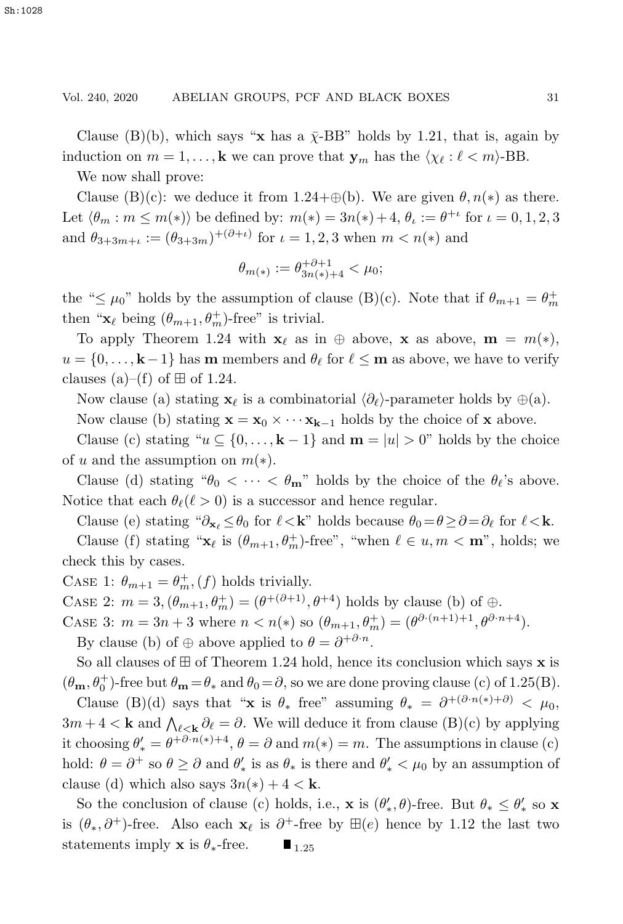Clause (B)(b), which says "**x** has a  $\bar{\chi}$ -BB" holds by 1.21, that is, again by induction on  $m = 1, \ldots, k$  we can prove that  $\mathbf{y}_m$  has the  $\langle \chi_\ell : \ell < m \rangle$ -BB.

We now shall prove:

Clause (B)(c): we deduce it from 1.24+⊕(b). We are given  $\theta$ ,  $n(*)$  as there. Let  $\langle \theta_m : m \leq m(*) \rangle$  be defined by:  $m(*) = 3n(*) + 4$ ,  $\theta_k := \theta^{+\iota}$  for  $\iota = 0, 1, 2, 3$ and  $\theta_{3+3m+\iota} := (\theta_{3+3m})^{+(\partial+\iota)}$  for  $\iota = 1, 2, 3$  when  $m < n(*)$  and

$$
\theta_{m(*)} := \theta_{3n(*)+4}^{+\partial+1} < \mu_0;
$$

the " $\leq \mu_0$ " holds by the assumption of clause (B)(c). Note that if  $\theta_{m+1} = \theta_m^+$ then " $\mathbf{x}_{\ell}$  being  $(\theta_{m+1}, \theta_{m}^{+})$ -free" is trivial.

To apply Theorem 1.24 with  $\mathbf{x}_{\ell}$  as in  $\oplus$  above,  $\mathbf{x}$  as above,  $\mathbf{m} = m(*)$ ,  $u = \{0, \ldots, k-1\}$  has **m** members and  $\theta_{\ell}$  for  $\ell \leq m$  as above, we have to verify clauses (a)–(f) of  $\boxplus$  of 1.24.

Now clause (a) stating **x**<sub>l</sub> is a combinatorial  $\langle \partial_{\ell} \rangle$ -parameter holds by  $\oplus$  (a).

Now clause (b) stating  $\mathbf{x} = \mathbf{x}_0 \times \cdots \mathbf{x}_{k-1}$  holds by the choice of **x** above.

Clause (c) stating " $u \subseteq \{0, \ldots, k-1\}$  and  $m = |u| > 0$ " holds by the choice of u and the assumption on  $m(*)$ .

Clause (d) stating " $\theta_0 < \cdots < \theta_m$ " holds by the choice of the  $\theta_{\ell}$ 's above. Notice that each  $\theta_{\ell}(\ell > 0)$  is a successor and hence regular.

Clause (e) stating " $\partial_{\mathbf{x}_{\ell}} \leq \theta_0$  for  $\ell < \mathbf{k}$ " holds because  $\theta_0 = \theta \geq \partial = \partial_{\ell}$  for  $\ell < \mathbf{k}$ .

Clause (f) stating " $\mathbf{x}_{\ell}$  is  $(\theta_{m+1}, \theta_m^+)$ -free", "when  $\ell \in u, m < \mathbf{m}$ ", holds; we check this by cases.

CASE 1:  $\theta_{m+1} = \theta_m^+$ ,  $(f)$  holds trivially.

CASE 2:  $m = 3$ ,  $(\theta_{m+1}, \theta_m^+) = (\theta^{+(\partial+1)}, \theta^{+4})$  holds by clause (b) of  $\oplus$ .

CASE 3:  $m = 3n + 3$  where  $n < n(*)$  so  $(\theta_{m+1}, \theta_m^+) = (\theta^{\partial \cdot (n+1)+1}, \theta^{\partial \cdot n+4}).$ 

By clause (b) of  $\oplus$  above applied to  $\theta = \partial^{+\partial \cdot n}$ .

So all clauses of  $\boxplus$  of Theorem 1.24 hold, hence its conclusion which says **x** is  $(\theta_{\mathbf{m}}, \theta_0^+)$ -free but  $\theta_{\mathbf{m}} = \theta_*$  and  $\theta_0 = \partial$ , so we are done proving clause (c) of 1.25(B).

Clause (B)(d) says that "**x** is  $\theta_*$  free" assuming  $\theta_* = \partial^{+(\partial \cdot n(*)+\partial)} < \mu_0$ ,  $3m + 4 < \mathbf{k}$  and  $\bigwedge_{\ell \leq \mathbf{k}} \partial_{\ell} = \partial$ . We will deduce it from clause  $(B)(c)$  by applying<br>it chaseing  $\theta' = \frac{\partial^2 B}{\partial x^2} + 4 \partial_x \partial_y$  and  $m(x) = m$ . The assumptions in clause  $(a)$ it choosing  $\theta'_{*} = \theta^{+\partial n(*)+4}, \theta = \partial$  and  $m(*) = m$ . The assumptions in clause (c) hold:  $\theta = \partial^+$  so  $\theta \ge \partial$  and  $\theta'_*$  is as  $\theta_*$  is there and  $\theta'_* < \mu_0$  by an assumption of clause (d) which also says  $3n(*) + 4 < \mathbf{k}$ .

So the conclusion of clause (c) holds, i.e., **x** is  $(\theta'_*, \theta)$ -free. But  $\theta_* \le \theta'_*$  so **x** is  $(θ_*, δ^+)$ -free. Also each **x**<sub>l</sub> is  $∂^+$ -free by  $\mathbb{H}(e)$  hence by 1.12 the last two statements imply **x** is  $θ_*$ -free.  $\blacksquare_{1.25}$ statements imply **x** is  $\theta_*$ -free.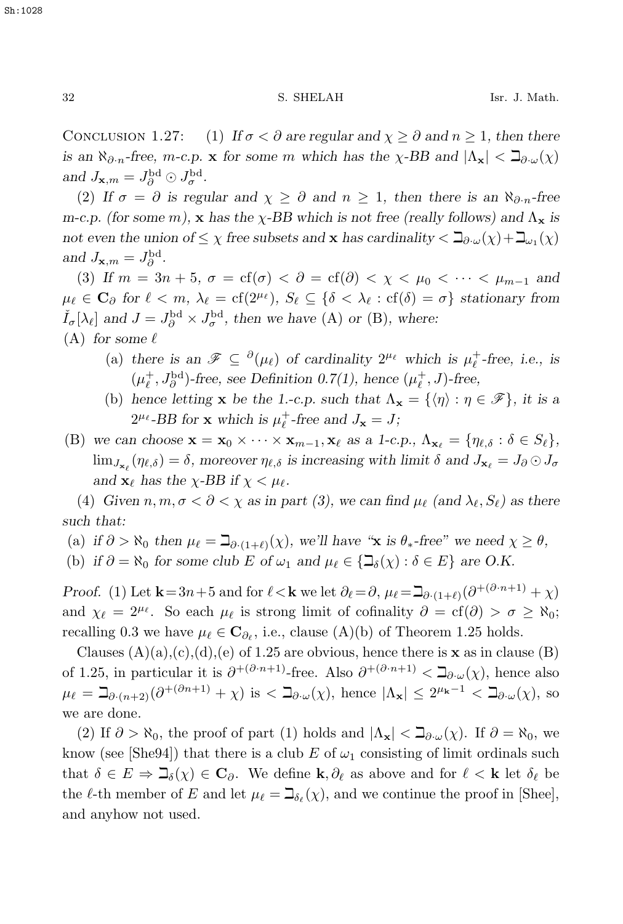CONCLUSION 1.27: (1) If  $\sigma < \partial$  are regular and  $\chi \geq \partial$  and  $n \geq 1$ , then there *is an*  $\aleph_{\partial n}$ -free, *m*-c.p. **x** for some *m* which has the  $\chi$ -BB and  $|\Lambda_{\mathbf{x}}| < \beth_{\partial \cdot \omega}(\chi)$ and  $J_{\mathbf{x},m} = J_{\partial}^{\text{bd}} \odot J_{\sigma}^{\text{bd}}$ .

(2) If  $\sigma = \partial$  is regular and  $\chi > \partial$  and  $n > 1$ , then there is an  $\aleph_{\partial n}$ -free *m-c.p. (for some m),* **x** *has the*  $\chi$ -*BB* which is not free (really follows) and  $\Lambda_{\mathbf{x}}$  is *not even the union of*  $\leq \chi$  *free subsets and* **x** *has cardinality*  $\lt \exists_{\partial \cdot \omega}(\chi) + \exists_{\omega_1}(\chi)$ and  $J_{\mathbf{x},m} = J_{\partial}^{\text{bd}}$ .

(3) If  $m = 3n + 5$ ,  $\sigma = \text{cf}(\sigma) < \partial = \text{cf}(\partial) < \chi < \mu_0 < \cdots < \mu_{m-1}$  and  $\mu_{\ell} \in \mathbf{C}_{\partial}$  for  $\ell < m$ ,  $\lambda_{\ell} = \text{cf}(2^{\mu_{\ell}})$ ,  $S_{\ell} \subseteq {\delta < \lambda_{\ell} : \text{cf}(\delta) = \sigma}$  stationary from  $\check{I}_{\sigma}[\lambda_{\ell}]$  and  $J = J_{\partial}^{\text{bd}} \times J_{\sigma}^{\text{bd}}$ , then we have (A) or (B), where:  $(A)$  *for some*  $\ell$ 

- (a) there is an  $\mathscr{F} \subseteq {}^{\partial}(\mu_{\ell})$  of cardinality  $2^{\mu_{\ell}}$  which is  $\mu_{\ell}^{+}$ -free, i.e., is  $(\mu_{\ell}^{+}, J_{\rho}^{\text{bd}})$ -free, see Definition 0.7(1), hence  $(\mu_{\ell}^{+}, J)$ -free,
- (b) hence letting **x** be the 1.-c.p. such that  $\Lambda_{\mathbf{x}} = \{ \langle \eta \rangle : \eta \in \mathcal{F} \}$ , it is a  $2^{\mu_{\ell}}$ -BB for **x** which is  $\mu_{\ell}^{+}$ -free and  $J_{\mathbf{x}} = J$ ;
- (B) we can choose  $\mathbf{x} = \mathbf{x}_0 \times \cdots \times \mathbf{x}_{m-1}, \mathbf{x}_\ell$  as a 1-c.p.,  $\Lambda_{\mathbf{x}_\ell} = \{\eta_{\ell,\delta} : \delta \in S_\ell\},\$  $\lim_{J_{\mathbf{x}_{\ell}}} (\eta_{\ell,\delta}) = \delta$ , moreover  $\eta_{\ell,\delta}$  is increasing with limit  $\delta$  and  $J_{\mathbf{x}_{\ell}} = J_{\partial} \odot J_{\sigma}$ *and*  $\mathbf{x}_{\ell}$  *has the*  $\chi$ -*BB if*  $\chi$  <  $\mu_{\ell}$ *.*

(4) *Given*  $n, m, \sigma < \partial < \chi$  *as in part (3), we can find*  $\mu_{\ell}$  *(and*  $\lambda_{\ell}, S_{\ell}$ *) as there such that:*

(a) if  $\partial > \aleph_0$  then  $\mu_{\ell} = \beth_{\partial \cdot (1+\ell)}(\chi)$ , we'll have "**x** is  $\theta_*$ -free" we need  $\chi \geq \theta$ , (b) *if*  $\partial = \aleph_0$  *for some club E of*  $\omega_1$  *and*  $\mu_\ell \in {\mathbb{Z}}_{\delta}(\chi) : \delta \in E$  *are O.K.* 

*Proof.* (1) Let  $\mathbf{k} = 3n+5$  and for  $\ell < \mathbf{k}$  we let  $\partial_{\ell} = \partial$ ,  $\mu_{\ell} = \mathbb{I}_{\partial \cdot (1+\ell)}(\partial^{+(\partial \cdot n+1)} + \chi)$ and  $\chi_{\ell} = 2^{\mu_{\ell}}$ . So each  $\mu_{\ell}$  is strong limit of cofinality  $\partial = cf(\partial) > \sigma \geq \aleph_0$ ; recalling 0.3 we have  $\mu_{\ell} \in \mathbf{C}_{\partial_{\ell}}$ , i.e., clause (A)(b) of Theorem 1.25 holds.

Clauses  $(A)(a),(c),(d),(e)$  of 1.25 are obvious, hence there is **x** as in clause  $(B)$ of 1.25, in particular it is  $\partial^{+}(\partial^{n+1})$ -free. Also  $\partial^{+}(\partial^{n+1}) < \mathbb{D}_{\partial}(\chi)$ , hence also  $\mu_{\ell} = \beth_{\partial \cdot (n+2)}(\partial^{+(\partial n+1)} + \chi)$  is  $\lt \beth_{\partial \cdot \omega}(\chi)$ , hence  $|\Lambda_{\mathbf{x}}| \leq 2^{\mu_{\mathbf{k}}-1} \lt \beth_{\partial \cdot \omega}(\chi)$ , so we are done.

(2) If  $\partial > \aleph_0$ , the proof of part (1) holds and  $|\Lambda_{\mathbf{x}}| < \beth_{\partial} \omega(\chi)$ . If  $\partial = \aleph_0$ , we know (see [She94]) that there is a club E of  $\omega_1$  consisting of limit ordinals such that  $\delta \in E \Rightarrow \beth_{\delta}(\chi) \in \mathbf{C}_{\partial}$ . We define **k**,  $\partial_{\ell}$  as above and for  $\ell < \mathbf{k}$  let  $\delta_{\ell}$  be the  $\ell$ -th member of E and let  $\mu_{\ell} = \beth_{\delta_{\ell}}(\chi)$ , and we continue the proof in [Shee], and anyhow not used.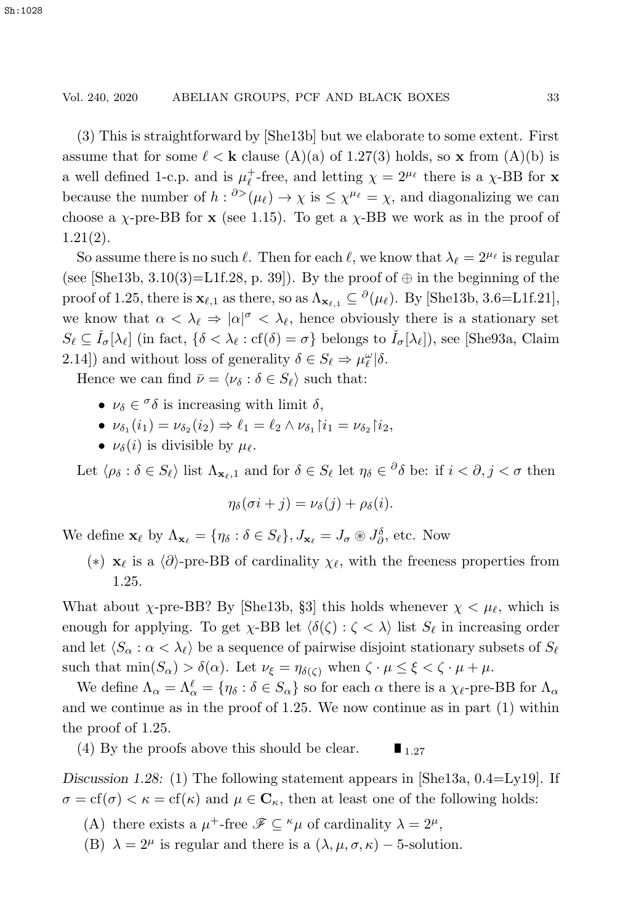(3) This is straightforward by [She13b] but we elaborate to some extent. First assume that for some  $\ell < \mathbf{k}$  clause (A)(a) of 1.27(3) holds, so **x** from (A)(b) is a well defined 1-c.p. and is  $\mu_{\ell}^{+}$ -free, and letting  $\chi = 2^{\mu_{\ell}}$  there is a  $\chi$ -BB for **x** because the number of  $h: \partial^{\geq}(\mu_{\ell}) \to \chi$  is  $\leq \chi^{\mu_{\ell}} = \chi$ , and diagonalizing we can choose a  $\chi$ -pre-BB for **x** (see 1.15). To get a  $\chi$ -BB we work as in the proof of 1.21(2).

So assume there is no such  $\ell$ . Then for each  $\ell$ , we know that  $\lambda_{\ell} = 2^{\mu_{\ell}}$  is regular (see [She13b, 3.10(3)=L1f.28, p. 39]). By the proof of  $\oplus$  in the beginning of the proof of 1.25, there is  $\mathbf{x}_{\ell,1}$  as there, so as  $\Lambda_{\mathbf{x}_{\ell,1}} \subseteq {}^{\partial}(\mu_{\ell})$ . By [She13b, 3.6=L1f.21], we know that  $\alpha < \lambda_{\ell} \Rightarrow |\alpha|^{\sigma} < \lambda_{\ell}$ , hence obviously there is a stationary set  $S_{\ell} \subseteq \check{I}_{\sigma}[\lambda_{\ell}]$  (in fact,  $\{\delta < \lambda_{\ell} : \text{cf}(\delta) = \sigma\}$  belongs to  $\check{I}_{\sigma}[\lambda_{\ell}]$ ), see [She93a, Claim 2.14) and without loss of generality  $\delta \in S_{\ell} \Rightarrow \mu_{\ell}^{\omega}|\delta$ .

Hence we can find  $\bar{\nu} = \langle \nu_{\delta} : \delta \in S_{\ell} \rangle$  such that:

- $\nu_{\delta} \in {}^{\sigma}\delta$  is increasing with limit  $\delta$ .
- $\nu_{\delta_1}(i_1) = \nu_{\delta_2}(i_2) \Rightarrow \ell_1 = \ell_2 \wedge \nu_{\delta_1} \, | \, i_1 = \nu_{\delta_2} \, | \, i_2,$
- $\nu_{\delta}(i)$  is divisible by  $\mu_{\ell}$ .

Let  $\langle \rho_{\delta} : \delta \in S_{\ell} \rangle$  list  $\Lambda_{\mathbf{x}_{\ell-1}}$  and for  $\delta \in S_{\ell}$  let  $\eta_{\delta} \in {}^{\partial} {\delta}$  be: if  $i < \partial, j < \sigma$  then

$$
\eta_{\delta}(\sigma i + j) = \nu_{\delta}(j) + \rho_{\delta}(i).
$$

We define  $\mathbf{x}_{\ell}$  by  $\Lambda_{\mathbf{x}_{\ell}} = {\eta_{\delta} : \delta \in S_{\ell}}$ ,  $J_{\mathbf{x}_{\ell}} = J_{\sigma} \otimes J_{\partial}^{\delta}$ , etc. Now

(\*) **x**<sub>l</sub> is a  $\langle \partial \rangle$ -pre-BB of cardinality  $\chi$ <sub>l</sub>, with the freeness properties from 1.25.

What about  $\chi$ -pre-BB? By [She13b, §3] this holds whenever  $\chi < \mu_{\ell}$ , which is enough for applying. To get  $\chi$ -BB let  $\langle \delta(\zeta) : \zeta \langle \lambda \rangle$  list  $S_{\ell}$  in increasing order and let  $\langle S_\alpha : \alpha < \lambda_\ell \rangle$  be a sequence of pairwise disjoint stationary subsets of  $S_\ell$ such that  $\min(S_\alpha) > \delta(\alpha)$ . Let  $\nu_{\xi} = \eta_{\delta(\zeta)}$  when  $\zeta \cdot \mu \leq \xi < \zeta \cdot \mu + \mu$ .

We define  $\Lambda_{\alpha} = \Lambda_{\alpha}^{\ell} = {\eta_{\delta} : \delta \in S_{\alpha}}$  so for each  $\alpha$  there is a  $\chi_{\ell}$ -pre-BB for  $\Lambda_{\alpha}$ and we continue as in the proof of 1.25. We now continue as in part (1) within the proof of 1.25.

(4) By the proofs above this should be clear.  $\blacksquare$  1.27

*Discussion 1.28:* (1) The following statement appears in [She13a, 0.4=Ly19]. If  $\sigma = \text{cf}(\sigma) < \kappa = \text{cf}(\kappa)$  and  $\mu \in \mathbb{C}_{\kappa}$ , then at least one of the following holds:

- (A) there exists a  $\mu^+$ -free  $\mathscr{F} \subseteq \kappa \mu$  of cardinality  $\lambda = 2^{\mu}$ ,
- (B)  $\lambda = 2^{\mu}$  is regular and there is a  $(\lambda, \mu, \sigma, \kappa) 5$ -solution.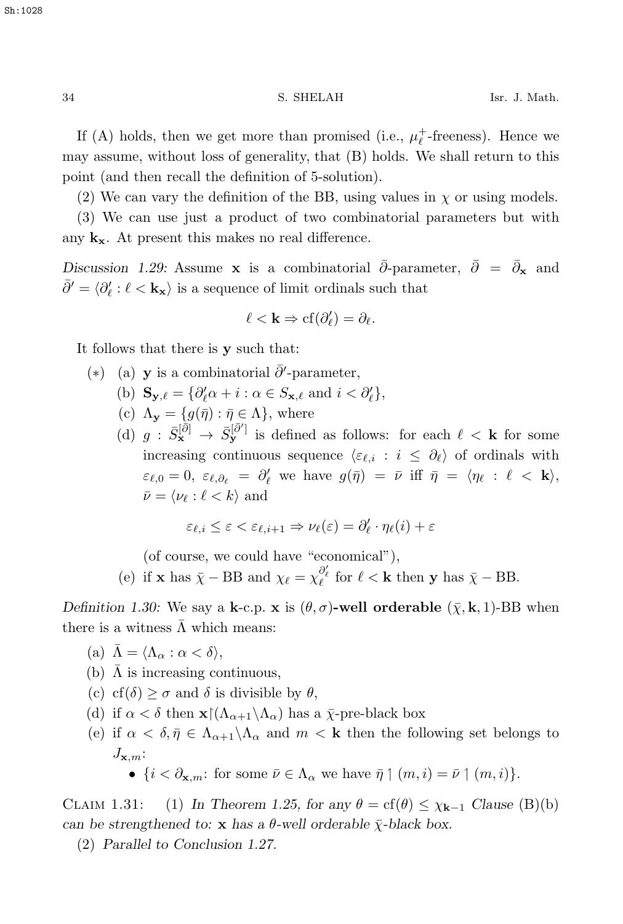If (A) holds, then we get more than promised (i.e.,  $\mu_{\ell}^{+}$ -freeness). Hence we may assume, without loss of generality, that (B) holds. We shall return to this point (and then recall the definition of 5-solution).

(2) We can vary the definition of the BB, using values in  $\chi$  or using models.

(3) We can use just a product of two combinatorial parameters but with any  $\mathbf{k}_{\mathbf{x}}$ . At present this makes no real difference.

Discussion 1.29: Assume **x** is a combinatorial  $\bar{\partial}$ -parameter,  $\bar{\partial} = \bar{\partial}_{\mathbf{x}}$  and  $\bar{\partial}' = \langle \partial'_{\ell} : \ell < \mathbf{k}_{\mathbf{x}} \rangle$  is a sequence of limit ordinals such that

$$
\ell < \mathbf{k} \Rightarrow \mathrm{cf}(\partial_{\ell}') = \partial_{\ell}.
$$

It follows that there is **y** such that:

- (\*) (a) **y** is a combinatorial  $\bar{\partial}$ '-parameter,
	- (b)  $\mathbf{S}_{\mathbf{y}, \ell} = \{ \partial_{\ell}^{\prime} \alpha + i : \alpha \in S_{\mathbf{x}, \ell} \text{ and } i < \partial_{\ell}^{\prime} \},$
	- (c)  $\Lambda_{\mathbf{y}} = \{g(\bar{\eta}) : \bar{\eta} \in \Lambda\}$ , where
	- (d)  $g : \bar{S}_{\mathbf{x}}^{[\bar{\partial}]} \to \bar{S}_{\mathbf{y}}^{[\bar{\partial}]}$  is defined as follows: for each  $\ell < \mathbf{k}$  for some increasing continuous sequence  $\langle \varepsilon_{\ell,i} : i \leq \partial_{\ell} \rangle$  of ordinals with  $\varepsilon_{\ell,0} = 0$ ,  $\varepsilon_{\ell,\partial_{\ell}} = \partial'_{\ell}$  we have  $g(\bar{\eta}) = \bar{\nu}$  iff  $\bar{\eta} = \langle \eta_{\ell} : \ell < \mathbf{k} \rangle$ ,  $\bar{\nu} = \langle \nu_{\ell} : \ell < k \rangle$  and

$$
\varepsilon_{\ell,i} \leq \varepsilon < \varepsilon_{\ell,i+1} \Rightarrow \nu_{\ell}(\varepsilon) = \partial_{\ell}' \cdot \eta_{\ell}(i) + \varepsilon
$$

(of course, we could have "economical"),

(e) if **x** has  $\bar{\chi}$  – BB and  $\chi_{\ell} = \chi_{\ell}^{\partial_{\ell}'}$  for  $\ell < \mathbf{k}$  then **y** has  $\bar{\chi}$  – BB.

*Definition 1.30:* We say a **k**-c.p. **x** is  $(\theta, \sigma)$ -well orderable  $(\bar{\chi}, \mathbf{k}, 1)$ -BB when there is a witness  $\bar{\Lambda}$  which means:

- (a)  $\bar{\Lambda} = \langle \Lambda_{\alpha} : \alpha < \delta \rangle$ ,
- (b)  $\Lambda$  is increasing continuous,
- (c) cf( $\delta$ ) >  $\sigma$  and  $\delta$  is divisible by  $\theta$ ,
- (d) if  $\alpha < \delta$  then **x** $(\Lambda_{\alpha+1}\setminus\Lambda_\alpha)$  has a  $\bar{\chi}$ -pre-black box
- (e) if  $\alpha < \delta, \bar{\eta} \in \Lambda_{\alpha+1} \backslash \Lambda_{\alpha}$  and  $m < k$  then the following set belongs to  $J_{\mathbf{x},m}$ :
	- $\{i < \partial_{\mathbf{x},m} : \text{ for some } \overline{\nu} \in \Lambda_{\alpha} \text{ we have } \overline{\eta} \mid (m, i) = \overline{\nu} \mid (m, i)\}.$

CLAIM 1.31: (1) In Theorem 1.25, for any  $\theta = cf(\theta) \leq \chi_{k-1}$  Clause (B)(b) *can be strengthened to:* **x** *has a*  $\theta$ *-well orderable*  $\bar{\chi}$ *-black box.* 

(2) *Parallel to Conclusion 1.27.*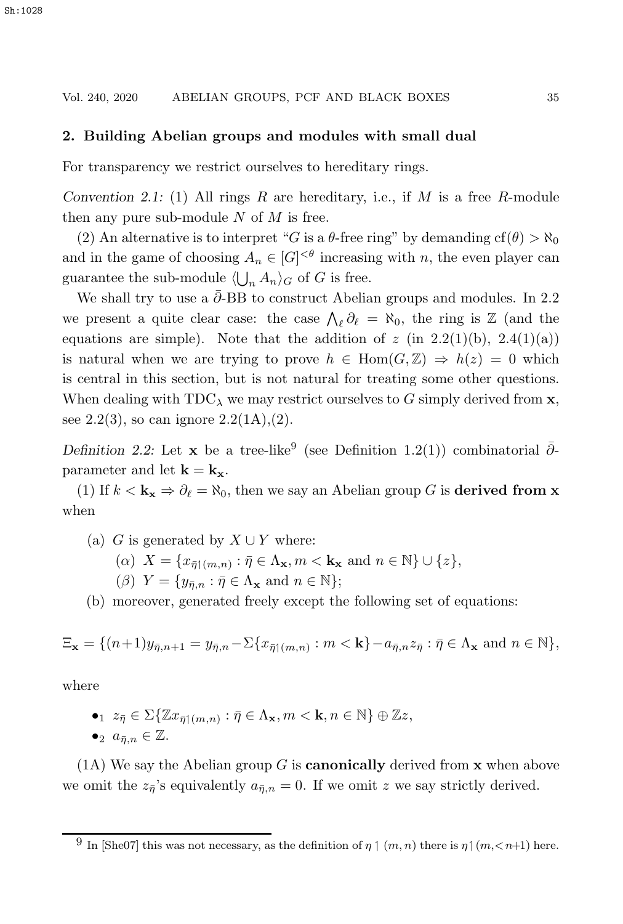#### **2. Building Abelian groups and modules with small dual**

For transparency we restrict ourselves to hereditary rings.

*Convention 2.1:* (1) All rings R are hereditary, i.e., if M is a free R-module then any pure sub-module  $N$  of  $M$  is free.

(2) An alternative is to interpret "G is a  $\theta$ -free ring" by demanding cf( $\theta$ ) >  $\aleph_0$ and in the game of choosing  $A_n \in [G]^{<\theta}$  increasing with n, the even player can guarantee the sub-module  $\langle \bigcup_n A_n \rangle_G$  of G is free.

We shall try to use a  $\bar{\partial}$ -BB to construct Abelian groups and modules. In 2.2 we present a quite clear case: the case  $\bigwedge_{\ell} \partial_{\ell} = \aleph_0$ , the ring is  $\mathbb{Z}$  (and the equations are simple). Note that the addition of  $z$  (in 2.2(1)(b), 2.4(1)(a)) is natural when we are trying to prove  $h \in \text{Hom}(G,\mathbb{Z}) \Rightarrow h(z) = 0$  which is central in this section, but is not natural for treating some other questions. When dealing with  $TDC_\lambda$  we may restrict ourselves to G simply derived from **x**, see 2.2(3), so can ignore  $2.2(1A)$ , (2).

*Definition 2.2:* Let **x** be a tree-like<sup>9</sup> (see Definition 1.2(1)) combinatorial  $\bar{\partial}$ parameter and let  $\mathbf{k} = \mathbf{k_x}$ .

(1) If  $k < \mathbf{k_x} \Rightarrow \partial_\ell = \aleph_0$ , then we say an Abelian group G is **derived from x** when

- (a) G is generated by  $X \cup Y$  where:
	- $(\alpha)$   $X = \{x_{\bar{\eta}\uparrow(m,n)} : \bar{\eta} \in \Lambda_{\mathbf{x}}, m < \mathbf{k}_{\mathbf{x}} \text{ and } n \in \mathbb{N}\} \cup \{z\},$
	- ( $\beta$ )  $Y = \{y_{\bar{n},n} : \bar{\eta} \in \Lambda_{\mathbf{x}} \text{ and } n \in \mathbb{N}\};$

(b) moreover, generated freely except the following set of equations:

$$
\Xi_{\mathbf{x}} = \{ (n+1)y_{\bar{\eta},n+1} = y_{\bar{\eta},n} - \Sigma \{ x_{\bar{\eta}|\langle m,n \rangle} : m < \mathbf{k} \} - a_{\bar{\eta},n} z_{\bar{\eta}} : \bar{\eta} \in \Lambda_{\mathbf{x}} \text{ and } n \in \mathbb{N} \},
$$

where

 $\bullet_1$   $z_{\bar{\eta}} \in \Sigma \{ \mathbb{Z} x_{\bar{\eta}}(m,n) : \bar{\eta} \in \Lambda_\mathbf{x}, m < \mathbf{k}, n \in \mathbb{N} \} \oplus \mathbb{Z} z,$  $\bullet_2 \, a_{\bar{n},n} \in \mathbb{Z}.$ 

(1A) We say the Abelian group G is **canonically** derived from **x** when above we omit the  $z_{\bar{\eta}}$ 's equivalently  $a_{\bar{\eta},n} = 0$ . If we omit z we say strictly derived.

<sup>&</sup>lt;sup>9</sup> In [She07] this was not necessary, as the definition of  $\eta \mid (m, n)$  there is  $\eta \mid (m, \leq n+1)$  here.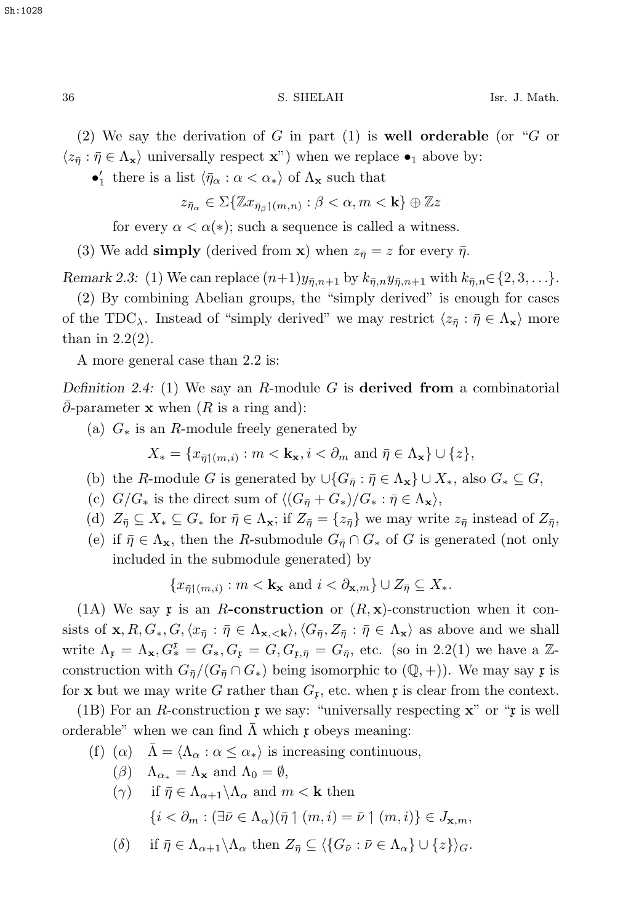(2) We say the derivation of G in part (1) is **well orderable** (or "G or  $\langle z_{\overline{n}} : \overline{\eta} \in \Lambda_{\mathbf{x}} \rangle$  universally respect **x**") when we replace  $\bullet_1$  above by:

 $\bullet'_{1}$  there is a list  $\langle \bar{\eta}_{\alpha} : \alpha < \alpha_{*} \rangle$  of  $\Lambda_{\mathbf{x}}$  such that

$$
z_{\bar{\eta}_{\alpha}} \in \Sigma \{ \mathbb{Z} x_{\bar{\eta}_{\beta} \upharpoonright (m,n)} : \beta < \alpha, m < \mathbf{k} \} \oplus \mathbb{Z} z
$$

for every  $\alpha < \alpha(*)$ ; such a sequence is called a witness.

(3) We add **simply** (derived from **x**) when  $z_{\overline{\eta}} = z$  for every  $\overline{\eta}$ .

*Remark 2.3:* (1) We can replace  $(n+1)y_{\bar{n},n+1}$  by  $k_{\bar{n},n}y_{\bar{n},n+1}$  with  $k_{\bar{n},n} \in \{2,3,...\}$ .

(2) By combining Abelian groups, the "simply derived" is enough for cases of the TDC<sub> $\lambda$ </sub>. Instead of "simply derived" we may restrict  $\langle z_{\bar{\eta}} : \bar{\eta} \in \Lambda_{\mathbf{x}} \rangle$  more than in  $2.2(2)$ .

A more general case than 2.2 is:

*Definition 2.4:* (1) We say an R-module G is **derived from** a combinatorial  $\partial$ -parameter **x** when (R is a ring and):

(a)  $G_*$  is an R-module freely generated by

 $X_* = \{x_{\overline{\eta}}(m,i) : m < \mathbf{k_x}, i < \partial_m \text{ and } \overline{\eta} \in \Lambda_{\mathbf{x}}\} \cup \{z\},\$ 

- (b) the R-module G is generated by  $\cup$ { $G_{\overline{n}}$  :  $\overline{\eta} \in \Lambda_{\mathbf{x}}$ }  $\cup X_*$ , also  $G_* \subset G$ ,
- (c)  $G/G_*$  is the direct sum of  $\langle (G_{\bar{\eta}} + G_*)/G_* : \bar{\eta} \in \Lambda_{\mathbf{x}} \rangle$ ,
- (d)  $Z_{\bar{\eta}} \subseteq X_* \subseteq G_*$  for  $\bar{\eta} \in \Lambda_{\mathbf{x}}$ ; if  $Z_{\bar{\eta}} = \{z_{\bar{\eta}}\}$  we may write  $z_{\bar{\eta}}$  instead of  $Z_{\bar{\eta}}$ ,
- (e) if  $\bar{\eta} \in \Lambda_{\mathbf{x}}$ , then the R-submodule  $G_{\bar{\eta}} \cap G_{*}$  of G is generated (not only included in the submodule generated) by

$$
\{x_{\bar{\eta}|(m,i)} : m < \mathbf{k_x} \text{ and } i < \partial_{\mathbf{x},m} \} \cup Z_{\bar{\eta}} \subseteq X_*
$$

(1A) We say x is an R-construction or  $(R, x)$ -construction when it consists of  $\mathbf{x}, R, G_*, G, \langle x_{\bar{\eta}} : \bar{\eta} \in \Lambda_{\mathbf{x}, \langle \mathbf{k} \rangle}, \langle G_{\bar{\eta}}, Z_{\bar{\eta}} : \bar{\eta} \in \Lambda_{\mathbf{x}} \rangle$  as above and we shall write  $\Lambda_{\mathfrak{x}} = \Lambda_{\mathbf{x}}, G_{\mathbf{x}}^{\mathfrak{x}} = G_{\ast}, G_{\mathfrak{x}} = G, G_{\mathfrak{x}, \bar{\eta}} = G_{\bar{\eta}},$  etc. (so in 2.2(1) we have a Zconstruction with  $G_{\bar{\eta}}/(G_{\bar{\eta}} \cap G_*)$  being isomorphic to  $(\mathbb{Q}, +)$ ). We may say  $\mathfrak x$  is for **x** but we may write G rather than  $G_x$ , etc. when **x** is clear from the context.

(1B) For an R-construction  $\mathfrak x$  we say: "universally respecting  $\mathfrak x$ " or " $\mathfrak x$  is well orderable" when we can find  $\overline{\Lambda}$  which  $\mathfrak x$  obeys meaning:

- (f) ( $\alpha$ )  $\Lambda = \langle \Lambda_{\alpha} : \alpha \leq \alpha_* \rangle$  is increasing continuous,
	- ( $\beta$ )  $\Lambda_{\alpha_*} = \Lambda_{\mathbf{x}}$  and  $\Lambda_0 = \emptyset$ ,

$$
(\gamma) \quad \text{if } \bar{\eta} \in \Lambda_{\alpha+1} \backslash \Lambda_{\alpha} \text{ and } m < \mathbf{k} \text{ then}
$$
\n
$$
\{i < \partial_m : (\exists \bar{\nu} \in \Lambda_{\alpha})(\bar{\eta} \upharpoonright (m, i) = \bar{\nu} \upharpoonright (m, i)\} \in J_{\mathbf{x}, m},
$$

$$
(\delta) \quad \text{ if } \bar{\eta} \in \Lambda_{\alpha+1} \backslash \Lambda_{\alpha} \text{ then } Z_{\bar{\eta}} \subseteq \langle \{ G_{\bar{\nu}} : \bar{\nu} \in \Lambda_{\alpha} \} \cup \{ z \} \rangle_G.
$$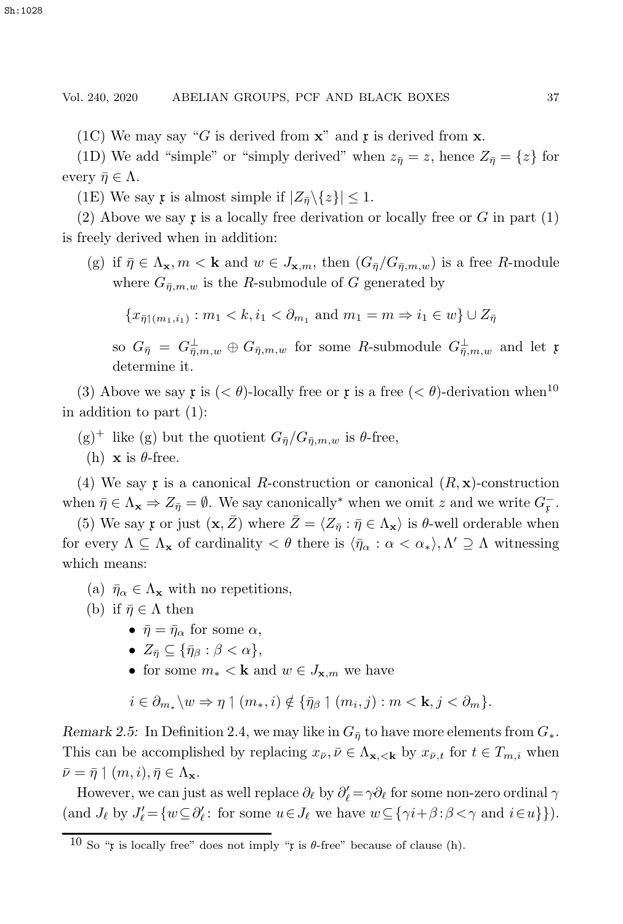(1C) We may say "G is derived from  $\mathbf{x}$ " and  $\mathbf{r}$  is derived from  $\mathbf{x}$ .

(1D) We add "simple" or "simply derived" when  $z_{\bar{n}} = z$ , hence  $Z_{\bar{n}} = \{z\}$  for every  $\bar{\eta} \in \Lambda$ .

(1E) We say **r** is almost simple if  $|Z_{\overline{n}}\backslash\{z\}| \leq 1$ .

(2) Above we say  $\mathfrak x$  is a locally free derivation or locally free or G in part (1) is freely derived when in addition:

(g) if  $\bar{\eta} \in \Lambda_{\mathbf{x}}, m < \mathbf{k}$  and  $w \in J_{\mathbf{x},m}$ , then  $(G_{\bar{\eta}}/G_{\bar{\eta},m,w})$  is a free R-module where  $G_{\bar{n},m,w}$  is the R-submodule of G generated by

 ${x_{\bar{\eta}}}(m_1,i_1) : m_1 < k, i_1 < \partial_{m_1} \text{ and } m_1 = m \Rightarrow i_1 \in w} \cup Z_{\bar{\eta}}$ 

so  $G_{\bar{\eta}} = G_{\bar{\eta},m,w}^{\perp} \oplus G_{\bar{\eta},m,w}$  for some R-submodule  $G_{\bar{\eta},m,w}^{\perp}$  and let x determine it.

(3) Above we say x is  $( $\theta$ )-locally free or x is a free  $( $\theta$ )-derivation when<sup>10</sup>$$ in addition to part (1):

- $(g)^+$  like (g) but the quotient  $G_{\bar{n}}/G_{\bar{n},m,w}$  is  $\theta$ -free,
	- (h) **x** is  $\theta$ -free.

(4) We say x is a canonical R-construction or canonical  $(R, \mathbf{x})$ -construction when  $\bar{\eta} \in \Lambda_{\mathbf{x}} \Rightarrow Z_{\bar{\eta}} = \emptyset$ . We say canonically<sup>\*</sup> when we omit z and we write  $G_{\bar{x}}$ .

(5) We say x or just  $(\mathbf{x}, \bar{Z})$  where  $\bar{Z} = \langle Z_{\bar{\eta}} : \bar{\eta} \in \Lambda_{\mathbf{x}} \rangle$  is  $\theta$ -well orderable when for every  $\Lambda \subseteq \Lambda_{\mathbf{x}}$  of cardinality  $\langle \theta \rangle$  there is  $\langle \bar{\eta}_{\alpha} : \alpha \langle \alpha_{*} \rangle, \Lambda' \supseteq \Lambda$  witnessing which means:

- (a)  $\bar{\eta}_{\alpha} \in \Lambda_{\mathbf{x}}$  with no repetitions,
- (b) if  $\bar{\eta} \in \Lambda$  then
	- $\bar{\eta} = \bar{\eta}_{\alpha}$  for some  $\alpha$ ,
	- $Z_{\overline{n}} \subseteq {\overline{\eta}_{\beta} : \beta < \alpha},$
	- for some  $m_* < \mathbf{k}$  and  $w \in J_{\mathbf{x},m}$  we have

 $i \in \partial_{m_*} \backslash w \Rightarrow \eta \upharpoonright (m_*, i) \notin \{ \bar{\eta}_\beta \upharpoonright (m_i, j) : m < \mathbf{k}, j < \partial_m \}.$ 

*Remark 2.5:* In Definition 2.4, we may like in  $G_{\bar{\eta}}$  to have more elements from  $G_*$ . This can be accomplished by replacing  $x_{\bar{\nu}}, \bar{\nu} \in \Lambda_{\mathbf{x}, \langle \mathbf{k} \rangle}$  by  $x_{\bar{\nu},t}$  for  $t \in T_{m,i}$  when  $\bar{\nu} = \bar{\eta} \restriction (m, i), \bar{\eta} \in \Lambda_{\mathbf{x}}.$ 

However, we can just as well replace  $\partial_{\ell}$  by  $\partial'_{\ell} = \gamma \partial_{\ell}$  for some non-zero ordinal  $\gamma$ (and  $J_{\ell}$  by  $J'_{\ell} = \{w \subseteq \partial'_{\ell}: \text{ for some } u \in J_{\ell} \text{ we have } w \subseteq \{\gamma i + \beta : \beta < \gamma \text{ and } i \in u\}\}\)$ .

<sup>10</sup> So "x is locally free" does not imply "x is  $\theta$ -free" because of clause (h).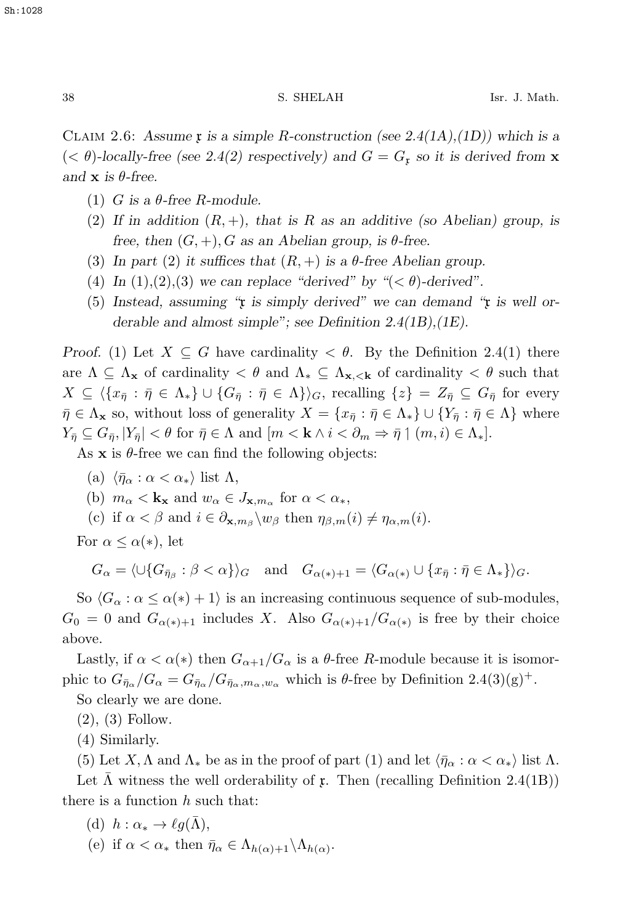CLAIM 2.6: Assume  $\mathfrak x$  is a simple R-construction (see 2.4(1A),(1D)) which is a  $( $\theta$ )-locally-free (see 2.4(2) respectively) and  $G = G_x$  so it is derived from **x**$ *and*  $\bf{x}$  *is*  $\theta$ *-free.* 

- (1) G is a  $\theta$ -free R-module.
- (2) If in addition  $(R, +)$ , that is R as an additive (so Abelian) group, is *free, then*  $(G, +)$ , *G as an Abelian group, is*  $\theta$ -free.
- (3) In part (2) it suffices that  $(R, +)$  is a  $\theta$ -free Abelian group.
- (4) In  $(1),(2),(3)$  we can replace "derived" by " $( $\theta$ )-derived"$ .
- (5) *Instead, assuming "*x *is simply derived" we can demand "*x *is well orderable and almost simple"; see Definition 2.4(1B),(1E).*

*Proof.* (1) Let  $X \subseteq G$  have cardinality  $\lt \theta$ . By the Definition 2.4(1) there are  $\Lambda \subseteq \Lambda_{\mathbf{x}}$  of cardinality  $\lt \theta$  and  $\Lambda_{\ast} \subseteq \Lambda_{\mathbf{x}, \leq \mathbf{k}}$  of cardinality  $\lt \theta$  such that  $X \subseteq \langle \{x_{\bar{\eta}} : \bar{\eta} \in \Lambda_*\} \cup \{G_{\bar{\eta}} : \bar{\eta} \in \Lambda\} \rangle_G$ , recalling  $\{z\} = Z_{\bar{\eta}} \subseteq G_{\bar{\eta}}$  for every  $\bar{\eta} \in \Lambda_{\mathbf{x}}$  so, without loss of generality  $X = \{x_{\bar{\eta}} : \bar{\eta} \in \Lambda_{\ast}\} \cup \{Y_{\bar{\eta}} : \bar{\eta} \in \Lambda\}$  where  $Y_{\bar{\eta}} \subseteq G_{\bar{\eta}}, |Y_{\bar{\eta}}| < \theta$  for  $\bar{\eta} \in \Lambda$  and  $[m < k \wedge i < \partial_m \Rightarrow \bar{\eta} \mid (m, i) \in \Lambda_*].$ 

As  $x$  is  $\theta$ -free we can find the following objects:

- (a)  $\langle \bar{\eta}_{\alpha} : \alpha < \alpha_* \rangle$  list  $\Lambda$ ,
- (b)  $m_{\alpha} < \mathbf{k_x}$  and  $w_{\alpha} \in J_{\mathbf{x},m_{\alpha}}$  for  $\alpha < \alpha_*$ ,
- (c) if  $\alpha < \beta$  and  $i \in \partial_{\mathbf{x},m_{\beta}} \backslash w_{\beta}$  then  $\eta_{\beta,m}(i) \neq \eta_{\alpha,m}(i)$ .

For  $\alpha \leq \alpha(*)$ , let

 $G_{\alpha} = \langle \cup \{ G_{\bar{\eta}_\beta} : \beta < \alpha \} \rangle_G$  and  $G_{\alpha(*)+1} = \langle G_{\alpha(*)} \cup \{ x_{\bar{\eta}} : \bar{\eta} \in \Lambda_* \} \rangle_G$ .

So  $\langle G_\alpha : \alpha \leq \alpha(*) + 1 \rangle$  is an increasing continuous sequence of sub-modules,  $G_0 = 0$  and  $G_{\alpha(*)+1}$  includes X. Also  $G_{\alpha(*)+1}/G_{\alpha(*)}$  is free by their choice above.

Lastly, if  $\alpha < \alpha(*)$  then  $G_{\alpha+1}/G_{\alpha}$  is a  $\theta$ -free R-module because it is isomorphic to  $G_{\bar{\eta}_{\alpha}}/G_{\alpha} = G_{\bar{\eta}_{\alpha}}/G_{\bar{\eta}_{\alpha},m_{\alpha},w_{\alpha}}$  which is  $\theta$ -free by Definition 2.4(3)(g)<sup>+</sup>.

So clearly we are done.

(2), (3) Follow.

(4) Similarly.

(5) Let X,  $\Lambda$  and  $\Lambda_*$  be as in the proof of part (1) and let  $\langle \bar{\eta}_{\alpha} : \alpha < \alpha_* \rangle$  list  $\Lambda$ .

Let  $\Lambda$  witness the well orderability of  $\mathfrak x$ . Then (recalling Definition 2.4(1B)) there is a function  $h$  such that:

(d) 
$$
h: \alpha_* \to \ell g(\bar{\Lambda}),
$$

(e) if  $\alpha < \alpha_*$  then  $\bar{\eta}_{\alpha} \in \Lambda_{h(\alpha)+1} \backslash \Lambda_{h(\alpha)}$ .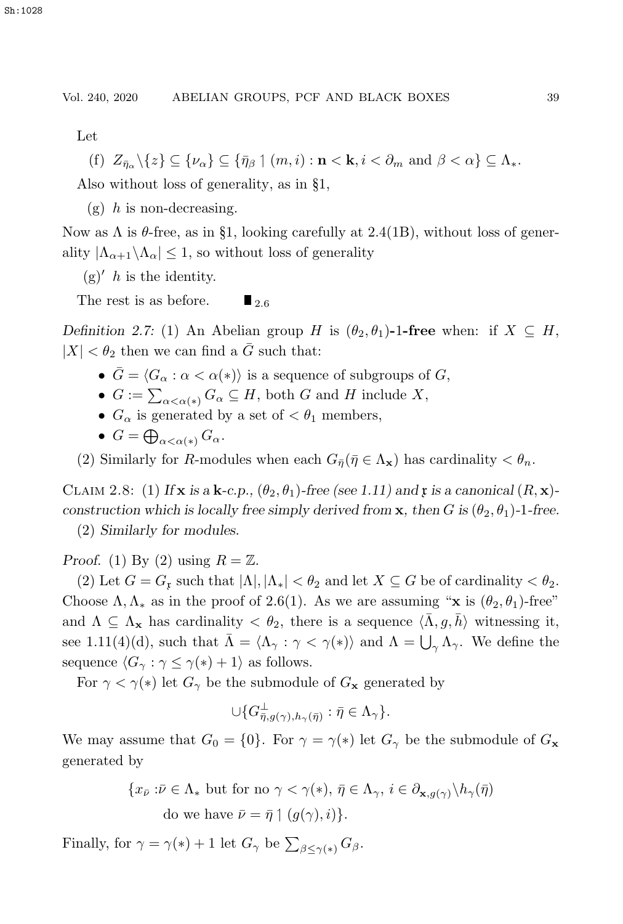Let

(f) 
$$
Z_{\bar{\eta}_{\alpha}}\setminus\{z\} \subseteq \{\nu_{\alpha}\}\subseteq \{\bar{\eta}_{\beta}\mid (m,i): \mathbf{n} < \mathbf{k}, i < \partial_m \text{ and } \beta < \alpha\} \subseteq \Lambda_*
$$
.

Also without loss of generality, as in §1,

 $(g)$  h is non-decreasing.

Now as  $\Lambda$  is  $\theta$ -free, as in §1, looking carefully at 2.4(1B), without loss of generality  $|\Lambda_{\alpha+1}\setminus\Lambda_\alpha|\leq 1$ , so without loss of generality

 $(g)'$  h is the identity.

The rest is as before.  $\blacksquare$ <sub>2.6</sub>

*Definition 2.7:* (1) An Abelian group H is  $(\theta_2, \theta_1)$ -1**-free** when: if  $X \subseteq H$ ,  $|X| < \theta_2$  then we can find a  $\overline{G}$  such that:

- $\bar{G} = \langle G_{\alpha} : \alpha < \alpha(*) \rangle$  is a sequence of subgroups of G,
- $G := \sum_{\alpha < \alpha(*)} G_{\alpha} \subseteq H$ , both G and H include X,
- $G_{\alpha}$  is generated by a set of  $\lt \theta_1$  members,
- $G = \bigoplus_{\alpha < \alpha(*)} G_{\alpha}.$

(2) Similarly for R-modules when each  $G_{\bar{n}}(\bar{n} \in \Lambda_{\mathbf{x}})$  has cardinality  $\langle \theta_n, \theta_n \rangle$ 

CLAIM 2.8: (1) If **x** is a **k**-c.p.,  $(\theta_2, \theta_1)$ -free (see 1.11) and **r** is a canonical  $(R, \mathbf{x})$ *construction which is locally free simply derived from* **x***, then* G is  $(\theta_2, \theta_1)$ -1-free.

(2) *Similarly for modules.*

*Proof.* (1) By (2) using  $R = \mathbb{Z}$ .

(2) Let  $G = G_x$  such that  $|\Lambda|, |\Lambda_*| < \theta_2$  and let  $X \subseteq G$  be of cardinality  $< \theta_2$ . Choose  $\Lambda, \Lambda_*$  as in the proof of 2.6(1). As we are assuming "**x** is  $(\theta_2, \theta_1)$ -free" and  $\Lambda \subseteq \Lambda_{\mathbf{x}}$  has cardinality  $\langle \theta_2 \rangle$ , there is a sequence  $\langle \overline{\Lambda}, g, \overline{h} \rangle$  witnessing it, see 1.11(4)(d), such that  $\overline{\Lambda} = \langle \Lambda_{\gamma} : \gamma < \gamma(*) \rangle$  and  $\Lambda = \bigcup_{\gamma} \Lambda_{\gamma}$ . We define the sequence  $\langle G_{\gamma} : \gamma \leq \gamma(*) + 1 \rangle$  as follows.

For  $\gamma < \gamma(*)$  let  $G_{\gamma}$  be the submodule of  $G_{\mathbf{x}}$  generated by

$$
\cup \{ G_{\bar{\eta},g(\gamma),h_\gamma(\bar{\eta})}^{\perp} : \bar{\eta} \in \Lambda_\gamma \}.
$$

We may assume that  $G_0 = \{0\}$ . For  $\gamma = \gamma(*)$  let  $G_\gamma$  be the submodule of  $G_{\mathbf{x}}$ generated by

> ${x_{\bar{\nu}} : \bar{\nu} \in \Lambda_* \text{ but for no } \gamma < \gamma(*), \, \bar{\eta} \in \Lambda_{\gamma}, \, i \in \partial_{\mathbf{x},g(\gamma)}\setminus h_{\gamma}(\bar{\eta})$ do we have  $\bar{\nu} = \bar{\eta} \uparrow (g(\gamma), i)$ .

Finally, for  $\gamma = \gamma(*) + 1$  let  $G_{\gamma}$  be  $\sum_{\beta \leq \gamma(*)} G_{\beta}$ .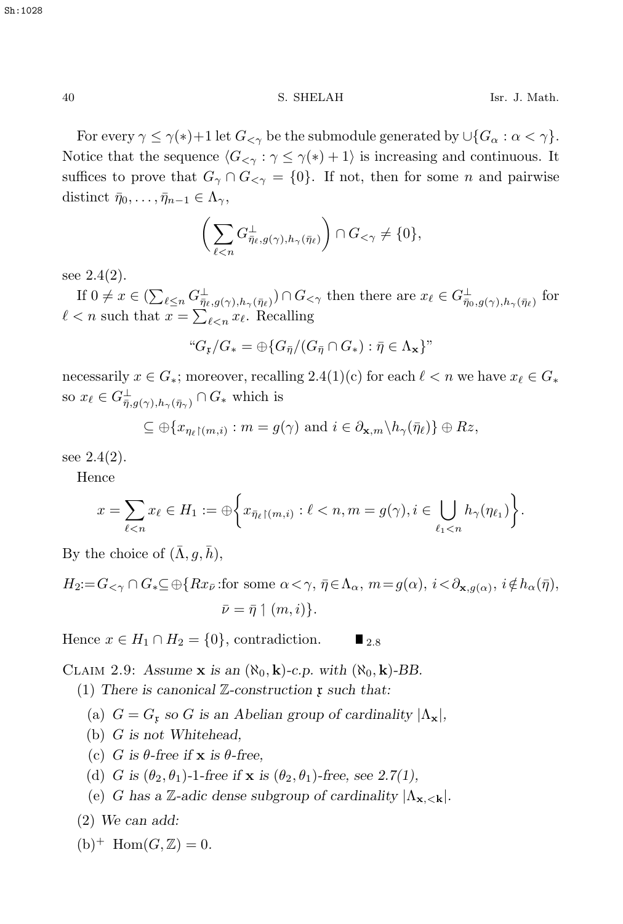For every  $\gamma \leq \gamma(*)+1$  let  $G_{\leq \gamma}$  be the submodule generated by  $\cup \{G_{\alpha} : \alpha < \gamma\}.$ Notice that the sequence  $\langle G_{\leq \gamma} : \gamma \leq \gamma(*) + 1 \rangle$  is increasing and continuous. It suffices to prove that  $G_\gamma \cap G_{\leq \gamma} = \{0\}$ . If not, then for some *n* and pairwise distinct  $\bar{\eta}_0, \ldots, \bar{\eta}_{n-1} \in \Lambda_{\gamma}$ ,

$$
\bigg(\sum_{\ell\leq n}G_{\bar{\eta}_{\ell},g(\gamma),h_{\gamma}(\bar{\eta}_{\ell})}^{\perp}\bigg)\cap G_{\leq\gamma}\neq\{0\},\,
$$

see  $2.4(2)$ .

If  $0 \neq x \in (\sum_{\ell \leq n} G_{\overline{\eta}_{\ell},g(\gamma),h_{\gamma}(\overline{\eta}_{\ell})}^{\perp}) \cap G_{\leq \gamma}$  then there are  $x_{\ell} \in G_{\overline{\eta}_{0},g(\gamma),h_{\gamma}(\overline{\eta}_{\ell})}^{\perp}$  for  $\ell < n$  such that  $x = \sum_{\ell \leq n} x_{\ell}$ . Recalling

$$
``G_{\mathfrak{p}}/G_* = \bigoplus \{ G_{\bar{\eta}}/(G_{\bar{\eta}} \cap G_*) : \bar{\eta} \in \Lambda_{\mathbf{x}} \}"
$$

necessarily  $x \in G_*$ ; moreover, recalling 2.4(1)(c) for each  $\ell < n$  we have  $x_\ell \in G_*$ so  $x_{\ell} \in G^{\perp}_{\overline{\eta},g(\gamma),h_{\gamma}(\overline{\eta}_{\gamma})} \cap G_{*}$  which is

$$
\subseteq \oplus \{x_{\eta_{\ell}\restriction (m,i)} : m = g(\gamma) \text{ and } i \in \partial_{\mathbf{x},m} \backslash h_{\gamma}(\bar{\eta}_{\ell})\} \oplus Rz,
$$

see  $2.4(2)$ .

Hence

$$
x = \sum_{\ell < n} x_{\ell} \in H_1 := \bigoplus \bigg\{ x_{\bar{\eta}_{\ell} \restriction (m,i)} : \ell < n, m = g(\gamma), i \in \bigcup_{\ell_1 < n} h_{\gamma}(\eta_{\ell_1}) \bigg\}.
$$

By the choice of  $(\bar{\Lambda}, g, \bar{h}),$ 

 $H_2:=G_{\leq \gamma}\cap G_*\subseteq \bigoplus\{Rx_{\bar{\nu}}:\text{for some }\alpha<\gamma,\ \bar{\eta}\in\Lambda_\alpha,\ m=g(\alpha),\ i\leq\partial_{\mathbf{x},g(\alpha)},\ i\notin h_\alpha(\bar{\eta}),$  $\bar{\nu} = \bar{\eta} \upharpoonleft (m, i) \}.$ 

Hence  $x \in H_1 \cap H_2 = \{0\}$ , contradiction.  $\blacksquare$  2.8

CLAIM 2.9: Assume **x** is an  $(\aleph_0, \mathbf{k})$ -c.p. with  $(\aleph_0, \mathbf{k})$ -BB.

(1) *There is canonical* Z*-construction* x *such that:*

- (a)  $G = G<sub>x</sub>$  *so* G *is an Abelian group of cardinality*  $|\Lambda_{\mathbf{x}}|$ *,*
- (b) G *is not Whitehead,*
- (c) G is  $\theta$ -free if **x** is  $\theta$ -free,
- (d) G is  $(\theta_2, \theta_1)$ -1-free if **x** is  $(\theta_2, \theta_1)$ -free, see 2.7(1),
- (e) G has a Z-adic dense subgroup of cardinality  $|\Lambda_{\mathbf{x}, \leq \mathbf{k}}|$ .

(2) *We can add:*

$$
(b)^+ \text{Hom}(G, \mathbb{Z}) = 0.
$$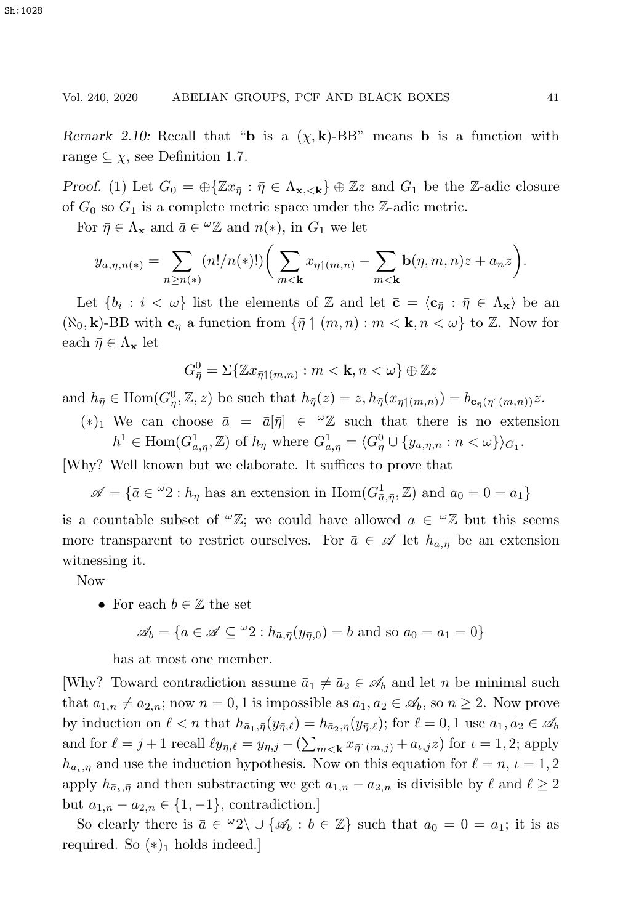*Remark 2.10:* Recall that "**b** is a  $(\chi, \mathbf{k})$ -BB" means **b** is a function with range  $\subseteq \chi$ , see Definition 1.7.

*Proof.* (1) Let  $G_0 = \bigoplus \{ \mathbb{Z}x_{\overline{n}} : \overline{\eta} \in \Lambda_{\mathbf{x}, \leq \mathbf{k}} \} \oplus \mathbb{Z}z$  and  $G_1$  be the Z-adic closure of  $G_0$  so  $G_1$  is a complete metric space under the Z-adic metric.

For  $\bar{\eta} \in \Lambda_{\mathbf{x}}$  and  $\bar{a} \in {}^{\omega}\mathbb{Z}$  and  $n(*)$ , in  $G_1$  we let

$$
y_{\bar{a},\bar{\eta},n(*)} = \sum_{n\geq n(*)} (n!/n(*)!) \bigg(\sum_{m<\mathbf{k}} x_{\bar{\eta}\upharpoonleft(m,n)} - \sum_{m<\mathbf{k}} \mathbf{b}(\eta,m,n)z + a_n z\bigg).
$$

Let  $\{b_i : i < \omega\}$  list the elements of Z and let  $\bar{\mathbf{c}} = \langle \mathbf{c}_{\bar{\eta}} : \bar{\eta} \in \Lambda_{\mathbf{x}}\rangle$  be an  $(\aleph_0, \mathbf{k})$ -BB with  $\mathbf{c}_{\bar{\eta}}$  a function from  $\{\bar{\eta} \mid (m, n) : m < \mathbf{k}, n < \omega\}$  to  $\mathbb{Z}$ . Now for each  $\bar{\eta} \in \Lambda_{\mathbf{x}}$  let

$$
G_{\bar{\eta}}^0 = \Sigma \{ \mathbb{Z} x_{\bar{\eta} | (m,n)} : m < \mathbf{k}, n < \omega \} \oplus \mathbb{Z} z
$$

and  $h_{\bar{\eta}} \in \text{Hom}(G_{\bar{\eta}}^0, \mathbb{Z}, z)$  be such that  $h_{\bar{\eta}}(z) = z$ ,  $h_{\bar{\eta}}(x_{\bar{\eta}(\{m,n\})}) = b_{\mathbf{c}_{\bar{\eta}}(\bar{\eta}(\{m,n\}))}z$ .

(\*)<sub>1</sub> We can choose  $\bar{a} = \bar{a}[\bar{\eta}] \in {}^{\omega}\mathbb{Z}$  such that there is no extension  $h^1 \in \text{Hom}(G_{\bar{a},\bar{\eta}}^1, \mathbb{Z})$  of  $h_{\bar{\eta}}$  where  $G_{\bar{a},\bar{\eta}}^1 = \langle G_{\bar{\eta}}^0 \cup \{y_{\bar{a},\bar{\eta},n} : n < \omega\}\rangle_{G_1}$ .

[Why? Well known but we elaborate. It suffices to prove that

 $\mathscr{A} = \{ \bar{a} \in {}^{\omega}2 : h_{\bar{\eta}} \text{ has an extension in } \text{Hom}(G_{\bar{a},\bar{\eta}}^1, \mathbb{Z}) \text{ and } a_0 = 0 = a_1 \}$ 

is a countable subset of  $\mathscr{L}Z$ ; we could have allowed  $\bar{a} \in \mathscr{L}Z$  but this seems more transparent to restrict ourselves. For  $\bar{a} \in \mathscr{A}$  let  $h_{\bar{a},\bar{\eta}}$  be an extension witnessing it.

Now

• For each  $b \in \mathbb{Z}$  the set

$$
\mathscr{A}_b = \{ \bar{a} \in \mathscr{A} \subseteq {}^{\omega}2 : h_{\bar{a},\bar{\eta}}(y_{\bar{\eta},0}) = b \text{ and so } a_0 = a_1 = 0 \}
$$

has at most one member.

[Why? Toward contradiction assume  $\bar{a}_1 \neq \bar{a}_2 \in \mathscr{A}_b$  and let *n* be minimal such that  $a_{1,n} \neq a_{2,n}$ ; now  $n = 0, 1$  is impossible as  $\bar{a}_1, \bar{a}_2 \in \mathscr{A}_b$ , so  $n \geq 2$ . Now prove by induction on  $\ell < n$  that  $h_{\bar{a}_1,\bar{\eta}}(y_{\bar{n},\ell}) = h_{\bar{a}_2,\eta}(y_{\bar{n},\ell})$ ; for  $\ell = 0, 1$  use  $\bar{a}_1, \bar{a}_2 \in \mathscr{A}_b$ and for  $\ell = j + 1$  recall  $\ell y_{\eta,\ell} = y_{\eta,j} - (\sum_{m < \mathbf{k}} x_{\bar{\eta}} (m,j) + a_{\ell,j} z)$  for  $\iota = 1, 2$ ; apply  $h_{\bar{a}_\iota,\bar{\eta}}$  and use the induction hypothesis. Now on this equation for  $\ell = n, \, \iota = 1, 2$ apply  $h_{\bar{a}_\iota,\bar{\eta}}$  and then substracting we get  $a_{1,n} - a_{2,n}$  is divisible by  $\ell$  and  $\ell \geq 2$ but  $a_{1,n} - a_{2,n} \in \{1, -1\}$ , contradiction.]

So clearly there is  $\bar{a} \in {}^{\omega}2 \backslash \cup {\{\mathscr{A}_b : b \in \mathbb{Z}\}\$  such that  $a_0 = 0 = a_1$ ; it is as required. So  $(*)_1$  holds indeed.]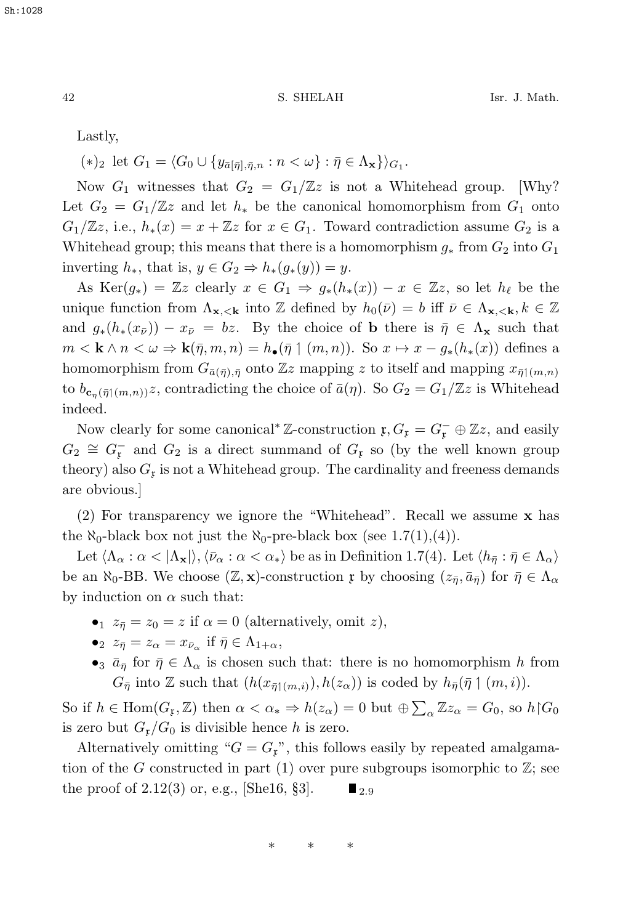$(*)_2$  let  $G_1 = \langle G_0 \cup \{y_{\bar{a}[\bar{n}], \bar{n}, n} : n < \omega\} : \bar{\eta} \in \Lambda_{\mathbf{x}}\}\rangle_{G_1}.$ 

Now  $G_1$  witnesses that  $G_2 = G_1/\mathbb{Z}z$  is not a Whitehead group. [Why? Let  $G_2 = G_1/\mathbb{Z}$  and let  $h_*$  be the canonical homomorphism from  $G_1$  onto  $G_1/\mathbb{Z}z$ , i.e.,  $h_*(x) = x + \mathbb{Z}z$  for  $x \in G_1$ . Toward contradiction assume  $G_2$  is a Whitehead group; this means that there is a homomorphism  $g_*$  from  $G_2$  into  $G_1$ inverting  $h_*,$  that is,  $y \in G_2 \Rightarrow h_*(g_*(y)) = y$ .

As Ker( $g_*$ ) = Zz clearly  $x \in G_1 \Rightarrow g_*(h_*(x)) - x \in \mathbb{Z}$  so let  $h_\ell$  be the unique function from  $\Lambda_{\mathbf{x}, \langle \mathbf{k} \rangle}$  into Z defined by  $h_0(\bar{\nu}) = b$  iff  $\bar{\nu} \in \Lambda_{\mathbf{x}, \langle \mathbf{k}, \kappa \rangle}$   $\in \mathbb{Z}$ and  $g_*(h_*(x_{\bar{\nu}})) - x_{\bar{\nu}} = bz$ . By the choice of **b** there is  $\bar{\eta} \in \Lambda_{\mathbf{x}}$  such that  $m < \mathbf{k} \wedge n < \omega \Rightarrow \mathbf{k}(\bar{\eta}, m, n) = h_{\bullet}(\bar{\eta} \upharpoonright (m, n)).$  So  $x \mapsto x - g_{*}(h_{*}(x))$  defines a homomorphism from  $G_{\bar{a}(\bar{\eta}),\bar{\eta}}$  onto Zz mapping z to itself and mapping  $x_{\bar{\eta}(\eta,n)}$ to  $b_{\mathbf{c}_{\eta}(\bar{\eta}(\{m,n\})},z)$ , contradicting the choice of  $\bar{a}(\eta)$ . So  $G_2 = G_1/\mathbb{Z}z$  is Whitehead indeed.

Now clearly for some canonical<sup>∗</sup> Z-construction  $\mathfrak{x}, G_{\mathfrak{x}} = G_{\mathfrak{x}}^- \oplus \mathbb{Z}$ , and easily  $G_2 \cong G_{\mathfrak{p}}^-$  and  $G_2$  is a direct summand of  $G_{\mathfrak{p}}$  so (by the well known group theory) also  $G<sub>x</sub>$  is not a Whitehead group. The cardinality and freeness demands are obvious.]

(2) For transparency we ignore the "Whitehead". Recall we assume **x** has the  $\aleph_0$ -black box not just the  $\aleph_0$ -pre-black box (see 1.7(1),(4)).

Let  $\langle \Lambda_{\alpha} : \alpha < |\Lambda_{\mathbf{x}}| \rangle$ ,  $\langle \bar{\nu}_{\alpha} : \alpha < \alpha_{*} \rangle$  be as in Definition 1.7(4). Let  $\langle h_{\bar{\eta}} : \bar{\eta} \in \Lambda_{\alpha} \rangle$ be an  $\aleph_0$ -BB. We choose  $(\mathbb{Z}, \mathbf{x})$ -construction x by choosing  $(z_{\bar{n}}, \bar{a}_{\bar{n}})$  for  $\bar{\eta} \in \Lambda_{\alpha}$ by induction on  $\alpha$  such that:

- $z_{\bar{n}} = z_0 = z$  if  $\alpha = 0$  (alternatively, omit z),
- $z_{\bar{\eta}} = z_{\alpha} = x_{\bar{\nu}_{\alpha}}$  if  $\bar{\eta} \in \Lambda_{1+\alpha}$ ,
- •<sub>3</sub>  $\bar{a}_{\bar{n}}$  for  $\bar{\eta} \in \Lambda_{\alpha}$  is chosen such that: there is no homomorphism h from  $G_{\bar{\eta}}$  into Z such that  $(h(x_{\bar{\eta}1(m,i)}), h(z_{\alpha}))$  is coded by  $h_{\bar{\eta}}(\bar{\eta}1(m,i))$ .

So if  $h \in \text{Hom}(G_F, \mathbb{Z})$  then  $\alpha < \alpha_* \Rightarrow h(z_\alpha) = 0$  but  $\bigoplus \sum_\alpha \mathbb{Z} z_\alpha = G_0$ , so  $h \upharpoonright G_0$ <br>is even but  $G_0/G_0$  in divisible leaves his even is zero but  $G_{\mathfrak{X}}/G_0$  is divisible hence h is zero.

Alternatively omitting " $G = G<sub>x</sub>$ ", this follows easily by repeated amalgamation of the G constructed in part (1) over pure subgroups isomorphic to  $\mathbb{Z}$ ; see the proof of 2.12(3) or, e.g., [She16, §3].  $\blacksquare$  <sub>2.9</sub>

∗∗∗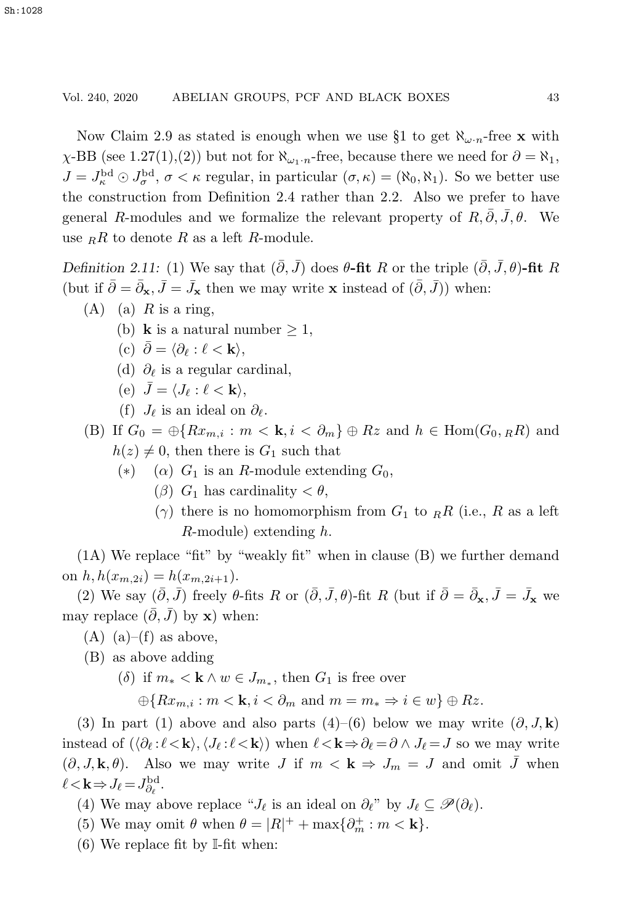Now Claim 2.9 as stated is enough when we use §1 to get  $\aleph_{\omega}$ <sub>n</sub>-free **x** with  $\chi$ -BB (see 1.27(1),(2)) but not for  $\aleph_{\omega_1\cdot n}$ -free, because there we need for  $\partial = \aleph_1$ ,  $J = J_{\kappa}^{\text{bd}} \odot J_{\sigma}^{\text{bd}}$ ,  $\sigma < \kappa$  regular, in particular  $(\sigma, \kappa) = (\aleph_0, \aleph_1)$ . So we better use the construction from Definition 2.4 rather than 2.2. Also we prefer to have general R-modules and we formalize the relevant property of  $R, \overline{\partial}, \overline{J}, \theta$ . We use  $_RR$  to denote R as a left R-module.

*Definition 2.11:* (1) We say that  $(\bar{\partial}, \bar{J})$  does  $\theta$ -fit R or the triple  $(\bar{\partial}, \bar{J}, \theta)$ -fit R (but if  $\bar{\partial} = \bar{\partial}_{\mathbf{x}}, \bar{J} = \bar{J}_{\mathbf{x}}$  then we may write **x** instead of  $(\bar{\partial}, \bar{J})$ ) when:

- $(A)$  (a) R is a ring,
	- (b) **k** is a natural number  $\geq 1$ ,
	- (c)  $\overline{\partial} = \langle \partial_{\ell} : \ell < \mathbf{k} \rangle$ ,
	- (d)  $\partial_{\ell}$  is a regular cardinal,
	- (e)  $\bar{J} = \langle J_{\ell} : \ell < \mathbf{k} \rangle$ ,
	- (f)  $J_{\ell}$  is an ideal on  $\partial_{\ell}$ .

(B) If  $G_0 = \bigoplus \{Rx_{m,i} : m < k, i < \partial_m\} \oplus Rz$  and  $h \in \text{Hom}(G_0, R_R)$  and  $h(z) \neq 0$ , then there is  $G_1$  such that

- (\*) ( $\alpha$ )  $G_1$  is an R-module extending  $G_0$ ,
	- ( $\beta$ )  $G_1$  has cardinality  $\lt \theta$ ,
	- $(\gamma)$  there is no homomorphism from  $G_1$  to  $_RR$  (i.e., R as a left R-module) extending h.

(1A) We replace "fit" by "weakly fit" when in clause (B) we further demand on  $h, h(x_{m,2i}) = h(x_{m,2i+1}).$ 

(2) We say  $(\bar{\partial}, \bar{J})$  freely  $\theta$ -fits R or  $(\bar{\partial}, \bar{J}, \theta)$ -fit R (but if  $\bar{\partial} = \bar{\partial}_{\mathbf{x}}, \bar{J} = \bar{J}_{\mathbf{x}}$  we may replace  $(\bar{\partial}, \bar{J})$  by **x**) when:

- $(A)$  (a)–(f) as above,
- (B) as above adding
	- (δ) if  $m_* < \mathbf{k} \wedge w \in J_{m_*}$ , then  $G_1$  is free over

 $\bigoplus \{Rx_{m,i}: m < \mathbf{k}, i < \partial_m \text{ and } m = m_* \Rightarrow i \in w\} \oplus Rz.$ 

(3) In part (1) above and also parts (4)–(6) below we may write  $(\partial, J, \mathbf{k})$ instead of  $(\langle \partial_{\ell} : \ell \langle \mathbf{k} \rangle, \langle J_{\ell} : \ell \langle \mathbf{k} \rangle)$  when  $\ell \langle \mathbf{k} \rangle \Rightarrow \partial_{\ell} = \partial \wedge J_{\ell} = J$  so we may write  $(\partial, J, \mathbf{k}, \theta)$ . Also we may write J if  $m < \mathbf{k} \Rightarrow J_m = J$  and omit  $\overline{J}$  when  $\ell < \mathbf{k} \Rightarrow J_{\ell} = J_{\partial_{\ell}}^{\text{bd}}$ .

(4) We may above replace " $J_{\ell}$  is an ideal on  $\partial_{\ell}$ " by  $J_{\ell} \subseteq \mathscr{P}(\partial_{\ell})$ .

- (5) We may omit  $\theta$  when  $\theta = |R|^{+} + \max\{\partial_{m}^{+} : m < \mathbf{k}\}.$
- (6) We replace fit by I-fit when: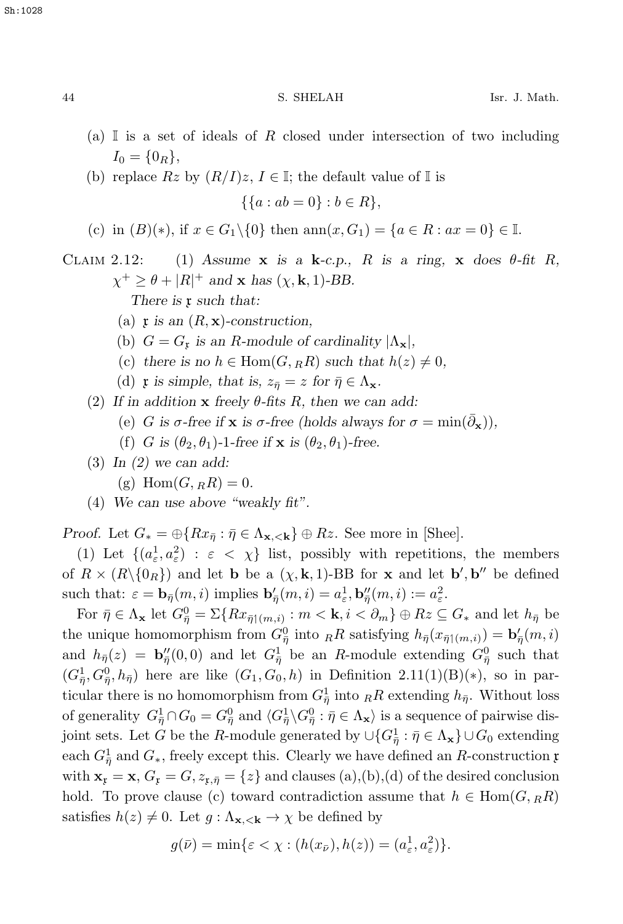- (a) I is a set of ideals of R closed under intersection of two including  $I_0 = \{0_R\},\$
- (b) replace  $Rz$  by  $(R/I)z$ ,  $I \in \mathbb{I}$ ; the default value of  $\mathbb{I}$  is

 $\{\{a : ab = 0\} : b \in R\},\$ 

(c) in  $(B)(*)$ , if  $x \in G_1 \setminus \{0\}$  then  $\text{ann}(x, G_1) = \{a \in R : ax = 0\} \in \mathbb{I}$ .

CLAIM 2.12: (1) Assume  $x$  is a  $k$ -c.p., R is a ring,  $x$  does  $\theta$ -fit R,  $\chi^+ \geq \theta + |R|^+$  *and* **x** *has* ( $\chi$ , **k**, 1)-BB.

*There is* **x** *such that:* 

- (a)  $\mathfrak{x}$  *is an*  $(R, \mathbf{x})$ -construction,
- (b)  $G = G_x$  *is an R-module of cardinality*  $|\Lambda_{\mathbf{x}}|$ ,
- (c) there is no  $h \in \text{Hom}(G, _RR)$  such that  $h(z) \neq 0$ ,
- (d) **r** is simple, that is,  $z_{\overline{\eta}} = z$  for  $\overline{\eta} \in \Lambda_{\mathbf{x}}$ .
- (2) *If in addition* **x** *freely* θ*-fits* R*, then we can add:*
	- (e) G is  $\sigma$ -free if **x** is  $\sigma$ -free (holds always for  $\sigma = \min(\bar{\partial}_{\mathbf{x}})$ ),
	- (f) G is  $(\theta_2, \theta_1)$ -1-free if **x** is  $(\theta_2, \theta_1)$ -free.
- (3) *In (2) we can add:*
	- (g)  $Hom(G, {}_RR) = 0.$
- (4) *We can use above "weakly fit".*

*Proof.* Let  $G_* = \bigoplus \{Rx_{\bar{\eta}} : \bar{\eta} \in \Lambda_{\mathbf{x}, \langle \mathbf{k} \rangle} \oplus Rz$ . See more in [Shee].

(1) Let  $\{(a_{\varepsilon}^1, a_{\varepsilon}^2) : \varepsilon < \chi\}$  list, possibly with repetitions, the members of  $R \times (R \setminus \{0_R\})$  and let **b** be a  $(\chi, \mathbf{k}, 1)$ -BB for **x** and let **b**', **b**'' be defined such that:  $\varepsilon = \mathbf{b}_{\bar{\eta}}(m, i)$  implies  $\mathbf{b}'_{\bar{\eta}}(m, i) = a_{\varepsilon}^1, \mathbf{b}''_{\bar{\eta}}(m, i) := a_{\varepsilon}^2$ .

For  $\bar{\eta} \in \Lambda_{\mathbf{x}}$  let  $G_{\bar{\eta}}^0 = \Sigma\{Rx_{\bar{\eta}1(m,i)} : m < \mathbf{k}, i < \partial_m\} \oplus Rz \subseteq G_*$  and let  $h_{\bar{\eta}}$  be the unique homomorphism from  $G_{\eta}^{0}$  into  ${}_{R}R$  satisfying  $h_{\bar{\eta}}(x_{\bar{\eta}(\lbrace m,i\rbrace}) = \mathbf{b}'_{\bar{\eta}}(m,i)$ and  $h_{\overline{\eta}}(z) = \mathbf{b}_{\overline{\eta}}''(0,0)$  and let  $G_{\overline{\eta}}^1$  be an R-module extending  $G_{\overline{\eta}}^0$  such that  $(G_{\overline{\eta}}^1, G_{\overline{\eta}}^0, h_{\overline{\eta}})$  here are like  $(G_1, G_0, h)$  in Definition 2.11(1)(B)(\*), so in particular there is no homomorphism from  $G_{\overline{\eta}}^1$  into  $_RR$  extending  $h_{\overline{\eta}}$ . Without loss of generality  $G_{\overline{\eta}}^1 \cap G_0 = G_{\overline{\eta}}^0$  and  $\langle G_{\overline{\eta}}^1 \rangle G_{\overline{\eta}}^0 : \overline{\eta} \in \Lambda_{\mathbf{x}} \rangle$  is a sequence of pairwise disjoint sets. Let G be the R-module generated by  $\cup \{G_{\overline{\eta}} : \overline{\eta} \in \Lambda_{\mathbf{x}}\} \cup G_0$  extending each  $G_{\eta}^1$  and  $G_*$ , freely except this. Clearly we have defined an R-construction x with  $\mathbf{x}_x = \mathbf{x}$ ,  $G_x = G$ ,  $z_{x,\bar{\eta}} = \{z\}$  and clauses (a),(b),(d) of the desired conclusion hold. To prove clause (c) toward contradiction assume that  $h \in \text{Hom}(G, _RR)$ satisfies  $h(z) \neq 0$ . Let  $g: \Lambda_{\mathbf{x}, \langle \mathbf{k} \rangle} \to \chi$  be defined by

$$
g(\bar{\nu}) = \min\{\varepsilon < \chi : (h(x_{\bar{\nu}}), h(z)) = (a_{\varepsilon}^1, a_{\varepsilon}^2)\}.
$$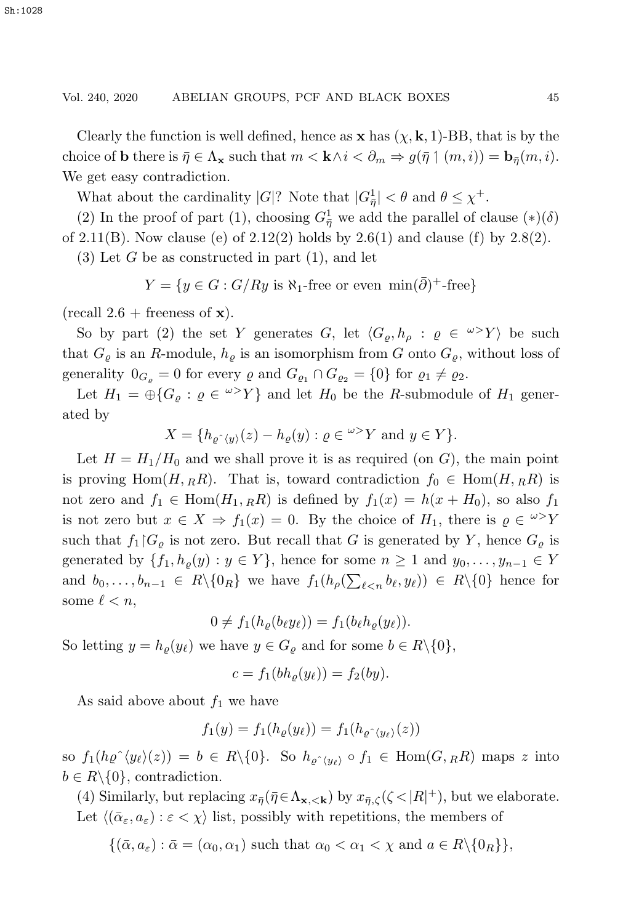Clearly the function is well defined, hence as  $\mathbf{x}$  has  $(\chi, \mathbf{k}, 1)$ -BB, that is by the choice of **b** there is  $\bar{\eta} \in \Lambda_{\mathbf{x}}$  such that  $m < \mathbf{k} \wedge i < \partial_m \Rightarrow g(\bar{\eta} \mid (m, i)) = \mathbf{b}_{\bar{\eta}}(m, i)$ . We get easy contradiction.

What about the cardinality  $|G|$ ? Note that  $|G_{\eta}^1| < \theta$  and  $\theta \leq \chi^+$ .

(2) In the proof of part (1), choosing  $G_{\eta}^1$  we add the parallel of clause  $(*) (\delta)$ of 2.11(B). Now clause (e) of  $2.12(2)$  holds by  $2.6(1)$  and clause (f) by  $2.8(2)$ .

 $(3)$  Let G be as constructed in part  $(1)$ , and let

$$
Y = \{ y \in G : G/Ry \text{ is } \aleph_1 \text{-free or even } \min(\bar{\partial})^+ \text{-free} \}
$$

 $(\text{recall } 2.6 + \text{ferences of } x).$ 

So by part (2) the set Y generates G, let  $\langle G_{\rho}, h_{\rho} : \varrho \in {}^{\omega}Y \rangle$  be such that  $G_{\rho}$  is an R-module,  $h_{\rho}$  is an isomorphism from G onto  $G_{\rho}$ , without loss of generality  $0_{G_{\rho}} = 0$  for every  $\rho$  and  $G_{\rho_1} \cap G_{\rho_2} = \{0\}$  for  $\rho_1 \neq \rho_2$ .

Let  $H_1 = \bigoplus \{G_\rho : \varrho \in {}^{\omega >}Y\}$  and let  $H_0$  be the R-submodule of  $H_1$  generated by

$$
X = \{ h_{\varrho \, \hat{\,}}(y)}(z) - h_{\varrho}(y) : \varrho \in {}^{\omega >} Y \text{ and } y \in Y \}.
$$

Let  $H = H_1/H_0$  and we shall prove it is as required (on G), the main point is proving Hom $(H, {}_RR)$ . That is, toward contradiction  $f_0 \in \text{Hom}(H, {}_RR)$  is not zero and  $f_1 \in \text{Hom}(H_1, {}_RR)$  is defined by  $f_1(x) = h(x + H_0)$ , so also  $f_1$ is not zero but  $x \in X \Rightarrow f_1(x) = 0$ . By the choice of  $H_1$ , there is  $\varrho \in {}^{\omega >}Y$ such that  $f_1|G_{\varrho}$  is not zero. But recall that G is generated by Y, hence  $G_{\varrho}$  is generated by  $\{f_1, h_\varrho(y) : y \in Y\}$ , hence for some  $n \geq 1$  and  $y_0, \ldots, y_{n-1} \in Y$ and  $b_0, \ldots, b_{n-1} \in R \setminus \{0_R\}$  we have  $f_1(h_\rho(\sum_{\ell < n} b_\ell, y_\ell)) \in R \setminus \{0\}$  hence for some  $\ell < n$ ,

$$
0 \neq f_1(h_{\varrho}(b_{\ell}y_{\ell})) = f_1(b_{\ell}h_{\varrho}(y_{\ell})).
$$

So letting  $y = h_{\varrho}(y_{\ell})$  we have  $y \in G_{\varrho}$  and for some  $b \in R \setminus \{0\},$ 

$$
c = f_1(bh_{\varrho}(y_{\ell})) = f_2(by).
$$

As said above about  $f_1$  we have

$$
f_1(y) = f_1(h_\varrho(y_\ell)) = f_1(h_{\varrho \, \hat{\,}} \langle y_\ell \rangle(z))
$$

so  $f_1(h\rho^{\hat{}}\langle y_\ell\rangle(z)) = b \in R \setminus \{0\}.$  So  $h_{\rho^{\hat{}}\langle y_\ell\rangle} \circ f_1 \in \text{Hom}(G, {}_RR)$  maps z into  $b \in R \setminus \{0\}$ , contradiction.

(4) Similarly, but replacing  $x_{\bar{\eta}}(\bar{\eta} \in \Lambda_{\mathbf{x}, <\mathbf{k}})$  by  $x_{\bar{\eta}, \zeta}(\zeta < |R|^{+})$ , but we elaborate. Let  $\langle (\bar{\alpha}_{\varepsilon}, a_{\varepsilon}) : \varepsilon < \chi \rangle$  list, possibly with repetitions, the members of

 $\{(\bar{\alpha}, a_{\varepsilon}): \bar{\alpha} = (\alpha_0, \alpha_1) \text{ such that } \alpha_0 < \alpha_1 < \chi \text{ and } a \in R \setminus \{0_R\} \},\$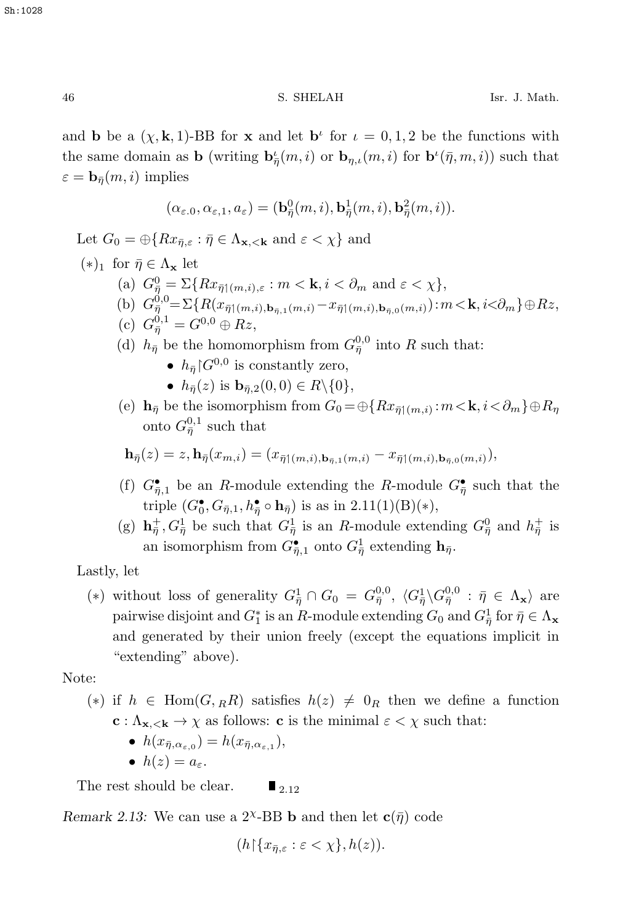and **b** be a  $(\chi, \mathbf{k}, 1)$ -BB for **x** and let  $\mathbf{b}^{\iota}$  for  $\iota = 0, 1, 2$  be the functions with the same domain as **b** (writing  $\mathbf{b}_{\bar{\eta}}^{\iota}(m, i)$  or  $\mathbf{b}_{\eta, \iota}(m, i)$  for  $\mathbf{b}^{\iota}(\bar{\eta}, m, i)$ ) such that  $\varepsilon = \mathbf{b}_{\bar{\eta}}(m, i)$  implies

$$
(\alpha_{\varepsilon,0}, \alpha_{\varepsilon,1}, a_{\varepsilon}) = (\mathbf{b}_{\overline{\eta}}^0(m,i), \mathbf{b}_{\overline{\eta}}^1(m,i), \mathbf{b}_{\overline{\eta}}^2(m,i)).
$$

Let  $G_0 = \bigoplus \{Rx_{\bar{n},\varepsilon} : \bar{\eta} \in \Lambda_{\mathbf{x},\leq \mathbf{k}} \text{ and } \varepsilon < \chi \}$  and

- $(*)_1$  for  $\bar{\eta} \in \Lambda_{\mathbf{x}}$  let (a)  $G_{\overline{\eta}}^0 = \Sigma\{Rx_{\overline{\eta}}(m,i), \varepsilon : m < \mathbf{k}, i < \partial_m \text{ and } \varepsilon < \chi\},$ (b)  $G_{\eta}^{\dot{0},0} = \sum \{ R(x_{\bar{\eta}1(m,i),\mathbf{b}_{\bar{\eta},1}(m,i)} - x_{\bar{\eta}1(m,i),\mathbf{b}_{\bar{\eta},0}(m,i)} : m < \mathbf{k}, i < \partial_m \} \oplus Rz,$ (c)  $G_{\bar{\eta}}^{0,1} = G^{0,0} \oplus Rz,$ 
	- (d)  $h_{\bar{\eta}}$  be the homomorphism from  $G_{\bar{\eta}}^{0,0}$  into R such that:
		- $h_{\bar{n}}$   $\mid$   $G^{0,0}$  is constantly zero,
		- $h_{\bar{n}}(z)$  is  $\mathbf{b}_{\bar{n},2}(0,0) \in R \setminus \{0\},\$
	- (e)  $\mathbf{h}_{\bar{\eta}}$  be the isomorphism from  $G_0 = \bigoplus \{Rx_{\bar{\eta}}(m,i): m < \mathbf{k}, i < \partial_m\} \oplus R_{\eta}$ onto  $G_{\bar{\eta}}^{0,1}$  such that

$$
\mathbf{h}_{\bar{\eta}}(z) = z, \mathbf{h}_{\bar{\eta}}(x_{m,i}) = (x_{\bar{\eta}\uparrow(m,i),\mathbf{b}_{\bar{\eta},1}(m,i)} - x_{\bar{\eta}\uparrow(m,i),\mathbf{b}_{\bar{\eta},0}(m,i)}),
$$

- (f)  $G_{\overline{\eta},1}^{\bullet}$  be an *R*-module extending the *R*-module  $G_{\overline{\eta}}^{\bullet}$  such that the triple  $(G_0^{\bullet}, G_{\bar{\eta},1}, h_{\bar{\eta}}^{\bullet} \circ \mathbf{h}_{\bar{\eta}})$  is as in 2.11(1)(B)(\*),
- (g)  $\mathbf{h}_{\overline{\eta}}^+$ ,  $G_{\overline{\eta}}^1$  be such that  $G_{\overline{\eta}}^1$  is an *R*-module extending  $G_{\overline{\eta}}^0$  and  $h_{\overline{\eta}}^+$  is an isomorphism from  $G_{\bar{\eta},1}$  onto  $G_{\bar{\eta}}^1$  extending  $\mathbf{h}_{\bar{\eta}}$ .

Lastly, let

(\*) without loss of generality  $G_{\overline{\eta}}^1 \cap G_0 = G_{\overline{\eta}}^{0,0}, \langle G_{\overline{\eta}}^1 \rangle G_{\overline{\eta}}^{0,0} : \overline{\eta} \in \Lambda_{\mathbf{x}} \rangle$  are pairwise disjoint and  $G_1^*$  is an R-module extending  $G_0$  and  $G_{\overline{\eta}}^1$  for  $\overline{\eta} \in \Lambda$ **x** and generated by their union freely (except the equations implicit in "extending" above).

Note:

- (\*) if  $h \in \text{Hom}(G, _RR)$  satisfies  $h(z) \neq 0_R$  then we define a function **c** :  $\Lambda_{\mathbf{x}\prec\mathbf{k}} \to \chi$  as follows: **c** is the minimal  $\varepsilon < \chi$  such that:
	- $h(x_{\bar{n},\alpha_{\varepsilon,0}}) = h(x_{\bar{n},\alpha_{\varepsilon,1}}),$
	- $h(z) = a_{\varepsilon}$ .

The rest should be clear.  $\blacksquare$  <sub>2.12</sub>

*Remark 2.13:* We can use a  $2^{\chi}$ -BB **b** and then let  $\mathbf{c}(\bar{\eta})$  code

$$
(h{\restriction}\{x_{\bar{\eta},\varepsilon}:\varepsilon<\chi\},h(z)).
$$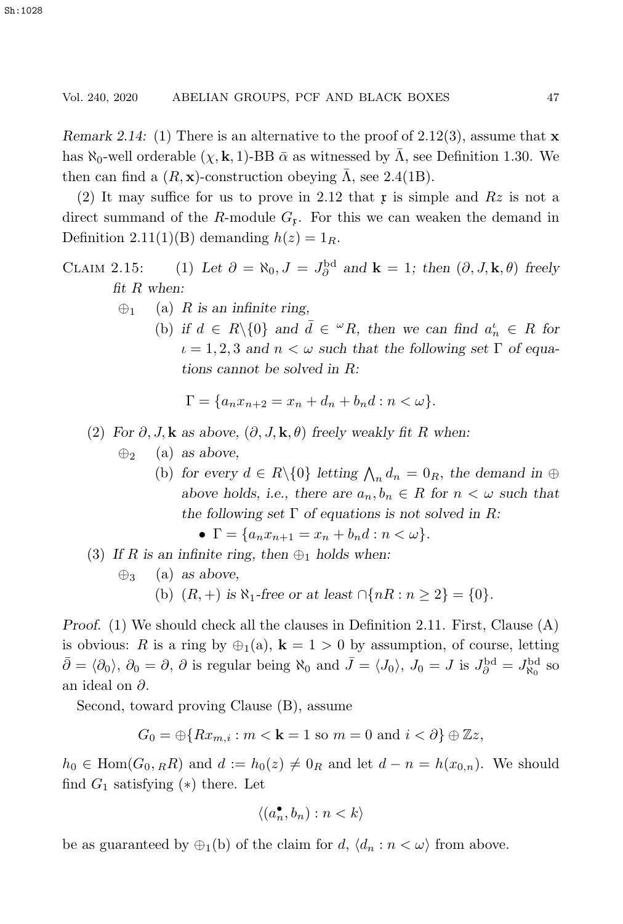*Remark 2.14:* (1) There is an alternative to the proof of 2.12(3), assume that **x** has  $\aleph_0$ -well orderable  $(\chi, \mathbf{k}, 1)$ -BB  $\bar{\alpha}$  as witnessed by  $\bar{\Lambda}$ , see Definition 1.30. We then can find a  $(R, \mathbf{x})$ -construction obeying  $\bar{\Lambda}$ , see 2.4(1B).

(2) It may suffice for us to prove in 2.12 that x is simple and  $Rz$  is not a direct summand of the R-module  $G_r$ . For this we can weaken the demand in Definition 2.11(1)(B) demanding  $h(z)=1_R$ .

- CLAIM 2.15: (1) Let  $\partial = \aleph_0$ ,  $J = J_{\partial}^{\text{bd}}$  and  $\mathbf{k} = 1$ ; then  $(\partial, J, \mathbf{k}, \theta)$  freely *fit* R *when:*
	- ⊕<sup>1</sup> (a) R *is an infinite ring,*
		- (b) if  $d \in R \setminus \{0\}$  and  $\overline{d} \in {}^{\omega}R$ , then we can find  $a_n^i \in R$  for  $\iota = 1, 2, 3$  and  $n < \omega$  such that the following set  $\Gamma$  of equa*tions cannot be solved in* R*:*

$$
\Gamma = \{a_n x_{n+2} = x_n + d_n + b_n d : n < \omega\}.
$$

### (2) *For*  $\partial$ , *J*, **k** as above,  $(\partial$ , *J*, **k**,  $\theta$ ) *freely weakly fit* R when:

- ⊕<sup>2</sup> (a) *as above,*
	- (b) for every  $d \in R \setminus \{0\}$  letting  $\bigwedge_n d_n = 0_R$ , the demand in  $\oplus$ *above holds, i.e., there are*  $a_n, b_n \in R$  *for*  $n < \omega$  *such that the following set* Γ *of equations is not solved in* R*:*

$$
\bullet \ \Gamma = \{a_n x_{n+1} = x_n + b_n d : n < \omega\}.
$$

- (3) If R is an infinite ring, then  $\bigoplus_1$  holds when:
	- ⊕<sup>3</sup> (a) *as above,*
		- (b)  $(R, +)$  *is*  $\aleph_1$ -free or at least  $\bigcap \{nR : n \geq 2\} = \{0\}.$

*Proof.* (1) We should check all the clauses in Definition 2.11. First, Clause (A) is obvious: R is a ring by  $\oplus_1(a)$ , **k** = 1 > 0 by assumption, of course, letting  $\bar{\partial} = \langle \partial_0 \rangle$ ,  $\partial_0 = \partial$ ,  $\partial$  is regular being  $\aleph_0$  and  $\bar{J} = \langle J_0 \rangle$ ,  $J_0 = J$  is  $J_\partial^{\text{bd}} = J_{\aleph_0}^{\text{bd}}$  so an ideal on ∂.

Second, toward proving Clause (B), assume

$$
G_0 = \bigoplus \{Rx_{m,i} : m < \mathbf{k} = 1 \text{ so } m = 0 \text{ and } i < \partial\} \oplus \mathbb{Z}z,
$$

 $h_0 \in \text{Hom}(G_0,_R R)$  and  $d := h_0(z) \neq 0_R$  and let  $d - n = h(x_{0,n})$ . We should find  $G_1$  satisfying  $(*)$  there. Let

$$
\langle (a_n^{\bullet}, b_n) : n < k \rangle
$$

be as guaranteed by  $\bigoplus_1(b)$  of the claim for  $d, \langle d_n : n < \omega \rangle$  from above.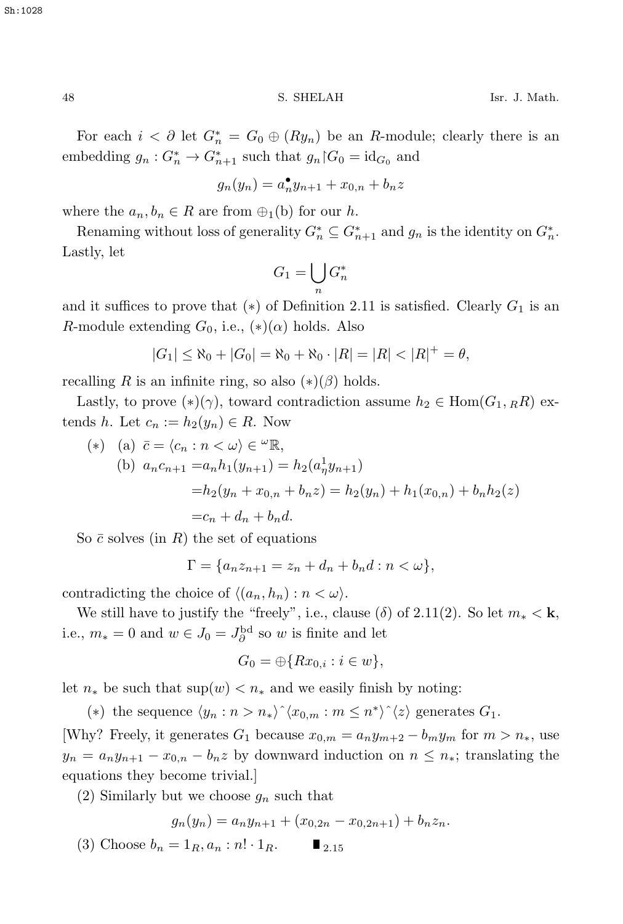Sh:1028

For each  $i < \partial$  let  $G^*_{n} = G_0 \oplus (Ry_n)$  be an *R*-module; clearly there is an embedding  $g_n: G_n^* \to G_{n+1}^*$  such that  $g_n \nvert G_0 = \mathrm{id}_{G_0}$  and

$$
g_n(y_n) = a_n^{\bullet} y_{n+1} + x_{0,n} + b_n z
$$

where the  $a_n, b_n \in R$  are from  $\bigoplus_1$ (b) for our h.

Renaming without loss of generality  $G_n^* \subseteq G_{n+1}^*$  and  $g_n$  is the identity on  $G_n^*$ . Lastly, let

$$
G_1 = \bigcup_n G_n^*
$$

and it suffices to prove that  $(*)$  of Definition 2.11 is satisfied. Clearly  $G_1$  is an R-module extending  $G_0$ , i.e.,  $(*)$  $(\alpha)$  holds. Also

$$
|G_1| \le \aleph_0 + |G_0| = \aleph_0 + \aleph_0 \cdot |R| = |R| < |R|^+ = \theta,
$$

recalling R is an infinite ring, so also  $(*)$ ( $\beta$ ) holds.

Lastly, to prove  $(*)(\gamma)$ , toward contradiction assume  $h_2 \in \text{Hom}(G_1, R_R)$  extends h. Let  $c_n := h_2(y_n) \in R$ . Now

(\*) (a) 
$$
\bar{c} = \langle c_n : n < \omega \rangle \in {}^{\omega} \mathbb{R}
$$
,  
\n(b)  $a_n c_{n+1} = a_n h_1(y_{n+1}) = h_2(a_n^1 y_{n+1})$   
\n $= h_2(y_n + x_{0,n} + b_n z) = h_2(y_n) + h_1(x_{0,n}) + b_n h_2(z)$   
\n $= c_n + d_n + b_n d.$ 

So  $\bar{c}$  solves (in R) the set of equations

$$
\Gamma = \{a_n z_{n+1} = z_n + d_n + b_n d : n < \omega\},\
$$

contradicting the choice of  $\langle (a_n, h_n) : n < \omega \rangle$ .

We still have to justify the "freely", i.e., clause ( $\delta$ ) of 2.11(2). So let  $m_* < \mathbf{k}$ , i.e.,  $m_* = 0$  and  $w \in J_0 = J^{\text{bd}}_{\partial}$  so w is finite and let

$$
G_0 = \bigoplus \{Rx_{0,i} : i \in w\},\
$$

let  $n_*$  be such that  $\sup(w) < n_*$  and we easily finish by noting:

(\*) the sequence  $\langle y_n : n > n_* \rangle$ <sup> $\langle x_{0,m} : m \leq n^* \rangle$ <sup>\*</sup> $\langle z \rangle$  generates  $G_1$ .</sup>

[Why? Freely, it generates  $G_1$  because  $x_{0,m} = a_n y_{m+2} - b_m y_m$  for  $m > n_*$ , use  $y_n = a_n y_{n+1} - x_{0,n} - b_n z$  by downward induction on  $n \leq n_*$ ; translating the equations they become trivial.]

(2) Similarly but we choose  $g_n$  such that

$$
g_n(y_n) = a_n y_{n+1} + (x_{0,2n} - x_{0,2n+1}) + b_n z_n.
$$

(3) Choose  $b_n = 1_R, a_n : n! \cdot 1_R$ .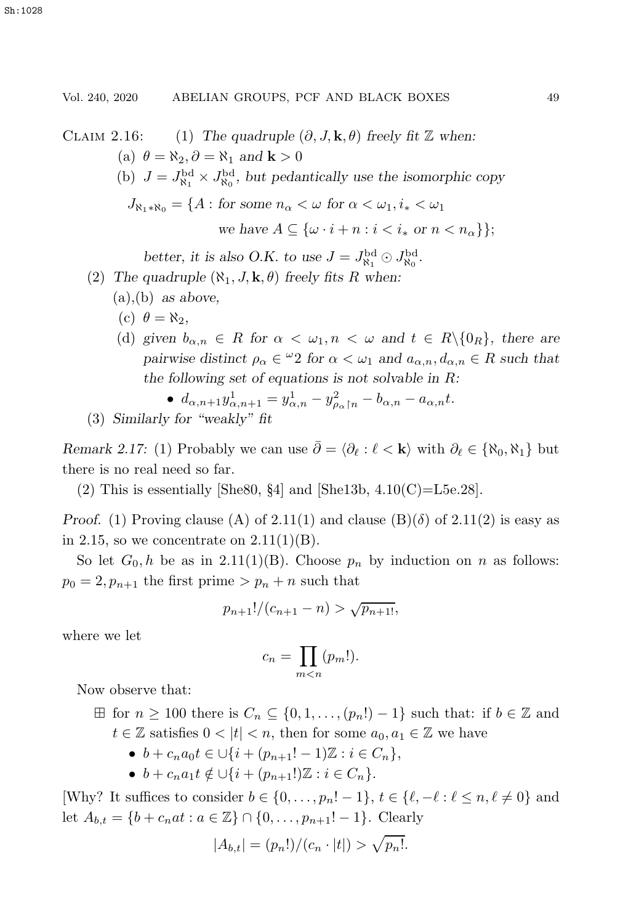CLAIM 2.16: (1) *The quadruple*  $(\partial, J, \mathbf{k}, \theta)$  *freely fit*  $\mathbb{Z}$  *when:* (a)  $\theta = \aleph_2, \partial = \aleph_1$  and **k** > 0 (b)  $J = J_{\aleph_1}^{\text{bd}} \times J_{\aleph_0}^{\text{bd}}$ , but pedantically use the isomorphic copy  $J_{\aleph_1 * \aleph_0} = \{A : \text{ for some } n_{\alpha} < \omega \text{ for } \alpha < \omega_1, i_* < \omega_1\}$ *we have*  $A \subseteq \{ \omega \cdot i + n : i < i_* \text{ or } n < n_\alpha \}$ ; better, it is also O.K. to use  $J = J_{\aleph_1}^{\rm bd} \odot J_{\aleph_0}^{\rm bd}$ . (2) The quadruple  $(\aleph_1, J, \mathbf{k}, \theta)$  freely fits R when: (a),(b) *as above,* (c)  $\theta = \aleph_2$ , (d) *given*  $b_{\alpha,n} \in R$  for  $\alpha < \omega_1, n < \omega$  and  $t \in R \setminus \{0_R\}$ , there are

*pairwise distinct*  $\rho_{\alpha} \in {}^{\omega}2$  *for*  $\alpha < \omega_1$  *and*  $a_{\alpha,n}, d_{\alpha,n} \in R$  *such that the following set of equations is not solvable in* R*:*

• 
$$
d_{\alpha,n+1}y_{\alpha,n+1}^1 = y_{\alpha,n}^1 - y_{\rho_{\alpha}n}^2 - b_{\alpha,n} - a_{\alpha,n}t
$$
.

(3) *Similarly for "weakly" fit*

*Remark 2.17:* (1) Probably we can use  $\bar{\partial} = \langle \partial_{\ell} : \ell \langle \mathbf{k} \rangle$  with  $\partial_{\ell} \in \{ \aleph_0, \aleph_1 \}$  but there is no real need so far.

(2) This is essentially [She80, §4] and [She13b,  $4.10(C)=L5e.28$ ].

*Proof.* (1) Proving clause (A) of 2.11(1) and clause (B)( $\delta$ ) of 2.11(2) is easy as in 2.15, so we concentrate on  $2.11(1)(B)$ .

So let  $G_0, h$  be as in 2.11(1)(B). Choose  $p_n$  by induction on n as follows:  $p_0 = 2, p_{n+1}$  the first prime  $> p_n + n$  such that

$$
p_{n+1}!/(c_{n+1}-n) > \sqrt{p_{n+1!}},
$$

where we let

$$
c_n = \prod_{m < n} (p_m!).
$$

Now observe that:

- $\boxplus$  for  $n \geq 100$  there is  $C_n \subseteq \{0, 1, \ldots, (p_n!) 1\}$  such that: if  $b \in \mathbb{Z}$  and  $t \in \mathbb{Z}$  satisfies  $0 < |t| < n$ , then for some  $a_0, a_1 \in \mathbb{Z}$  we have
	- $b + c_n a_0 t \in \bigcup \{i + (p_{n+1}! 1) \mathbb{Z} : i \in C_n \},\$
	- $b + c_n a_1 t \notin \bigcup \{i + (p_{n+1}!) \mathbb{Z} : i \in C_n\}.$

[Why? It suffices to consider  $b \in \{0, \ldots, p_n! - 1\}$ ,  $t \in \{\ell, -\ell : \ell \leq n, \ell \neq 0\}$  and let  $A_{b,t} = \{b + c_nat : a \in \mathbb{Z}\}\cap\{0,\ldots,p_{n+1}! - 1\}.$  Clearly

$$
|A_{b,t}| = (p_n!)/(c_n \cdot |t|) > \sqrt{p_n!}.
$$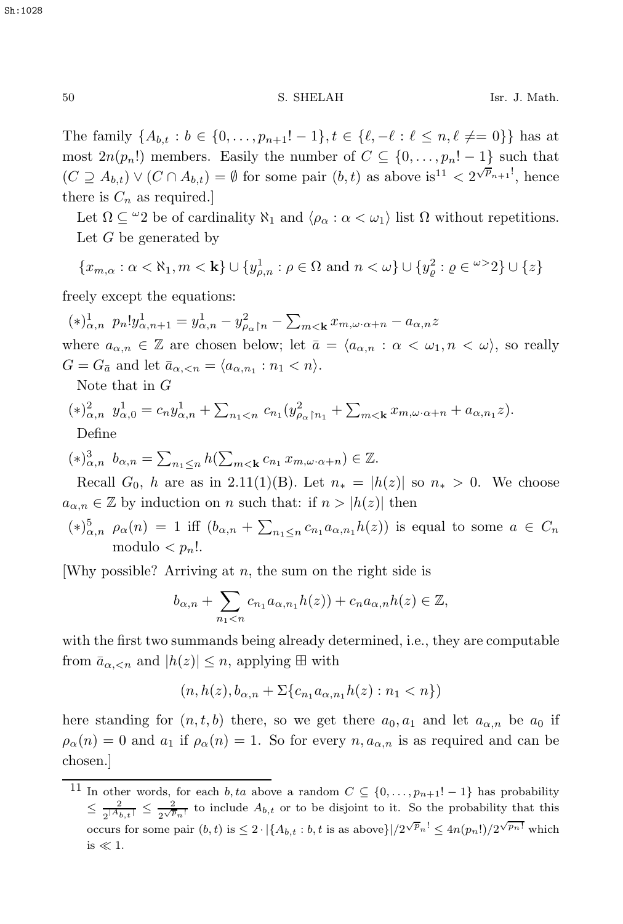The family  $\{A_{b,t} : b \in \{0, ..., p_{n+1}! - 1\}, t \in \{\ell, -\ell : \ell \leq n, \ell \neq 0\}\}$  has at most  $2n(p_n!)$  members. Easily the number of  $C \subseteq \{0, \ldots, p_n! - 1\}$  such that  $(C \supseteq A_{b,t}) \vee (C \cap A_{b,t}) = \emptyset$  for some pair  $(b,t)$  as above is<sup>11</sup> <  $2^{\sqrt{p}_{n+1}}$ , hence there is  $C_n$  as required.

Let  $\Omega \subseteq {}^{\omega}2$  be of cardinality  $\aleph_1$  and  $\langle \rho_{\alpha} : \alpha < \omega_1 \rangle$  list  $\Omega$  without repetitions. Let  $G$  be generated by

$$
\{x_{m,\alpha}:\alpha<\aleph_1,m<\mathbf{k}\}\cup\{y_{\rho,n}^1:\rho\in\Omega\text{ and }n<\omega\}\cup\{y_{\varrho}^2:\varrho\in\omega>2\}\cup\{z\}
$$

freely except the equations:

 $(*)_{\alpha,n}^{1} p_n! y_{\alpha,n+1}^1 = y_{\alpha,n}^1 - y_{\rho_\alpha|n}^2 - \sum_{m < \mathbf{k}} x_{m,\omega \cdot \alpha+n} - a_{\alpha,n} z$ where  $a_{\alpha,n} \in \mathbb{Z}$  are chosen below; let  $\bar{a} = \langle a_{\alpha,n} : \alpha < \omega_1, n < \omega \rangle$ , so really  $G = G_{\bar{a}}$  and let  $\bar{a}_{\alpha, \leq n} = \langle a_{\alpha, n_1} : n_1 \leq n \rangle$ .

Note that in G

$$
(*)_{\alpha,n}^2 y_{\alpha,0}^1 = c_n y_{\alpha,n}^1 + \sum_{n_1 < n} c_{n_1} (y_{\rho_\alpha \upharpoonright n_1}^2 + \sum_{m < \mathbf{k}} x_{m,\omega \cdot \alpha + n} + a_{\alpha,n_1} z).
$$
 Define

 $(*)_{\alpha,n}^3$   $b_{\alpha,n} = \sum_{n_1 \leq n} h(\sum_{m < \mathbf{k}} c_{n_1} x_{m,\omega \cdot \alpha + n}) \in \mathbb{Z}$ .

Recall  $G_0$ , h are as in 2.11(1)(B). Let  $n_* = |h(z)|$  so  $n_* > 0$ . We choose  $a_{\alpha,n} \in \mathbb{Z}$  by induction on n such that: if  $n > |h(z)|$  then

 $(*)_{\alpha,n}^5$   $\rho_\alpha(n) = 1$  iff  $(b_{\alpha,n} + \sum_{n_1 \leq n} c_{n_1} a_{\alpha,n_1} h(z))$  is equal to some  $a \in C_n$ modulo  $\langle n_n! \rangle$ .

[Why possible? Arriving at  $n$ , the sum on the right side is

$$
b_{\alpha,n} + \sum_{n_1 < n} c_{n_1} a_{\alpha,n_1} h(z) + c_n a_{\alpha,n} h(z) \in \mathbb{Z},
$$

with the first two summands being already determined, i.e., they are computable from  $\bar{a}_{\alpha,\leq n}$  and  $|h(z)| \leq n$ , applying  $\boxplus$  with

$$
(n, h(z), b_{\alpha,n} + \Sigma \{c_{n_1} a_{\alpha,n_1} h(z) : n_1 < n\})
$$

here standing for  $(n, t, b)$  there, so we get there  $a_0, a_1$  and let  $a_{\alpha,n}$  be  $a_0$  if  $\rho_{\alpha}(n) = 0$  and  $a_1$  if  $\rho_{\alpha}(n) = 1$ . So for every  $n, a_{\alpha,n}$  is as required and can be chosen.]

<sup>&</sup>lt;sup>11</sup> In other words, for each *b*, ta above a random  $C \subseteq \{0, \ldots, p_{n+1}! - 1\}$  has probability  $\leq \frac{2}{2^{\vert A_{b,t}\vert}} \leq \frac{2}{2^{\sqrt{p_n!}}}$  to include  $A_{b,t}$  or to be disjoint to it. So the probability that this occurs for some pair  $(b, t)$  is  $\leq 2 \cdot \left( \{A_{b,t} : b, t \text{ is as above} \} \right) / 2^{\sqrt{p_n!}} \leq 4n(p_n!) / 2^{\sqrt{p_n!}}$  which is  $\ll 1$ .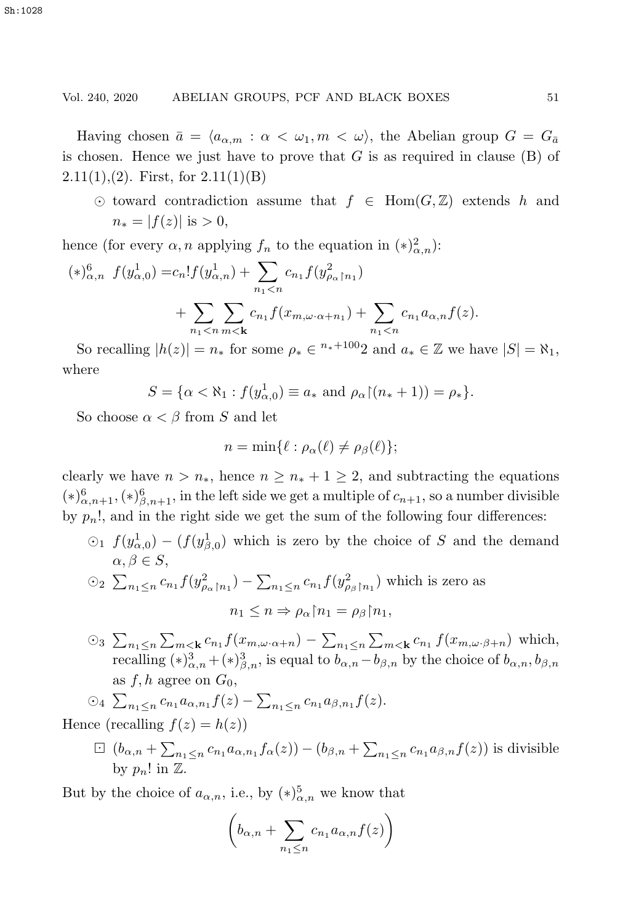# Vol. 240, 2020 ABELIAN GROUPS, PCF AND BLACK BOXES 51

Having chosen  $\bar{a} = \langle a_{\alpha,m} : \alpha < \omega_1, m < \omega \rangle$ , the Abelian group  $G = G_{\bar{a}}$ is chosen. Hence we just have to prove that  $G$  is as required in clause  $(B)$  of  $2.11(1),(2)$ . First, for  $2.11(1)(B)$ 

 $\odot$  toward contradiction assume that  $f \in Hom(G, \mathbb{Z})$  extends h and  $n_* = |f(z)|$  is  $> 0$ ,

hence (for every  $\alpha$ , *n* applying  $f_n$  to the equation in  $(*)^2_{\alpha,n}$ ):

$$
(*)^6_{\alpha,n} f(y^1_{\alpha,0}) = c_n! f(y^1_{\alpha,n}) + \sum_{n_1 < n} c_{n_1} f(y^2_{\rho_\alpha \upharpoonright n_1}) + \sum_{n_1 < n} \sum_{m < k} c_{n_1} f(x_{m,\omega \cdot \alpha + n_1}) + \sum_{n_1 < n} c_{n_1} a_{\alpha,n} f(z).
$$

So recalling  $|h(z)| = n_*$  for some  $\rho_* \in {}^{n_*+100}2$  and  $a_* \in \mathbb{Z}$  we have  $|S| = \aleph_1$ , where

$$
S = \{ \alpha < \aleph_1 : f(y_{\alpha,0}^1) \equiv a_* \text{ and } \rho_\alpha \ (n_* + 1) \} = \rho_* \}.
$$

So choose  $\alpha < \beta$  from S and let

$$
n = \min\{\ell : \rho_{\alpha}(\ell) \neq \rho_{\beta}(\ell)\};
$$

clearly we have  $n > n_*$ , hence  $n \geq n_* + 1 \geq 2$ , and subtracting the equations  $(*)_{\alpha,n+1}^6, (*)_{\beta,n+1}^6$ , in the left side we get a multiple of  $c_{n+1}$ , so a number divisible<br>began the substitution of the sum of the following form differences. by  $p_n!$ , and in the right side we get the sum of the following four differences:

- $\odot$  1  $f(y_{\alpha,0}^1) (f(y_{\beta,0}^1)$  which is zero by the choice of S and the demand  $\alpha, \beta \in S$ ,
- $\odot_2$   $\sum_{n_1 \leq n} c_{n_1} f(y_{\rho_\alpha \upharpoonright n_1}^2) \sum_{n_1 \leq n} c_{n_1} f(y_{\rho_\beta \upharpoonright n_1}^2)$  which is zero as  $n_1 \leq n \Rightarrow \rho_\alpha \upharpoonright n_1 = \rho_\beta \upharpoonright n_1,$
- <sup>○3</sup>  $\sum_{n_1 \le n} \sum_{m \lt k} c_{n_1} f(x_m, \omega \cdot \alpha + n) \sum_{n_1 \le n} \sum_{m \lt k} c_{n_1} f(x_m, \omega \cdot \beta + n)$  which,<br>recalling  $(*)^3_{\alpha, n} + (*)^3_{\beta, n}$ , is equal to  $b_{\alpha, n} b_{\beta, n}$  by the choice of  $b_{\alpha, n}, b_{\beta, n}$ as f, h agree on  $G_0$ ,

$$
\bigcirc_4 \sum_{n_1 \le n} c_{n_1} a_{\alpha, n_1} f(z) - \sum_{n_1 \le n} c_{n_1} a_{\beta, n_1} f(z).
$$

Hence (recalling  $f(z) = h(z)$ )

 $\Box \left( b_{\alpha,n} + \sum_{n_1 \leq n} c_{n_1} a_{\alpha,n_1} f_{\alpha}(z) \right) - \left( b_{\beta,n} + \sum_{n_1 \leq n} c_{n_1} a_{\beta,n} f(z) \right)$  is divisible by  $p_n!$  in  $\mathbb{Z}$ .

But by the choice of  $a_{\alpha,n}$ , i.e., by  $(\ast)^{5}_{\alpha,n}$  we know that

$$
\left(b_{\alpha,n} + \sum_{n_1 \le n} c_{n_1} a_{\alpha,n} f(z)\right)
$$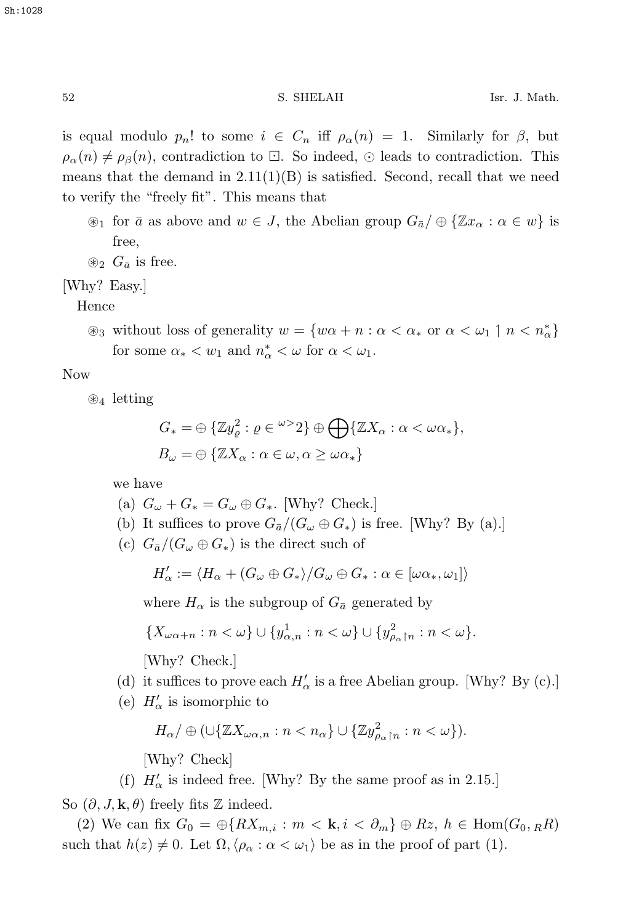is equal modulo  $p_n!$  to some  $i \in C_n$  iff  $\rho_\alpha(n) = 1$ . Similarly for  $\beta$ , but  $\rho_{\alpha}(n) \neq \rho_{\beta}(n)$ , contradiction to  $\Box$ . So indeed,  $\odot$  leads to contradiction. This means that the demand in  $2.11(1)(B)$  is satisfied. Second, recall that we need to verify the "freely fit". This means that

- $\mathcal{L}_1$  for  $\bar{a}$  as above and  $w \in J$ , the Abelian group  $G_{\bar{a}}/\oplus \{\mathbb{Z}x_{\alpha} : \alpha \in w\}$  is free,
- $\otimes_2 G_{\bar{a}}$  is free.

[Why? Easy.]

Hence

 $\circledast_3$  without loss of generality  $w = \{w\alpha + n : \alpha < \alpha_* \text{ or } \alpha < \omega_1 \mid n < n^*_{\alpha}\}\$ for some  $\alpha_* < w_1$  and  $n^*_{\alpha} < \omega$  for  $\alpha < \omega_1$ .

# Now

 $\otimes_4$  letting

$$
G_* = \oplus \{ \mathbb{Z} y_{\varrho}^2 : \varrho \in {}^{\omega >} 2 \} \oplus \bigoplus \{ \mathbb{Z} X_{\alpha} : \alpha < \omega \alpha_* \},
$$
  

$$
B_{\omega} = \oplus \{ \mathbb{Z} X_{\alpha} : \alpha \in \omega, \alpha \ge \omega \alpha_* \}
$$

we have

- (a)  $G_{\omega} + G_{*} = G_{\omega} \oplus G_{*}$ . [Why? Check.]
- (b) It suffices to prove  $G_{\bar{a}}/(G_{\omega} \oplus G_*)$  is free. [Why? By (a).]
- (c)  $G_{\bar{a}}/(G_{\omega}\oplus G_{*})$  is the direct such of

$$
H'_{\alpha} := \langle H_{\alpha} + (G_{\omega} \oplus G_{*})/G_{\omega} \oplus G_{*} : \alpha \in [\omega \alpha_{*}, \omega_{1}] \rangle
$$

where  $H_{\alpha}$  is the subgroup of  $G_{\bar{a}}$  generated by

$$
\{X_{\omega\alpha+n}:n<\omega\}\cup\{y^1_{\alpha,n}:n<\omega\}\cup\{y^2_{\rho_\alpha\upharpoonright n}:n<\omega\}.
$$

[Why? Check.]

- (d) it suffices to prove each  $H'_{\alpha}$  is a free Abelian group. [Why? By (c).]
- (e)  $H'_{\alpha}$  is isomorphic to

$$
H_{\alpha}/\oplus\left(\cup\{\mathbb{Z} X_{\omega\alpha,n}:n
$$

[Why? Check]

(f)  $H'_{\alpha}$  is indeed free. [Why? By the same proof as in 2.15.]

So  $(\partial, J, \mathbf{k}, \theta)$  freely fits  $\mathbb Z$  indeed.

(2) We can fix  $G_0 = \bigoplus \{RX_{m,i} : m < \mathbf{k}, i < \partial_m\} \oplus Rz, h \in \text{Hom}(G_0, R^2)$ such that  $h(z) \neq 0$ . Let  $\Omega$ ,  $\langle \rho_{\alpha} : \alpha < \omega_1 \rangle$  be as in the proof of part (1).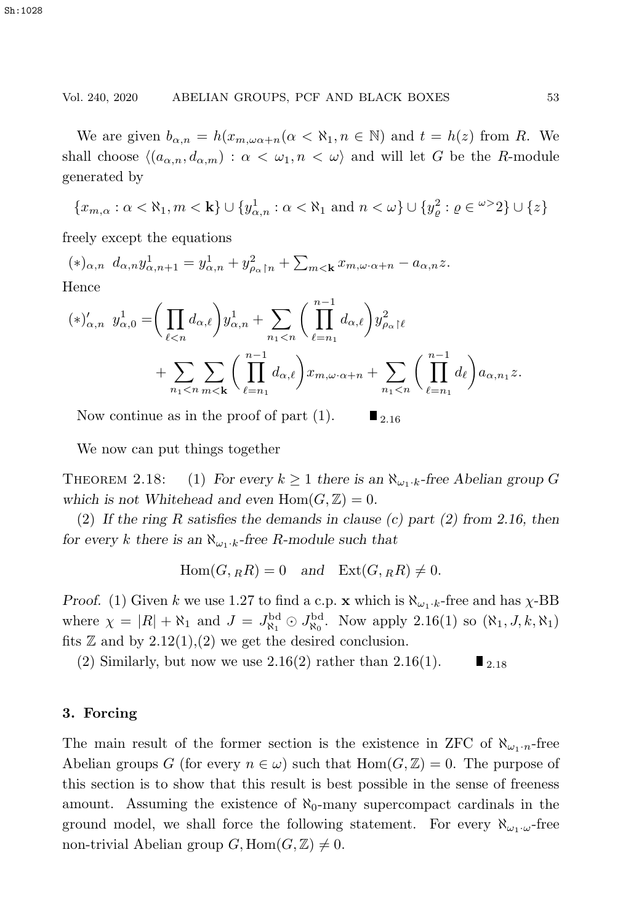#### Vol. 240, 2020 ABELIAN GROUPS, PCF AND BLACK BOXES 53

We are given  $b_{\alpha,n} = h(x_{m,\omega\alpha+n}(\alpha < \aleph_1, n \in \mathbb{N})$  and  $t = h(z)$  from R. We shall choose  $(a_{\alpha,n}, d_{\alpha,m}) : \alpha < \omega_1, n < \omega$  and will let G be the R-module generated by

$$
\{x_{m,\alpha}:\alpha<\aleph_1,m<\mathbf{k}\}\cup\{y_{\alpha,n}^1:\alpha<\aleph_1\text{ and }n<\omega\}\cup\{y_{\varrho}^2:\varrho\in\omega>2\}\cup\{z\}
$$

freely except the equations

 $(*)_{\alpha,n} d_{\alpha,n} y_{\alpha,n+1}^1 = y_{\alpha,n}^1 + y_{\rho_\alpha \upharpoonright n}^2 + \sum_{m < \mathbf{k}} x_{m,\omega \cdot \alpha+n} - a_{\alpha,n} z.$ Hence

$$
(*)'_{\alpha,n} y^1_{\alpha,0} = \left(\prod_{\ell < n} d_{\alpha,\ell}\right) y^1_{\alpha,n} + \sum_{n_1 < n} \left(\prod_{\ell=n_1}^{n-1} d_{\alpha,\ell}\right) y^2_{\rho_\alpha \restriction \ell} + \sum_{n_1 < n} \sum_{m < k} \left(\prod_{\ell=n_1}^{n-1} d_{\alpha,\ell}\right) x_{m,\omega \cdot \alpha + n} + \sum_{n_1 < n} \left(\prod_{\ell=n_1}^{n-1} d_{\ell}\right) a_{\alpha,n_1} z.
$$

Now continue as in the proof of part (1).  $\blacksquare$  <sub>2.16</sub>

We now can put things together

THEOREM 2.18: (1) For every  $k \geq 1$  there is an  $\aleph_{\omega_1 \cdot k}$ -free Abelian group G which is not Whitehead and even  $Hom(G, \mathbb{Z})=0$ .

(2) *If the ring* R *satisfies the demands in clause (c) part (2) from 2.16, then for every* k there is an  $\aleph_{\omega_1 \cdot k}$ -free R-module such that

$$
Hom(G, {}_RR) = 0 \quad and \quad Ext(G, {}_RR) \neq 0.
$$

*Proof.* (1) Given k we use 1.27 to find a c.p. **x** which is  $\aleph_{\omega_1 \cdot k}$ -free and has  $\chi$ -BB where  $\chi = |R| + \aleph_1$  and  $J = J_{\aleph_1}^{\rm bd} \odot J_{\aleph_0}^{\rm bd}$ . Now apply 2.16(1) so  $(\aleph_1, J, k, \aleph_1)$ fits  $\mathbb Z$  and by  $2.12(1),(2)$  we get the desired conclusion.

(2) Similarly, but now we use 2.16(2) rather than 2.16(1).  $\blacksquare$  2.18

#### **3. Forcing**

The main result of the former section is the existence in ZFC of  $\aleph_{\omega_1\cdot n}$ -free Abelian groups G (for every  $n \in \omega$ ) such that  $Hom(G, \mathbb{Z}) = 0$ . The purpose of this section is to show that this result is best possible in the sense of freeness amount. Assuming the existence of  $\aleph_0$ -many supercompact cardinals in the ground model, we shall force the following statement. For every  $\aleph_{\omega_1\cdot\omega}$ -free non-trivial Abelian group  $G$ ,  $\text{Hom}(G, \mathbb{Z}) \neq 0$ .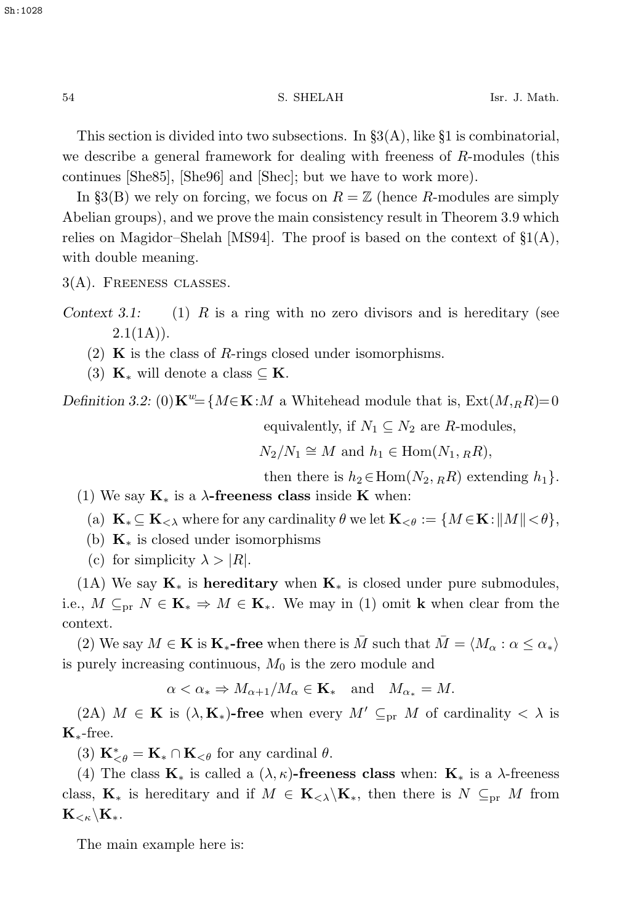This section is divided into two subsections. In  $\S3(A)$ , like §1 is combinatorial, we describe a general framework for dealing with freeness of R-modules (this continues [She85], [She96] and [Shec]; but we have to work more).

In §3(B) we rely on forcing, we focus on  $R = \mathbb{Z}$  (hence R-modules are simply Abelian groups), and we prove the main consistency result in Theorem 3.9 which relies on Magidor–Shelah [MS94]. The proof is based on the context of  $\S1(A)$ , with double meaning.

3(A). Freeness classes.

*Context 3.1:* (1) R is a ring with no zero divisors and is hereditary (see  $2.1(1A)$ .

- (2) **K** is the class of R-rings closed under isomorphisms.
- (3)  $\mathbf{K}_{*}$  will denote a class  $\subset \mathbf{K}$ .

*Definition 3.2:* (0)**K**<sup>w</sup>={M∈**K**:M a Whitehead module that is, Ext( $M, _RR$ )=0

equivalently, if  $N_1 \subseteq N_2$  are R-modules,

 $N_2/N_1 \cong M$  and  $h_1 \in \text{Hom}(N_1, _R R)$ ,

then there is  $h_2 \in \text{Hom}(N_2, R_R)$  extending  $h_1$ .

- (1) We say **K**<sup>∗</sup> is a λ**-freeness class** inside **K** when:
	- (a)  $\mathbf{K}_{*} \subseteq \mathbf{K}_{<\lambda}$  where for any cardinality  $\theta$  we let  $\mathbf{K}_{<\theta} := \{ M \in \mathbf{K} : ||M|| < \theta \},\$
	- (b) **K**<sup>∗</sup> is closed under isomorphisms
	- (c) for simplicity  $\lambda > |R|$ .

(1A) We say **K**<sup>∗</sup> is **hereditary** when **K**<sup>∗</sup> is closed under pure submodules, i.e.,  $M \subseteq_{\text{pr}} N \in \mathbf{K}_{*} \Rightarrow M \in \mathbf{K}_{*}$ . We may in (1) omit **k** when clear from the context.

(2) We say  $M \in \mathbf{K}$  is  $\mathbf{K}_{*}$ -free when there is  $\overline{M}$  such that  $\overline{M} = \langle M_{\alpha} : \alpha \leq \alpha_{*} \rangle$ is purely increasing continuous,  $M_0$  is the zero module and

$$
\alpha < \alpha_* \Rightarrow M_{\alpha+1}/M_\alpha \in \mathbf{K}_* \quad \text{and} \quad M_{\alpha_*} = M.
$$

(2A)  $M \in \mathbf{K}$  is  $(\lambda, \mathbf{K})$ **-free** when every  $M' \subseteq_{\text{pr}} M$  of cardinality  $\langle \lambda \rangle$  is **K**∗-free.

 $(3)$  **K**<sup>\*</sup><sub> $\leq \theta$ </sub> = **K**<sub>\*</sub> ∩ **K**<sub> $\leq \theta$ </sub> for any cardinal  $\theta$ .

(4) The class  $\mathbf{K}_*$  is called a  $(\lambda, \kappa)$ -freeness class when:  $\mathbf{K}_*$  is a  $\lambda$ -freeness class,  $\mathbf{K}_*$  is hereditary and if  $M \in \mathbf{K}_{< \lambda} \backslash \mathbf{K}_*$ , then there is  $N \subseteq_{pr} M$  from  $\mathbf{K}_{< \kappa} \backslash \mathbf{K}_{*}$ .

The main example here is: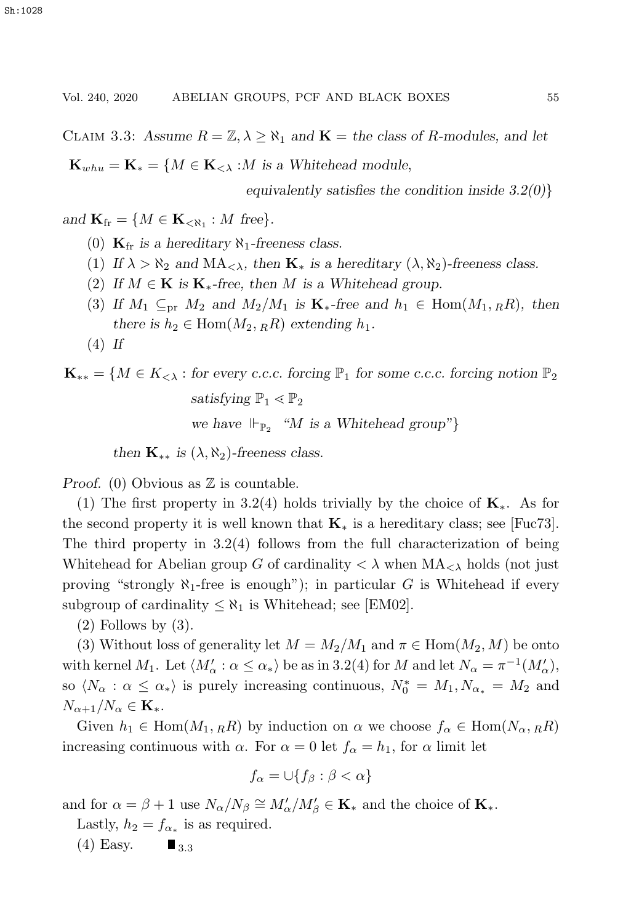CLAIM 3.3: Assume  $R = \mathbb{Z}, \lambda \geq \aleph_1$  and  $\mathbf{K} =$  the class of R-modules, and let

 $\mathbf{K}_{whu} = \mathbf{K}_{*} = \{M \in \mathbf{K}_{< \lambda} : M \text{ is a Whitehead module},\$ 

*equivalently satisfies the condition inside 3.2(0)*}

*and*  $\mathbf{K}_{\text{fr}} = \{ M \in \mathbf{K}_{\leq \aleph_1} : M \text{ free} \}.$ 

- (0)  $\mathbf{K}_{\text{fr}}$  *is a hereditary*  $\aleph_1$ -freeness class.
- (1) If  $\lambda > \aleph_2$  and  $\text{MA}_{\leq \lambda}$ , then  $\mathbf{K}_*$  is a hereditary  $(\lambda, \aleph_2)$ -freeness class.
- (2) If  $M \in \mathbf{K}$  is  $\mathbf{K}_{*}$ -free, then M is a Whitehead group.
- (3) If  $M_1 \subseteq_{\text{pr}} M_2$  and  $M_2/M_1$  is  $\mathbf{K}_*$ -free and  $h_1 \in \text{Hom}(M_1, RR)$ , then *there is*  $h_2 \in \text{Hom}(M_2, {_RR})$  *extending*  $h_1$ *.*
- (4) *If*

# $\mathbf{K}_{**} = \{M \in K_{<\lambda} : \text{for every c.c.c. forcing } \mathbb{P}_1 \text{ for some c.c.c. forcing notion } \mathbb{P}_2$ *satisfying*  $\mathbb{P}_1 \leq \mathbb{P}_2$ *we have*  $\Vdash_{\mathbb{P}_2}$  "*M is a Whitehead group*"}

*then*  $\mathbf{K}_{**}$  *is*  $(\lambda, \aleph_2)$ *-freeness class.* 

*Proof.* (0) Obvious as  $\mathbb{Z}$  is countable.

(1) The first property in 3.2(4) holds trivially by the choice of **K**∗. As for the second property it is well known that **K**<sup>∗</sup> is a hereditary class; see [Fuc73]. The third property in 3.2(4) follows from the full characterization of being Whitehead for Abelian group G of cardinality  $\langle \lambda \rangle$  when  $MA_{\langle \lambda \rangle}$  holds (not just proving "strongly  $\aleph_1$ -free is enough"); in particular G is Whitehead if every subgroup of cardinality  $\leq \aleph_1$  is Whitehead; see [EM02].

 $(2)$  Follows by  $(3)$ .

(3) Without loss of generality let  $M = M_2/M_1$  and  $\pi \in \text{Hom}(M_2, M)$  be onto with kernel  $M_1$ . Let  $\langle M'_\alpha : \alpha \le \alpha_* \rangle$  be as in 3.2(4) for M and let  $N_\alpha = \pi^{-1}(M'_\alpha)$ , so  $\langle N_{\alpha} : \alpha \leq \alpha_* \rangle$  is purely increasing continuous,  $N_0^* = M_1, N_{\alpha_*} = M_2$  and  $N_{\alpha+1}/N_{\alpha} \in \mathbf{K}_{*}.$ 

Given  $h_1 \in \text{Hom}(M_1,_R)$  by induction on  $\alpha$  we choose  $f_\alpha \in \text{Hom}(N_\alpha,_R)$ increasing continuous with  $\alpha$ . For  $\alpha = 0$  let  $f_{\alpha} = h_1$ , for  $\alpha$  limit let

$$
f_{\alpha} = \cup \{ f_{\beta} : \beta < \alpha \}
$$

and for  $\alpha = \beta + 1$  use  $N_{\alpha}/N_{\beta} \cong M'_{\alpha}/M'_{\beta} \in \mathbf{K}_{*}$  and the choice of  $\mathbf{K}_{*}$ .

Lastly,  $h_2 = f_{\alpha_*}$  is as required.<br>(4) Easy.  $\blacksquare_{3,3}$ 

 $(4)$  Easy.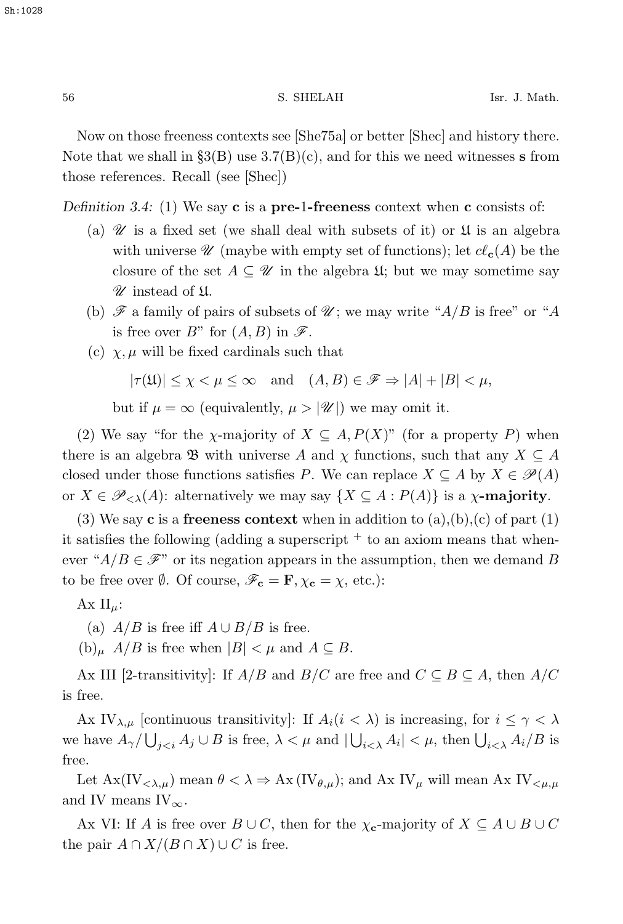Now on those freeness contexts see [She75a] or better [Shec] and history there. Note that we shall in  $\S3(B)$  use  $3.7(B)(c)$ , and for this we need witnesses **s** from those references. Recall (see [Shec])

*Definition 3.4:* (1) We say **c** is a **pre-**1**-freeness** context when **c** consists of:

- (a)  $\mathcal U$  is a fixed set (we shall deal with subsets of it) or  $\mathfrak U$  is an algebra with universe  $\mathscr U$  (maybe with empty set of functions); let  $c\ell_{\mathbf{c}}(A)$  be the closure of the set  $A \subseteq \mathcal{U}$  in the algebra  $\mathfrak{U}$ ; but we may sometime say *U* instead of U.
- (b)  $\mathscr F$  a family of pairs of subsets of  $\mathscr U$ ; we may write " $A/B$  is free" or "A is free over  $B^{\prime\prime}$  for  $(A, B)$  in  $\mathscr{F}$ .
- (c)  $\chi$ ,  $\mu$  will be fixed cardinals such that

$$
|\tau(\mathfrak{U})| \le \chi < \mu \le \infty \quad \text{and} \quad (A, B) \in \mathscr{F} \Rightarrow |A| + |B| < \mu,
$$

but if  $\mu = \infty$  (equivalently,  $\mu > |\mathcal{U}|$ ) we may omit it.

(2) We say "for the  $\chi$ -majority of  $X \subseteq A$ ,  $P(X)$ " (for a property P) when there is an algebra  $\mathfrak{B}$  with universe A and  $\chi$  functions, such that any  $X \subseteq A$ closed under those functions satisfies P. We can replace  $X \subseteq A$  by  $X \in \mathscr{P}(A)$ or  $X \in \mathscr{P}_{\leq \lambda}(A)$ : alternatively we may say  $\{X \subseteq A : P(A)\}$  is a  $\chi$ -majority.

(3) We say **c** is a **freeness context** when in addition to (a),(b),(c) of part (1) it satisfies the following (adding a superscript  $+$  to an axiom means that whenever " $A/B \in \mathcal{F}$ " or its negation appears in the assumption, then we demand B to be free over  $\emptyset$ . Of course,  $\mathscr{F}_c = \mathbf{F}, \chi_c = \chi$ , etc.):

 $Ax II_{\mu}$ :

(a)  $A/B$  is free iff  $A \cup B/B$  is free.

 $(b)<sub>μ</sub>$   $A/B$  is free when  $|B| < \mu$  and  $A \subseteq B$ .

Ax III [2-transitivity]: If  $A/B$  and  $B/C$  are free and  $C \subseteq B \subseteq A$ , then  $A/C$ is free.

Ax IV<sub> $\lambda,\mu$ </sub> [continuous transitivity]: If  $A_i(i < \lambda)$  is increasing, for  $i \leq \gamma < \lambda$ we have  $A_{\gamma}/\bigcup_{j is free,  $\lambda < \mu$  and  $|\bigcup_{i<\lambda} A_i| < \mu$ , then  $\bigcup_{i<\lambda} A_i/B$  is$ free.

Let  $\text{Ax}(IV_{\langle \lambda,\mu})$  mean  $\theta < \lambda \Rightarrow \text{Ax}(IV_{\theta,\mu})$ ; and  $\text{Ax} IV_{\mu}$  will mean  $\text{Ax} IV_{\langle \mu,\mu \rangle}$ and IV means  $\text{IV}_{\infty}$ .

Ax VI: If A is free over  $B \cup C$ , then for the  $\chi_{\mathbf{c}}$ -majority of  $X \subseteq A \cup B \cup C$ the pair  $A \cap X/(B \cap X) \cup C$  is free.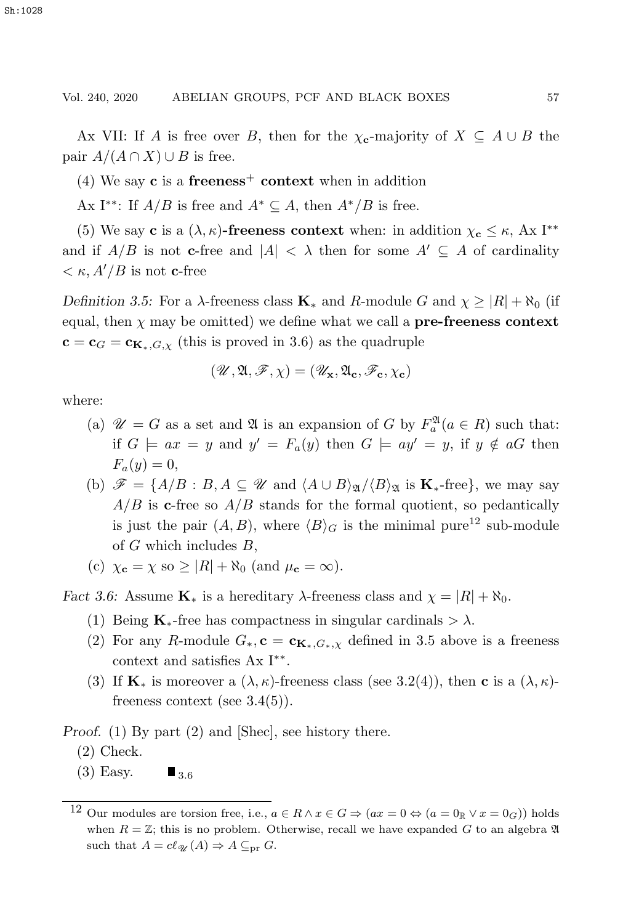Ax VII: If A is free over B, then for the  $\chi_{\mathbf{c}}$ -majority of  $X \subseteq A \cup B$  the pair  $A/(A \cap X) \cup B$  is free.

(4) We say **c** is a **freeness**<sup>+</sup> **context** when in addition

Ax I<sup>\*\*</sup>: If  $A/B$  is free and  $A^* \subseteq A$ , then  $A^*/B$  is free.

(5) We say **c** is a  $(\lambda, \kappa)$ -freeness context when: in addition  $\chi_c \leq \kappa$ , Ax I<sup>\*\*</sup> and if  $A/B$  is not **c**-free and  $|A| < \lambda$  then for some  $A' \subseteq A$  of cardinality  $\langle \kappa, A'/B \rangle$  is not **c**-free

*Definition 3.5:* For a  $\lambda$ -freeness class  $\mathbf{K}_*$  and  $R$ -module G and  $\chi \geq |R| + \aleph_0$  (if equal, then  $\chi$  may be omitted) we define what we call a **pre-freeness context**  $c = c_G = c_{K_*,G,\chi}$  (this is proved in 3.6) as the quadruple

$$
(\mathscr{U},\mathfrak{A},\mathscr{F},\chi)=(\mathscr{U}_{\mathbf{x}},\mathfrak{A}_{\mathbf{c}},\mathscr{F}_{\mathbf{c}},\chi_{\mathbf{c}})
$$

where:

- (a)  $\mathcal{U} = G$  as a set and  $\mathfrak{A}$  is an expansion of G by  $F_a^{\mathfrak{A}}(a \in R)$  such that: if  $G \models ax = y$  and  $y' = F_a(y)$  then  $G \models ay' = y$ , if  $y \notin aG$  then  $F_a(y) = 0,$
- (b)  $\mathscr{F} = \{A/B : B, A \subseteq \mathscr{U} \text{ and } \langle A \cup B \rangle_{\mathfrak{A}} / \langle B \rangle_{\mathfrak{A}} \text{ is } \mathbf{K}_{*} \text{-free} \},\$ we may say  $A/B$  is **c**-free so  $A/B$  stands for the formal quotient, so pedantically is just the pair  $(A, B)$ , where  $\langle B \rangle_G$  is the minimal pure<sup>12</sup> sub-module of  $G$  which includes  $B$ ,
- (c)  $\chi_{\mathbf{c}} = \chi$  so  $\geq |R| + \aleph_0$  (and  $\mu_{\mathbf{c}} = \infty$ ).

*Fact 3.6:* Assume  $\mathbf{K}_{*}$  is a hereditary  $\lambda$ -freeness class and  $\chi = |R| + \aleph_0$ .

- (1) Being  $\mathbf{K}_{*}$ -free has compactness in singular cardinals  $> \lambda$ .
- (2) For any R-module  $G_*, \mathbf{c} = \mathbf{c}_{\mathbf{K}_*,G_*,\chi}$  defined in 3.5 above is a freeness context and satisfies Ax I∗∗.
- (3) If  $\mathbf{K}_{*}$  is moreover a  $(\lambda, \kappa)$ -freeness class (see 3.2(4)), then **c** is a  $(\lambda, \kappa)$ freeness context (see 3.4(5)).

*Proof.* (1) By part (2) and [Shec], see history there.

- (2) Check.
- $(3)$  Easy.  $\blacksquare$ <sub>3.6</sub>

<sup>&</sup>lt;sup>12</sup> Our modules are torsion free, i.e.,  $a \in R \wedge x \in G \Rightarrow (ax = 0 \Leftrightarrow (a = 0 \R \vee x = 0 \text{G}))$  holds when  $R = \mathbb{Z}$ ; this is no problem. Otherwise, recall we have expanded G to an algebra  $\mathfrak{A}$ such that  $A = cl_{\mathscr{U}}(A) \Rightarrow A \subseteq_{\text{pr}} G$ .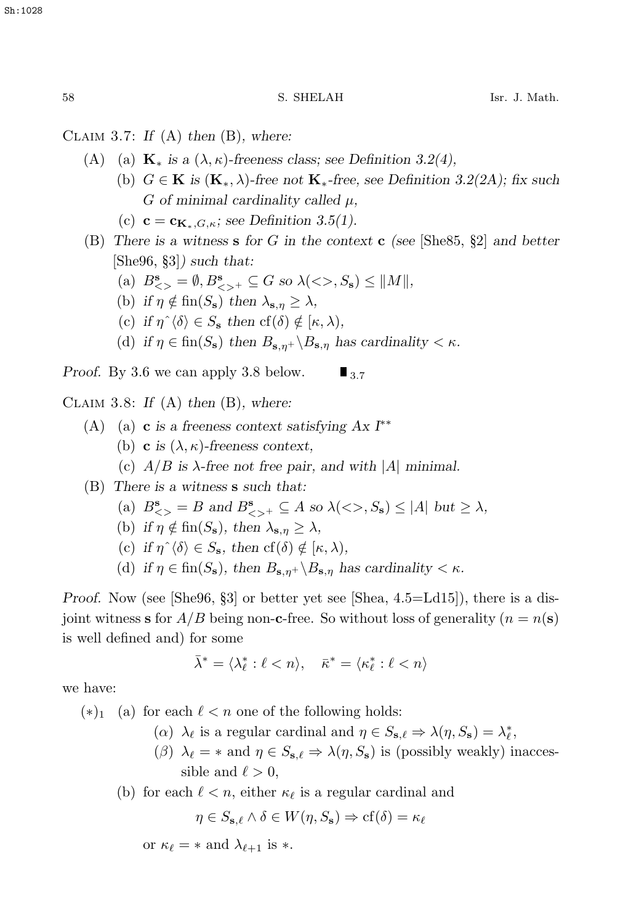Claim 3.7: *If* (A) *then* (B)*, where:*

- (A) (a)  $\mathbf{K}_{*}$  *is a*  $(\lambda, \kappa)$ *-freeness class; see Definition 3.2(4)*,
	- (b)  $G \in \mathbf{K}$  is  $(\mathbf{K}_{*}, \lambda)$ -free not  $\mathbf{K}_{*}$ -free, see Definition 3.2(2A); fix such G *of minimal cardinality called* μ*,*
	- (c)  $\mathbf{c} = \mathbf{c}_{\mathbf{K}_{*},G,\kappa}$ ; see Definition 3.5(1).
- (B) *There is a witness* **s** *for* G *in the context* **c** *(see* [She85, §2] *and better* [She96, §3]*) such that:*
	- (a)  $B^{\mathbf{s}}_{\leq} = \emptyset, B^{\mathbf{s}}_{\leq} \leq G$  so  $\lambda(\leq, S_{\mathbf{s}}) \leq ||M||$ ,<br>(b) if  $\alpha \notin \text{fn}(S)$  then  $\lambda \geq \lambda$
	- (b) *if*  $\eta \notin \text{fin}(S_{\mathbf{s}})$  *then*  $\lambda_{\mathbf{s},\eta} \geq \lambda$ *,*
	- (c) if  $\eta^{\hat{ }} \langle \delta \rangle \in S_{\mathbf{s}}$  then  $\mathrm{cf}(\delta) \notin [\kappa, \lambda),$
	- (d) *if*  $\eta \in \text{fin}(S_{\mathbf{s}})$  *then*  $B_{\mathbf{s},\eta^+} \setminus B_{\mathbf{s},\eta}$  *has cardinality* <  $\kappa$ *.*

*Proof.* By 3.6 we can apply 3.8 below.  $\blacksquare$ <sub>3.7</sub>

Claim 3.8: *If* (A) *then* (B)*, where:*

- (A) (a) **c** *is a freeness context satisfying Ax I*∗∗
	- (b) **c** *is*  $(\lambda, \kappa)$ -freeness context,
	- (c)  $A/B$  is  $\lambda$ -free not free pair, and with |A| minimal.
- (B) *There is a witness* **s** *such that:*
	- (a)  $B^{\mathbf{s}}_{\leq} = B$  and  $B^{\mathbf{s}}_{\leq} + \subseteq A$  so  $\lambda(\leq), S_{\mathbf{s}}) \leq |A|$  but  $\geq \lambda$ ,
	- (b) *if*  $\eta \notin \text{fin}(S_{\mathbf{s}})$ *, then*  $\lambda_{\mathbf{s},\eta} \geq \lambda$ *,*
	- (c) if  $\eta^{\hat{ }} \langle \delta \rangle \in S_{\mathbf{s}}$ , then  $\mathrm{cf}(\delta) \notin [\kappa, \lambda),$
	- (d) *if*  $\eta \in \text{fin}(S_{\mathbf{s}})$ *, then*  $B_{\mathbf{s},\eta^+} \backslash B_{\mathbf{s},\eta}$  *has cardinality* <  $\kappa$ *.*

*Proof.* Now (see [She96, §3] or better yet see [Shea, 4.5=Ld15]), there is a disjoint witness **s** for  $A/B$  being non-**c**-free. So without loss of generality ( $n = n(\mathbf{s})$ ) is well defined and) for some

$$
\bar{\lambda}^* = \langle \lambda_\ell^* : \ell < n \rangle, \quad \bar{\kappa}^* = \langle \kappa_\ell^* : \ell < n \rangle
$$

we have:

 $(*)_1$  (a) for each  $ℓ < n$  one of the following holds:

- ( $\alpha$ )  $\lambda_{\ell}$  is a regular cardinal and  $\eta \in S_{\mathbf{s},\ell} \Rightarrow \lambda(\eta, S_{\mathbf{s}}) = \lambda_{\ell}^{*}$ ,  $\lambda(\eta, S_{\mathbf{s}})$
- (*β*)  $\lambda_{\ell}$  = \* and  $\eta \in S_{s,\ell} \Rightarrow \lambda(\eta, S_s)$  is (possibly weakly) inaccessible and  $\ell > 0$ ,
- (b) for each  $\ell < n$ , either  $\kappa_{\ell}$  is a regular cardinal and

$$
\eta \in S_{\mathbf{s},\ell} \wedge \delta \in W(\eta, S_{\mathbf{s}}) \Rightarrow \text{cf}(\delta) = \kappa_{\ell}
$$

or  $\kappa_{\ell} = *$  and  $\lambda_{\ell+1}$  is  $*$ .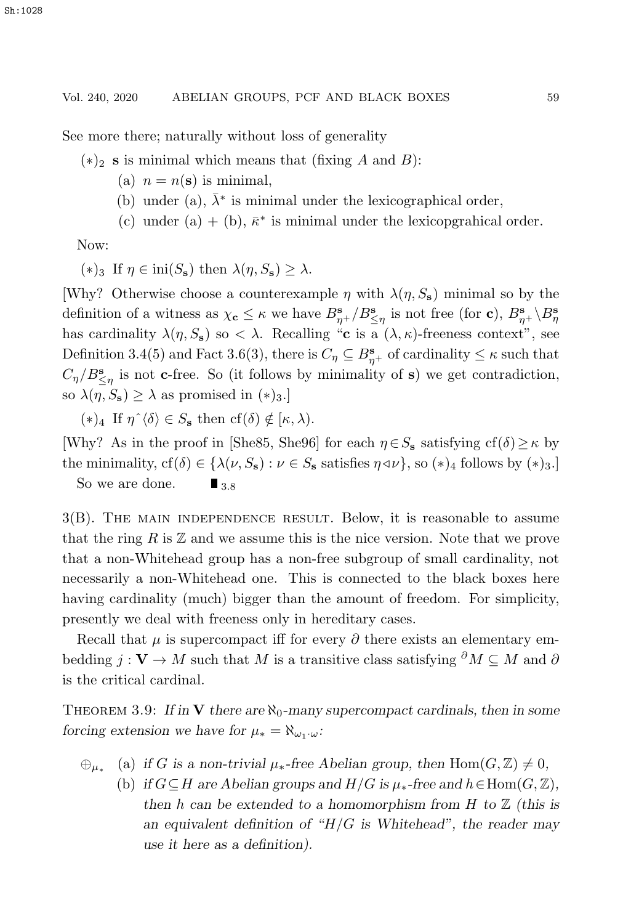See more there; naturally without loss of generality

 $(*)_2$  **s** is minimal which means that (fixing A and B):

- (a)  $n = n(\mathbf{s})$  is minimal,
- (b) under (a),  $\bar{\lambda}^*$  is minimal under the lexicographical order,
- (c) under (a) + (b),  $\bar{\kappa}^*$  is minimal under the lexicoperahical order.

Now:

 $(*)_3$  If  $n \in \text{ini}(S_s)$  then  $\lambda(n, S_s) > \lambda$ .

[Why? Otherwise choose a counterexample  $\eta$  with  $\lambda(\eta, S_s)$  minimal so by the definition of a witness as  $\chi_c \leq \kappa$  we have  $B_{\eta+}^s/B_{\leq \eta}^s$  is not free (for **c**),  $B_{\eta+}^s \setminus B_{\eta}^s$ has cardinality  $\lambda(\eta, S_s)$  so  $\langle \lambda \rangle$ . Recalling "**c** is a  $(\lambda, \kappa)$ -freeness context", see Definition 3.4(5) and Fact 3.6(3), there is  $C_{\eta} \subseteq B_{\eta+}^s$  of cardinality  $\leq \kappa$  such that  $C_{\eta}$  (Bs. is not a free. So (it follows by minimality of a) we get contradiction  $C_{\eta}/B_{\leq \eta}^s$  is not **c**-free. So (it follows by minimality of **s**) we get contradiction, so  $\lambda(\eta, S_s) \geq \lambda$  as promised in  $(*)_{3}$ .

 $(*)_4$  If  $\eta^{\hat{ }}\langle \delta \rangle \in S_5$  then  $cf(\delta) \notin [\kappa, \lambda)$ .

[Why? As in the proof in [She85, She96] for each  $\eta \in S_{\mathbf{s}}$  satisfying  $cf(\delta) \geq \kappa$  by the minimality,  $cf(\delta) \in \{\lambda(\nu, S_s) : \nu \in S_s \text{ satisfies } \eta \triangleleft \nu\}$ , so  $(*)_4$  follows by  $(*)_3$ .] So we are done.  $\blacksquare$ <sub>3.8</sub>

3(B). The main independence result. Below, it is reasonable to assume that the ring R is  $\mathbb Z$  and we assume this is the nice version. Note that we prove that a non-Whitehead group has a non-free subgroup of small cardinality, not necessarily a non-Whitehead one. This is connected to the black boxes here having cardinality (much) bigger than the amount of freedom. For simplicity, presently we deal with freeness only in hereditary cases.

Recall that  $\mu$  is supercompact iff for every  $\partial$  there exists an elementary embedding  $j: V \to M$  such that M is a transitive class satisfying  $\partial M \subseteq M$  and  $\partial$ is the critical cardinal.

THEOREM 3.9: If in **V** there are  $\aleph_0$ -many supercompact cardinals, then in some *forcing extension we have for*  $\mu_* = \aleph_{\omega_1 \cdot \omega}$ *:* 

- $\bigoplus_{\mu_*}$  (a) *if* G is a non-trivial  $\mu_*$ -free Abelian group, then Hom $(G, \mathbb{Z}) \neq 0$ ,
	- (b) *if*  $G \subseteq H$  are Abelian groups and  $H/G$  *is*  $\mu_*$ -free and  $h \in Hom(G, \mathbb{Z})$ , *then* h *can be extended to a homomorphism from* H *to* Z *(this is an equivalent definition of "*H/G *is Whitehead", the reader may use it here as a definition).*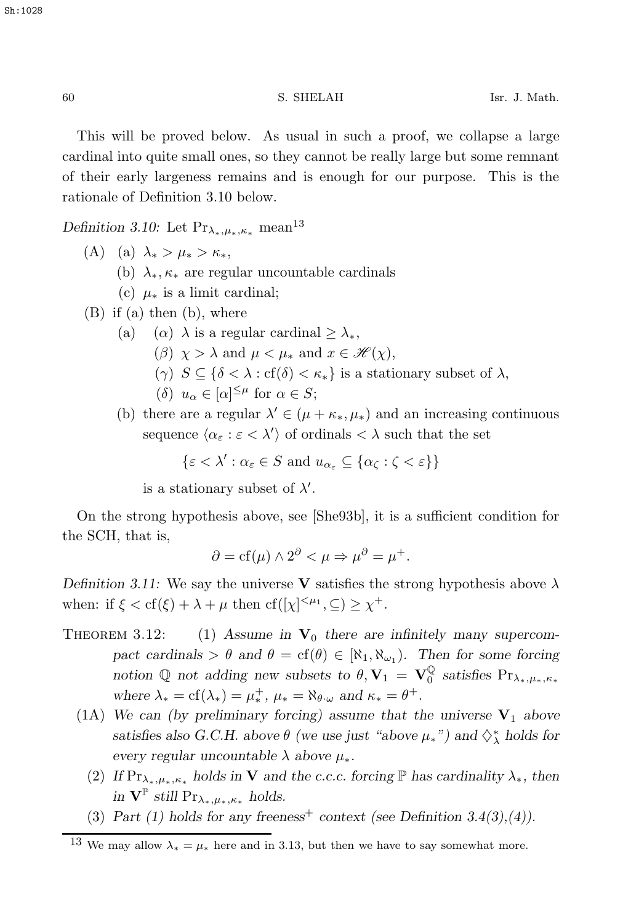This will be proved below. As usual in such a proof, we collapse a large cardinal into quite small ones, so they cannot be really large but some remnant of their early largeness remains and is enough for our purpose. This is the rationale of Definition 3.10 below.

*Definition 3.10:* Let  $Pr_{\lambda_*,\mu_*,\kappa_*}$  mean<sup>13</sup>

(A) (a)  $\lambda_* > \mu_* > \kappa_*$ ,

- (b)  $\lambda_*, \kappa_*$  are regular uncountable cardinals
- (c)  $\mu_*$  is a limit cardinal;
- (B) if (a) then (b), where
	- (a) (α)  $\lambda$  is a regular cardinal  $\geq \lambda_*$ ,
		- ( $\beta$ )  $\chi > \lambda$  and  $\mu < \mu_*$  and  $x \in \mathcal{H}(\chi)$ ,
		- (γ)  $S \subseteq \{ \delta < \lambda : \text{cf}(\delta) < \kappa_* \}$  is a stationary subset of  $\lambda$ ,
		- (δ)  $u_{\alpha} \in [\alpha]^{\leq \mu}$  for  $\alpha \in S$ ;
	- (b) there are a regular  $\lambda' \in (\mu + \kappa_*, \mu_*)$  and an increasing continuous sequence  $\langle \alpha_{\varepsilon} : \varepsilon \langle \lambda' \rangle$  of ordinals  $\langle \lambda \rangle$  such that the set

$$
\{\varepsilon < \lambda' : \alpha_{\varepsilon} \in S \text{ and } u_{\alpha_{\varepsilon}} \subseteq \{\alpha_{\zeta} : \zeta < \varepsilon\}\}\
$$

is a stationary subset of  $\lambda'$ .

On the strong hypothesis above, see [She93b], it is a sufficient condition for the SCH, that is,

$$
\partial = cf(\mu) \wedge 2^{\partial} < \mu \Rightarrow \mu^{\partial} = \mu^+.
$$

*Definition 3.11:* We say the universe **V** satisfies the strong hypothesis above  $\lambda$ when: if  $\xi < \text{cf}(\xi) + \lambda + \mu$  then  $\text{cf}([\chi]^{<\mu_1}, \subseteq) \geq \chi^+$ .

- THEOREM 3.12: (1) Assume in  $V_0$  there are infinitely many supercom*pact cardinals* >  $\theta$  *and*  $\theta = cf(\theta) \in [\aleph_1, \aleph_{\omega_1})$ *. Then for some forcing notion*  $\mathbb{Q}$  *not adding new subsets to*  $\theta$ ,  $\mathbf{V}_1 = \mathbf{V}_0^{\mathbb{Q}}$  *satisfies*  $\Pr_{\lambda_*,\mu_*,\kappa_*}$ *where*  $\lambda_* = cf(\lambda_*) = \mu_*^+, \mu_* = \aleph_{\theta \cdot \omega}$  *and*  $\kappa_* = \theta^+$ .
	- (1A) We can (by preliminary forcing) assume that the universe  $V_1$  above *satisfies also G.C.H. above*  $\theta$  *(we use just "above*  $\mu_*$ ") and  $\diamondsuit^*$  holds for *every regular uncountable*  $\lambda$  *above*  $\mu_*$ *.* 
		- (2) *If*  $Pr_{\lambda_*,\mu_*,\kappa_*}$  *holds in* **V** and the c.c.c. forcing  $\mathbb{P}$  *has cardinality*  $\lambda_*,$  *then in*  $V^{\mathbb{P}}$  *still* Pr<sub> $\lambda_*, \mu_*, \kappa_*$  *holds.*</sub>
		- (3) *Part (1) holds for any freeness<sup>+</sup> context (see Definition 3.4(3),(4)).*

<sup>&</sup>lt;sup>13</sup> We may allow  $\lambda_* = \mu_*$  here and in 3.13, but then we have to say somewhat more.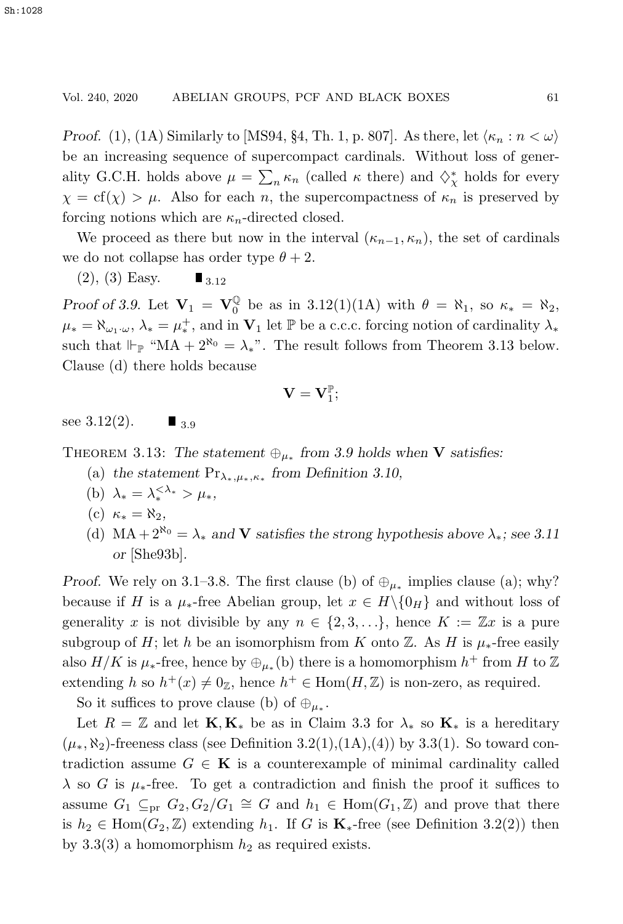# Vol. 240, 2020 ABELIAN GROUPS, PCF AND BLACK BOXES 61

*Proof.* (1), (1A) Similarly to [MS94, §4, Th. 1, p. 807]. As there, let  $\langle \kappa_n : n < \omega \rangle$ be an increasing sequence of supercompact cardinals. Without loss of generality G.C.H. holds above  $\mu = \sum_n \kappa_n$  (called  $\kappa$  there) and  $\diamondsuit^*_{\chi}$  holds for every  $\chi = \text{cf}(\chi) > \mu$ . Also for each n, the supercompactness of  $\kappa_n$  is preserved by forcing notions which are  $\kappa_n$ -directed closed.

We proceed as there but now in the interval  $(\kappa_{n-1}, \kappa_n)$ , the set of cardinals we do not collapse has order type  $\theta + 2$ .

 $(2)$ ,  $(3)$  Easy.  $\blacksquare$  3.12

*Proof of 3.9.* Let  $V_1 = V_0^{\mathbb{Q}}$  be as in 3.12(1)(1A) with  $\theta = \aleph_1$ , so  $\kappa_* = \aleph_2$ ,  $\mu_* = \aleph_{\omega_1 \cdot \omega}, \lambda_* = \mu_*^+$ , and in  $\mathbf{V}_1$  let  $\mathbb P$  be a c.c.c. forcing notion of cardinality  $\lambda_*$ such that  $\Vdash_{\mathbb{P}}$  "MA +  $2^{\aleph_0} = \lambda_*$ ". The result follows from Theorem 3.13 below. Clause (d) there holds because

$$
\mathbf{V}=\mathbf{V}_1^{\mathbb{P}};
$$

see 3.12(2).  $\blacksquare$  <sub>3.9</sub>

THEOREM 3.13: The statement  $\bigoplus_{\mu_*}$  from 3.9 holds when **V** satisfies:

- (a) *the statement* Prλ∗,μ∗,κ<sup>∗</sup> *from Definition 3.10,*
- (b)  $\lambda_* = \lambda_*^{\leq \lambda_*} > \mu_*$ ,
- (c)  $\kappa_* = \aleph_2$ ,
- (d) MA +  $2^{\aleph_0} = \lambda_*$  *and* **V** *satisfies the strong hypothesis above*  $\lambda_*$ *; see 3.11 or* [She93b]*.*

*Proof.* We rely on 3.1–3.8. The first clause (b) of  $\bigoplus_{\mu_{*}}$  implies clause (a); why? because if H is a  $\mu_*$ -free Abelian group, let  $x \in H \setminus \{0_H\}$  and without loss of generality x is not divisible by any  $n \in \{2, 3, ...\}$ , hence  $K := \mathbb{Z}x$  is a pure subgroup of H; let h be an isomorphism from K onto  $\mathbb Z$ . As H is  $\mu_*$ -free easily also  $H/K$  is  $\mu_*$ -free, hence by  $\bigoplus_{\mu_*}(b)$  there is a homomorphism  $h^+$  from H to Z extending h so  $h^+(x) \neq 0_{\mathbb{Z}}$ , hence  $h^+ \in \text{Hom}(H, \mathbb{Z})$  is non-zero, as required.

So it suffices to prove clause (b) of  $\oplus_{\mu_*}$ .

Let  $R = \mathbb{Z}$  and let  $\mathbf{K}, \mathbf{K}_{*}$  be as in Claim 3.3 for  $\lambda_{*}$  so  $\mathbf{K}_{*}$  is a hereditary  $(\mu_*, \aleph_2)$ -freeness class (see Definition 3.2(1),(1A),(4)) by 3.3(1). So toward contradiction assume  $G \in \mathbf{K}$  is a counterexample of minimal cardinality called  $\lambda$  so G is  $\mu_*$ -free. To get a contradiction and finish the proof it suffices to assume  $G_1 \subseteq_{\text{pr}} G_2, G_2/G_1 \cong G$  and  $h_1 \in \text{Hom}(G_1, \mathbb{Z})$  and prove that there is  $h_2 \in \text{Hom}(G_2, \mathbb{Z})$  extending  $h_1$ . If G is  $\mathbf{K}_{*}$ -free (see Definition 3.2(2)) then by 3.3(3) a homomorphism  $h_2$  as required exists.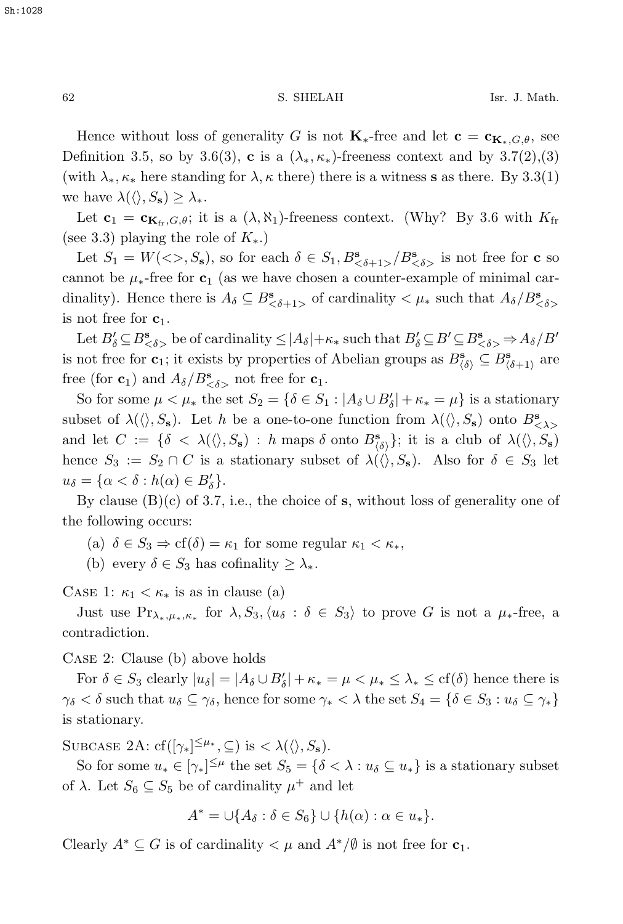Hence without loss of generality G is not  $\mathbf{K}_{*}$ -free and let  $\mathbf{c} = \mathbf{c}_{\mathbf{K}_{*},G,\theta}$ , see Definition 3.5, so by 3.6(3), **c** is a  $(\lambda_*, \kappa_*)$ -freeness context and by 3.7(2),(3) (with  $\lambda_*, \kappa_*$  here standing for  $\lambda, \kappa$  there) there is a witness **s** as there. By 3.3(1) we have  $\lambda(\langle \rangle, S_{\mathbf{s}}) \geq \lambda_*$ .

Let  $\mathbf{c}_1 = \mathbf{c}_{\mathbf{K}_{\text{fr}},G,\theta}$ ; it is a  $(\lambda, \aleph_1)$ -freeness context. (Why? By 3.6 with  $K_{\text{fr}}$ (see 3.3) playing the role of  $K_{\ast}$ .)

Let  $S_1 = W(<\gt, S_s)$ , so for each  $\delta \in S_1, B^s_{<\delta+1>} / B^s_{<\delta>}$  is not free for **c** so cannot be  $\mu_*$ -free for **c**<sub>1</sub> (as we have chosen a counter-example of minimal cardinality). Hence there is  $A_{\delta} \subseteq B_{\leq \delta+1>}^{\mathbf{s}}$  of cardinality  $\lt \mu_*$  such that  $A_{\delta}/B_{\leq}^{\mathbf{s}}$ is not free for  $c_1$ .

Let  $B'_\delta \subseteq B^s_{\leq \delta>}$  be of cardinality  $\leq |A_\delta| + \kappa_*$  such that  $B'_\delta \subseteq B' \subseteq B^s_{\leq \delta>} \Rightarrow A_\delta/B'$ is not free for **c**<sub>1</sub>; it exists by properties of Abelian groups as  $B^s_{\langle \delta \rangle} \subseteq B^s_{\langle \delta+1 \rangle}$  are free (for **c**<sub>1</sub>) and  $A_{\delta}/B_{\delta}^{\mathbf{s}}$  not free for **c**<sub>1</sub>.

So for some  $\mu < \mu_*$  the set  $S_2 = {\delta \in S_1 : |A_{\delta} \cup B'_{\delta}| + \kappa_* = \mu}$  is a stationary subset of  $\lambda(\langle \rangle, S_s)$ . Let h be a one-to-one function from  $\lambda(\langle \rangle, S_s)$  onto  $B_{\langle \lambda \rangle}^s$ and let  $C := \{\delta < \lambda(\langle \rangle, S_{\mathbf{s}}) : h \text{ maps } \delta \text{ onto } B_{\{\delta\}}^{\mathbf{s}}\};$  it is a club of  $\lambda(\langle \rangle, S_{\mathbf{s}})$ hence  $S_3 := S_2 \cap C$  is a stationary subset of  $\lambda(\langle \rangle, S_s)$ . Also for  $\delta \in S_3$  let  $u_{\delta} = {\alpha < \delta : h(\alpha) \in B'_{\delta}}.$ <br>Die slause (B)(s) of 3.7

By clause (B)(c) of 3.7, i.e., the choice of **s**, without loss of generality one of the following occurs:

- (a)  $\delta \in S_3 \Rightarrow \text{cf}(\delta) = \kappa_1$  for some regular  $\kappa_1 < \kappa_*,$
- (b) every  $\delta \in S_3$  has cofinality  $\geq \lambda_*$ .

CASE 1:  $\kappa_1 < \kappa_*$  is as in clause (a)

Just use  $Pr_{\lambda_*,\mu_*,\kappa_*}$  for  $\lambda, S_3, \langle u_\delta : \delta \in S_3 \rangle$  to prove G is not a  $\mu_*$ -free, a contradiction.

Case 2: Clause (b) above holds

For  $\delta \in S_3$  clearly  $|u_{\delta}| = |A_{\delta} \cup B'_{\delta}| + \kappa_* = \mu < \mu_* \leq \lambda_* \leq cf(\delta)$  hence there is  $\gamma_{\delta} < \delta$  such that  $u_{\delta} \subseteq \gamma_{\delta}$ , hence for some  $\gamma_* < \lambda$  the set  $S_4 = {\delta \in S_3 : u_{\delta} \subseteq \gamma_*}$ is stationary.

SUBCASE 2A:  $cf([\gamma_*]^{\leq \mu_*}, \subseteq)$  is  $\langle \lambda(\langle \rangle, S_s)$ .

So for some  $u_* \in [\gamma_*]^{\leq \mu}$  the set  $S_5 = {\delta < \lambda : u_{\delta} \subseteq u_*}$  is a stationary subset of  $\lambda$ . Let  $S_6 \subseteq S_5$  be of cardinality  $\mu^+$  and let

$$
A^* = \bigcup \{ A_\delta : \delta \in S_6 \} \cup \{ h(\alpha) : \alpha \in u_* \}.
$$

Clearly  $A^* \subseteq G$  is of cardinality  $\lt \mu$  and  $A^*/\emptyset$  is not free for  $c_1$ .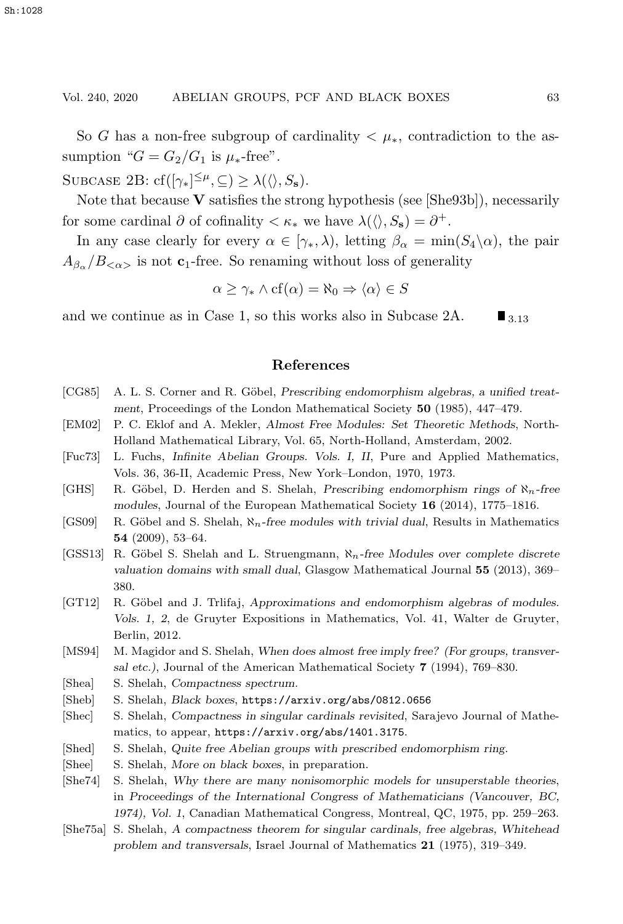#### Vol. 240, 2020 ABELIAN GROUPS, PCF AND BLACK BOXES 63

So G has a non-free subgroup of cardinality  $\lt \mu_*$ , contradiction to the assumption " $G = G_2/G_1$  is  $\mu_*$ -free".

SUBCASE 2B:  $cf([{\gamma_*}]^{\leq\mu}, \subseteq) \geq \lambda({\langle} \rangle, S_s).$ 

Note that because **V** satisfies the strong hypothesis (see [She93b]), necessarily for some cardinal  $\partial$  of cofinality  $\langle \kappa_* \rangle$  we have  $\lambda(\langle \cdot, S_s \rangle) = \partial^+$ .

In any case clearly for every  $\alpha \in [\gamma_*, \lambda)$ , letting  $\beta_\alpha = \min(S_4 \setminus \alpha)$ , the pair  $A_{\beta_{\alpha}}/B_{\leq \alpha>}$  is not **c**<sub>1</sub>-free. So renaming without loss of generality

$$
\alpha \ge \gamma_* \wedge cf(\alpha) = \aleph_0 \Rightarrow \langle \alpha \rangle \in S
$$

and we continue as in Case 1, so this works also in Subcase 2A.  $\blacksquare$  3.13

# **References**

- [CG85] A. L. S. Corner and R. Göbel, *Prescribing endomorphism algebras, a unified treatment*, Proceedings of the London Mathematical Society **50** (1985), 447–479.
- [EM02] P. C. Eklof and A. Mekler, *Almost Free Modules: Set Theoretic Methods*, North-Holland Mathematical Library, Vol. 65, North-Holland, Amsterdam, 2002.
- [Fuc73] L. Fuchs, *Infinite Abelian Groups. Vols. I, II*, Pure and Applied Mathematics, Vols. 36, 36-II, Academic Press, New York–London, 1970, 1973.
- [GHS] R. Göbel, D. Herden and S. Shelah, *Prescribing endomorphism rings of*  $\aleph_n$ -free *modules*, Journal of the European Mathematical Society **16** (2014), 1775–1816.
- [GS09] R. Göbel and S. Shelah,  $\aleph_n$ -free modules with trivial dual, Results in Mathematics **54** (2009), 53–64.
- [GSS13] R. Göbel S. Shelah and L. Struengmann,  $\aleph_n$ -free Modules over complete discrete *valuation domains with small dual*, Glasgow Mathematical Journal **55** (2013), 369– 380.
- [GT12] R. Göbel and J. Trlifaj, *Approximations and endomorphism algebras of modules. Vols. 1, 2*, de Gruyter Expositions in Mathematics, Vol. 41, Walter de Gruyter, Berlin, 2012.
- [MS94] M. Magidor and S. Shelah, *When does almost free imply free? (For groups, transversal etc.)*, Journal of the American Mathematical Society **7** (1994), 769–830.
- [Shea] S. Shelah, *Compactness spectrum*.
- [Sheb] S. Shelah, *Black boxes*, https://arxiv.org/abs/0812.0656
- [Shec] S. Shelah, *Compactness in singular cardinals revisited*, Sarajevo Journal of Mathematics, to appear, https://arxiv.org/abs/1401.3175.
- [Shed] S. Shelah, *Quite free Abelian groups with prescribed endomorphism ring*.
- [Shee] S. Shelah, *More on black boxes*, in preparation.
- [She74] S. Shelah, *Why there are many nonisomorphic models for unsuperstable theories*, in *Proceedings of the International Congress of Mathematicians (Vancouver, BC, 1974), Vol. 1*, Canadian Mathematical Congress, Montreal, QC, 1975, pp. 259–263.
- [She75a] S. Shelah, *A compactness theorem for singular cardinals, free algebras, Whitehead problem and transversals*, Israel Journal of Mathematics **21** (1975), 319–349.